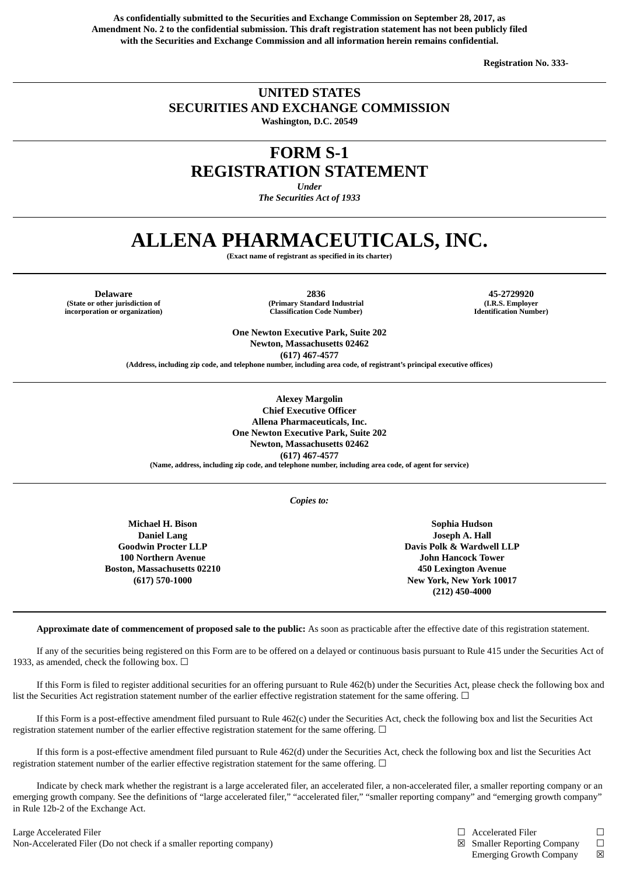**As confidentially submitted to the Securities and Exchange Commission on September 28, 2017, as Amendment No. 2 to the confidential submission. This draft registration statement has not been publicly filed with the Securities and Exchange Commission and all information herein remains confidential.**

**Registration No. 333-**

### **UNITED STATES SECURITIES AND EXCHANGE COMMISSION Washington, D.C. 20549**

# **FORM S-1**

**REGISTRATION STATEMENT**

*Under*

*The Securities Act of 1933*

## **ALLENA PHARMACEUTICALS, INC.**

**(Exact name of registrant as specified in its charter)**

**(State or other jurisdiction of incorporation or organization)**

**Delaware 2836 45-2729920 (Primary Standard Industrial Classification Code Number)**

**(I.R.S. Employer Identification Number)**

**One Newton Executive Park, Suite 202 Newton, Massachusetts 02462 (617) 467-4577**

**(Address, including zip code, and telephone number, including area code, of registrant's principal executive offices)**

**Alexey Margolin**

**Chief Executive Officer Allena Pharmaceuticals, Inc. One Newton Executive Park, Suite 202 Newton, Massachusetts 02462 (617) 467-4577 (Name, address, including zip code, and telephone number, including area code, of agent for service)**

*Copies to:*

**Michael H. Bison Daniel Lang Goodwin Procter LLP 100 Northern Avenue Boston, Massachusetts 02210 (617) 570-1000**

**Sophia Hudson Joseph A. Hall Davis Polk & Wardwell LLP John Hancock Tower 450 Lexington Avenue New York, New York 10017 (212) 450-4000**

**Approximate date of commencement of proposed sale to the public:** As soon as practicable after the effective date of this registration statement.

If any of the securities being registered on this Form are to be offered on a delayed or continuous basis pursuant to Rule 415 under the Securities Act of 1933, as amended, check the following box.  $\Box$ 

If this Form is filed to register additional securities for an offering pursuant to Rule 462(b) under the Securities Act, please check the following box and list the Securities Act registration statement number of the earlier effective registration statement for the same offering.  $\Box$ 

If this Form is a post-effective amendment filed pursuant to Rule 462(c) under the Securities Act, check the following box and list the Securities Act registration statement number of the earlier effective registration statement for the same offering.  $\Box$ 

If this form is a post-effective amendment filed pursuant to Rule 462(d) under the Securities Act, check the following box and list the Securities Act registration statement number of the earlier effective registration statement for the same offering.  $\Box$ 

Indicate by check mark whether the registrant is a large accelerated filer, an accelerated filer, a non-accelerated filer, a smaller reporting company or an emerging growth company. See the definitions of "large accelerated filer," "accelerated filer," "smaller reporting company" and "emerging growth company" in Rule 12b-2 of the Exchange Act.

Large Accelerated Filer □ □ Accelerated Filer □ □ Accelerated Filer □ Non-Accelerated Filer (Do not check if a smaller reporting company) **vertical company ⊠** Smaller Reporting Company □

- 
- Emerging Growth Company  $\boxtimes$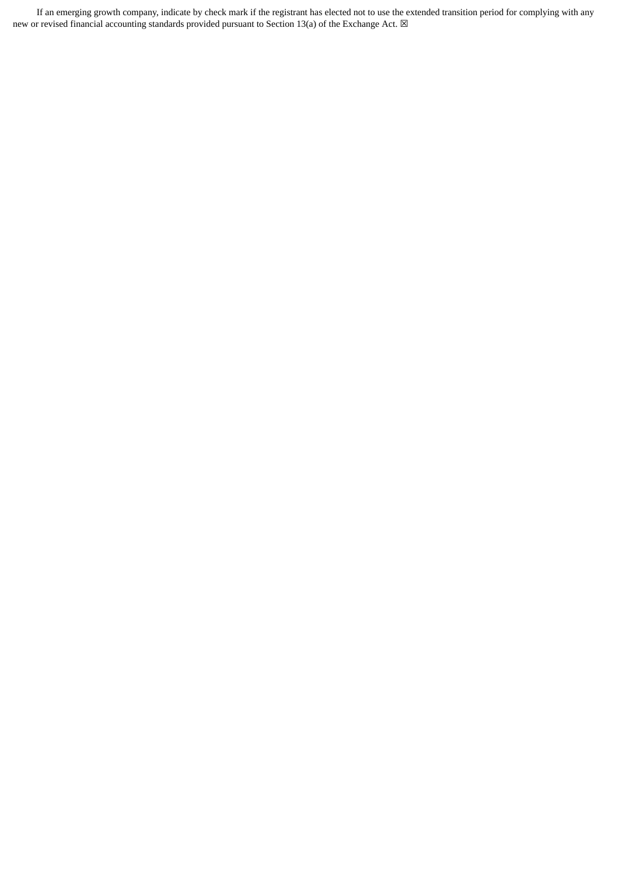If an emerging growth company, indicate by check mark if the registrant has elected not to use the extended transition period for complying with any new or revised financial accounting standards provided pursuant to Section 13(a) of the Exchange Act.  $\boxtimes$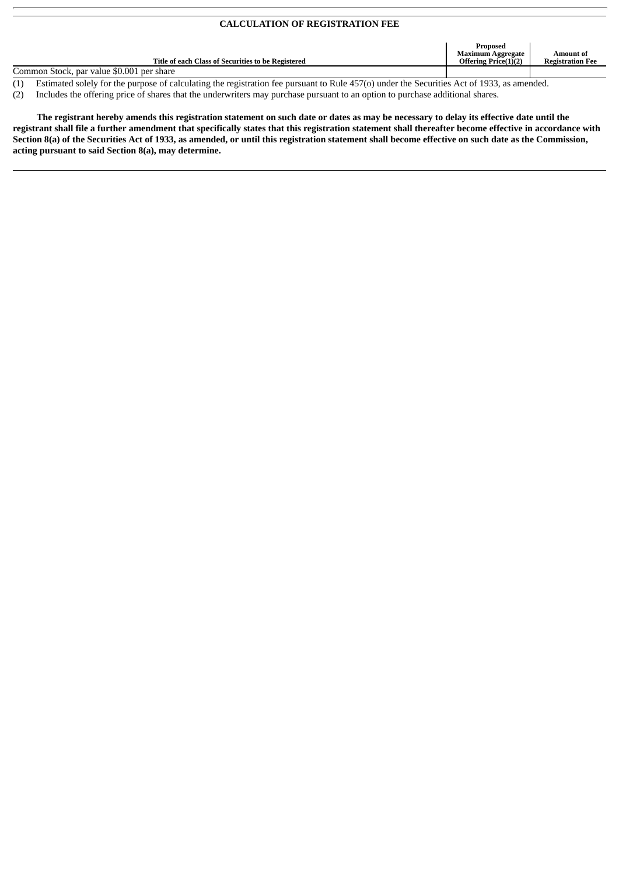#### **CALCULATION OF REGISTRATION FEE**

| Title of each Class of Securities to be Registered | Proposed<br><b>Maximum Aggregate</b><br><b>Offering Price(1)(2)</b> | Amount of<br><b>Registration Fee</b> |
|----------------------------------------------------|---------------------------------------------------------------------|--------------------------------------|
| Common Stock, par value \$0.001 per share          |                                                                     |                                      |
| ___<br>___                                         |                                                                     |                                      |

 $\overline{(1)}$  Estimated solely for the purpose of calculating the registration fee pursuant to Rule 457(o) under the Securities Act of 1933, as amended.

(2) Includes the offering price of shares that the underwriters may purchase pursuant to an option to purchase additional shares.

The registrant hereby amends this registration statement on such date or dates as may be necessary to delay its effective date until the registrant shall file a further amendment that specifically states that this registration statement shall thereafter become effective in accordance with Section 8(a) of the Securities Act of 1933, as amended, or until this registration statement shall become effective on such date as the Commission, **acting pursuant to said Section 8(a), may determine.**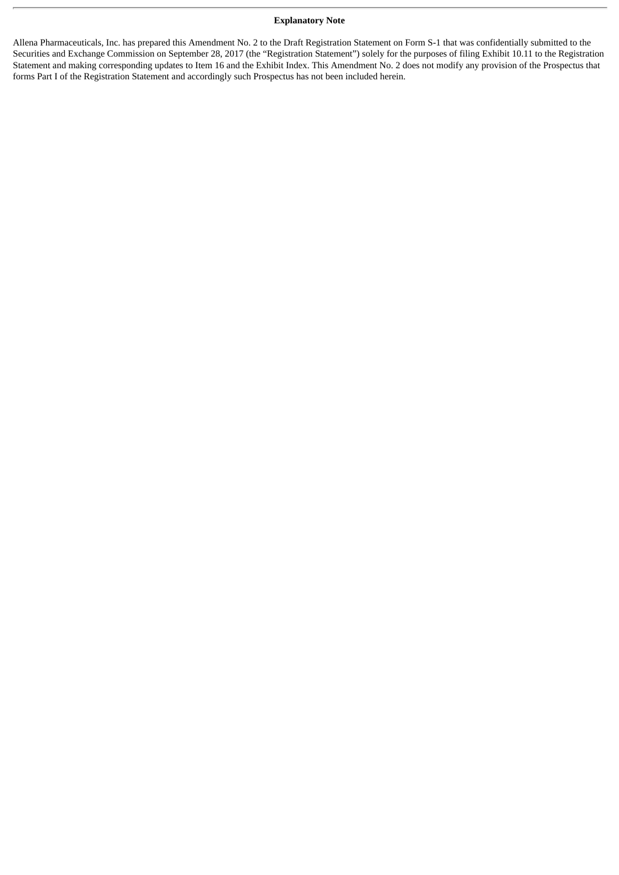#### **Explanatory Note**

Allena Pharmaceuticals, Inc. has prepared this Amendment No. 2 to the Draft Registration Statement on Form S-1 that was confidentially submitted to the Securities and Exchange Commission on September 28, 2017 (the "Registration Statement") solely for the purposes of filing Exhibit 10.11 to the Registration Statement and making corresponding updates to Item 16 and the Exhibit Index. This Amendment No. 2 does not modify any provision of the Prospectus that forms Part I of the Registration Statement and accordingly such Prospectus has not been included herein.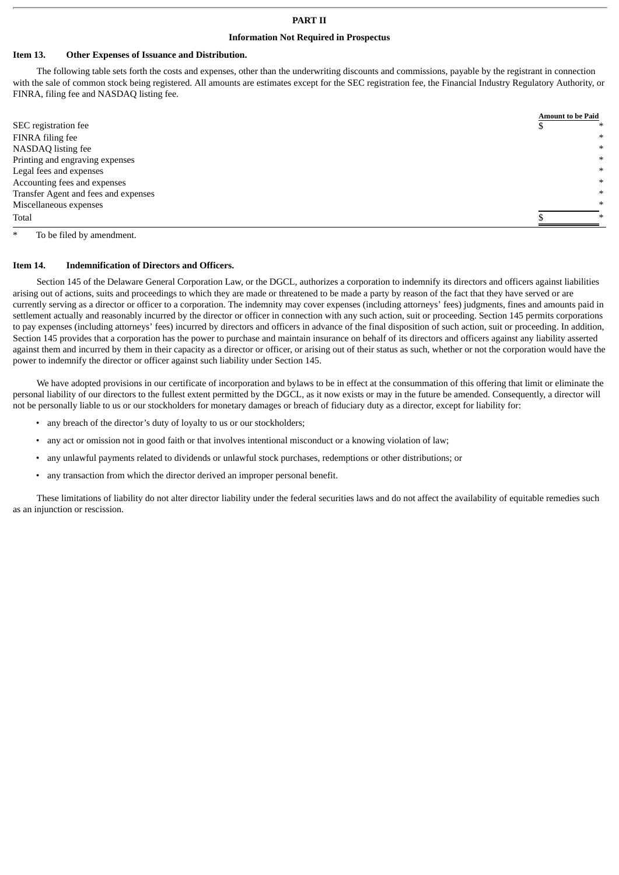#### **Information Not Required in Prospectus**

#### **Item 13. Other Expenses of Issuance and Distribution.**

The following table sets forth the costs and expenses, other than the underwriting discounts and commissions, payable by the registrant in connection with the sale of common stock being registered. All amounts are estimates except for the SEC registration fee, the Financial Industry Regulatory Authority, or FINRA, filing fee and NASDAQ listing fee.

|                                      | <b>Amount to be Paid</b> |
|--------------------------------------|--------------------------|
| SEC registration fee                 | ∗                        |
| FINRA filing fee                     | $\ast$                   |
| NASDAQ listing fee                   | $\ast$                   |
| Printing and engraving expenses      | $\ast$                   |
| Legal fees and expenses              | $\ast$                   |
| Accounting fees and expenses         | $\ast$                   |
| Transfer Agent and fees and expenses | $\ast$                   |
| Miscellaneous expenses               | $\ast$                   |
| Total                                | ∗                        |

To be filed by amendment.

#### **Item 14. Indemnification of Directors and Officers.**

Section 145 of the Delaware General Corporation Law, or the DGCL, authorizes a corporation to indemnify its directors and officers against liabilities arising out of actions, suits and proceedings to which they are made or threatened to be made a party by reason of the fact that they have served or are currently serving as a director or officer to a corporation. The indemnity may cover expenses (including attorneys' fees) judgments, fines and amounts paid in settlement actually and reasonably incurred by the director or officer in connection with any such action, suit or proceeding. Section 145 permits corporations to pay expenses (including attorneys' fees) incurred by directors and officers in advance of the final disposition of such action, suit or proceeding. In addition, Section 145 provides that a corporation has the power to purchase and maintain insurance on behalf of its directors and officers against any liability asserted against them and incurred by them in their capacity as a director or officer, or arising out of their status as such, whether or not the corporation would have the power to indemnify the director or officer against such liability under Section 145.

We have adopted provisions in our certificate of incorporation and bylaws to be in effect at the consummation of this offering that limit or eliminate the personal liability of our directors to the fullest extent permitted by the DGCL, as it now exists or may in the future be amended. Consequently, a director will not be personally liable to us or our stockholders for monetary damages or breach of fiduciary duty as a director, except for liability for:

- any breach of the director's duty of loyalty to us or our stockholders;
- any act or omission not in good faith or that involves intentional misconduct or a knowing violation of law;
- any unlawful payments related to dividends or unlawful stock purchases, redemptions or other distributions; or
- any transaction from which the director derived an improper personal benefit.

These limitations of liability do not alter director liability under the federal securities laws and do not affect the availability of equitable remedies such as an injunction or rescission.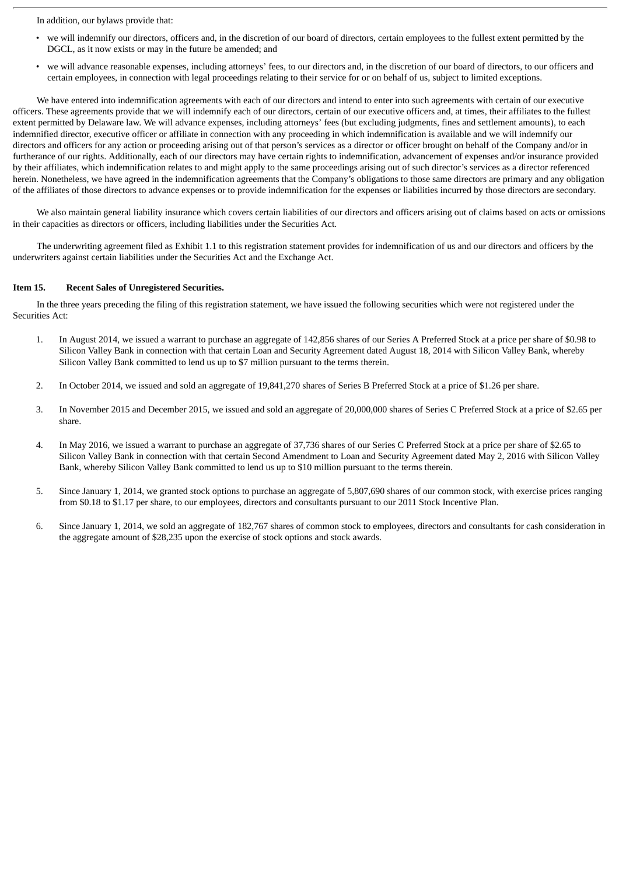In addition, our bylaws provide that:

- we will indemnify our directors, officers and, in the discretion of our board of directors, certain employees to the fullest extent permitted by the DGCL, as it now exists or may in the future be amended; and
- we will advance reasonable expenses, including attorneys' fees, to our directors and, in the discretion of our board of directors, to our officers and certain employees, in connection with legal proceedings relating to their service for or on behalf of us, subject to limited exceptions.

We have entered into indemnification agreements with each of our directors and intend to enter into such agreements with certain of our executive officers. These agreements provide that we will indemnify each of our directors, certain of our executive officers and, at times, their affiliates to the fullest extent permitted by Delaware law. We will advance expenses, including attorneys' fees (but excluding judgments, fines and settlement amounts), to each indemnified director, executive officer or affiliate in connection with any proceeding in which indemnification is available and we will indemnify our directors and officers for any action or proceeding arising out of that person's services as a director or officer brought on behalf of the Company and/or in furtherance of our rights. Additionally, each of our directors may have certain rights to indemnification, advancement of expenses and/or insurance provided by their affiliates, which indemnification relates to and might apply to the same proceedings arising out of such director's services as a director referenced herein. Nonetheless, we have agreed in the indemnification agreements that the Company's obligations to those same directors are primary and any obligation of the affiliates of those directors to advance expenses or to provide indemnification for the expenses or liabilities incurred by those directors are secondary.

We also maintain general liability insurance which covers certain liabilities of our directors and officers arising out of claims based on acts or omissions in their capacities as directors or officers, including liabilities under the Securities Act.

The underwriting agreement filed as Exhibit 1.1 to this registration statement provides for indemnification of us and our directors and officers by the underwriters against certain liabilities under the Securities Act and the Exchange Act.

#### **Item 15. Recent Sales of Unregistered Securities.**

In the three years preceding the filing of this registration statement, we have issued the following securities which were not registered under the Securities Act:

- 1. In August 2014, we issued a warrant to purchase an aggregate of 142,856 shares of our Series A Preferred Stock at a price per share of \$0.98 to Silicon Valley Bank in connection with that certain Loan and Security Agreement dated August 18, 2014 with Silicon Valley Bank, whereby Silicon Valley Bank committed to lend us up to \$7 million pursuant to the terms therein.
- 2. In October 2014, we issued and sold an aggregate of 19,841,270 shares of Series B Preferred Stock at a price of \$1.26 per share.
- 3. In November 2015 and December 2015, we issued and sold an aggregate of 20,000,000 shares of Series C Preferred Stock at a price of \$2.65 per share.
- 4. In May 2016, we issued a warrant to purchase an aggregate of 37,736 shares of our Series C Preferred Stock at a price per share of \$2.65 to Silicon Valley Bank in connection with that certain Second Amendment to Loan and Security Agreement dated May 2, 2016 with Silicon Valley Bank, whereby Silicon Valley Bank committed to lend us up to \$10 million pursuant to the terms therein.
- 5. Since January 1, 2014, we granted stock options to purchase an aggregate of 5,807,690 shares of our common stock, with exercise prices ranging from \$0.18 to \$1.17 per share, to our employees, directors and consultants pursuant to our 2011 Stock Incentive Plan.
- 6. Since January 1, 2014, we sold an aggregate of 182,767 shares of common stock to employees, directors and consultants for cash consideration in the aggregate amount of \$28,235 upon the exercise of stock options and stock awards.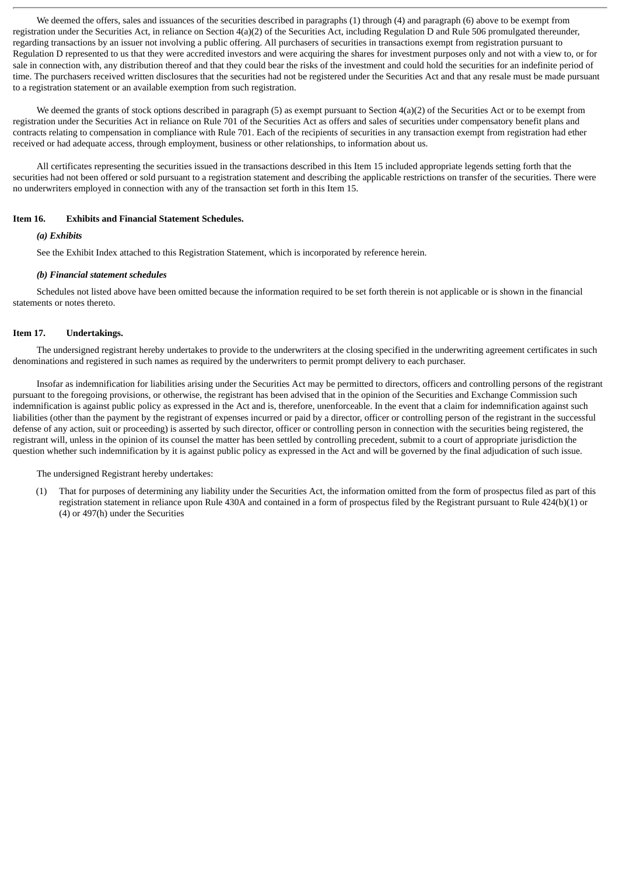We deemed the offers, sales and issuances of the securities described in paragraphs (1) through (4) and paragraph (6) above to be exempt from registration under the Securities Act, in reliance on Section 4(a)(2) of the Securities Act, including Regulation D and Rule 506 promulgated thereunder, regarding transactions by an issuer not involving a public offering. All purchasers of securities in transactions exempt from registration pursuant to Regulation D represented to us that they were accredited investors and were acquiring the shares for investment purposes only and not with a view to, or for sale in connection with, any distribution thereof and that they could bear the risks of the investment and could hold the securities for an indefinite period of time. The purchasers received written disclosures that the securities had not be registered under the Securities Act and that any resale must be made pursuant to a registration statement or an available exemption from such registration.

We deemed the grants of stock options described in paragraph (5) as exempt pursuant to Section 4(a)(2) of the Securities Act or to be exempt from registration under the Securities Act in reliance on Rule 701 of the Securities Act as offers and sales of securities under compensatory benefit plans and contracts relating to compensation in compliance with Rule 701. Each of the recipients of securities in any transaction exempt from registration had ether received or had adequate access, through employment, business or other relationships, to information about us.

All certificates representing the securities issued in the transactions described in this Item 15 included appropriate legends setting forth that the securities had not been offered or sold pursuant to a registration statement and describing the applicable restrictions on transfer of the securities. There were no underwriters employed in connection with any of the transaction set forth in this Item 15.

#### **Item 16. Exhibits and Financial Statement Schedules.**

#### *(a) Exhibits*

See the Exhibit Index attached to this Registration Statement, which is incorporated by reference herein.

#### *(b) Financial statement schedules*

Schedules not listed above have been omitted because the information required to be set forth therein is not applicable or is shown in the financial statements or notes thereto.

#### **Item 17. Undertakings.**

The undersigned registrant hereby undertakes to provide to the underwriters at the closing specified in the underwriting agreement certificates in such denominations and registered in such names as required by the underwriters to permit prompt delivery to each purchaser.

Insofar as indemnification for liabilities arising under the Securities Act may be permitted to directors, officers and controlling persons of the registrant pursuant to the foregoing provisions, or otherwise, the registrant has been advised that in the opinion of the Securities and Exchange Commission such indemnification is against public policy as expressed in the Act and is, therefore, unenforceable. In the event that a claim for indemnification against such liabilities (other than the payment by the registrant of expenses incurred or paid by a director, officer or controlling person of the registrant in the successful defense of any action, suit or proceeding) is asserted by such director, officer or controlling person in connection with the securities being registered, the registrant will, unless in the opinion of its counsel the matter has been settled by controlling precedent, submit to a court of appropriate jurisdiction the question whether such indemnification by it is against public policy as expressed in the Act and will be governed by the final adjudication of such issue.

The undersigned Registrant hereby undertakes:

(1) That for purposes of determining any liability under the Securities Act, the information omitted from the form of prospectus filed as part of this registration statement in reliance upon Rule 430A and contained in a form of prospectus filed by the Registrant pursuant to Rule 424(b)(1) or (4) or 497(h) under the Securities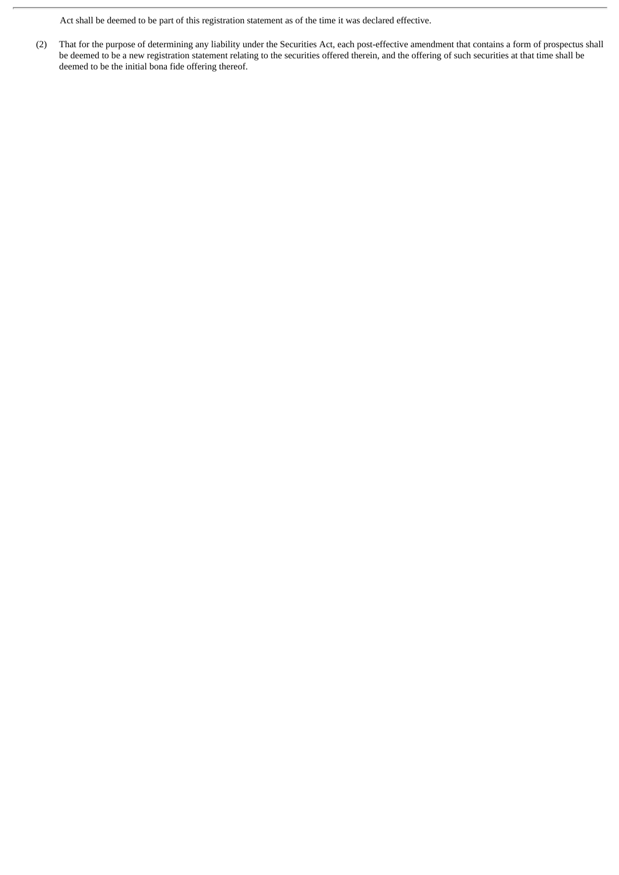Act shall be deemed to be part of this registration statement as of the time it was declared effective.

(2) That for the purpose of determining any liability under the Securities Act, each post-effective amendment that contains a form of prospectus shall be deemed to be a new registration statement relating to the securities offered therein, and the offering of such securities at that time shall be deemed to be the initial bona fide offering thereof.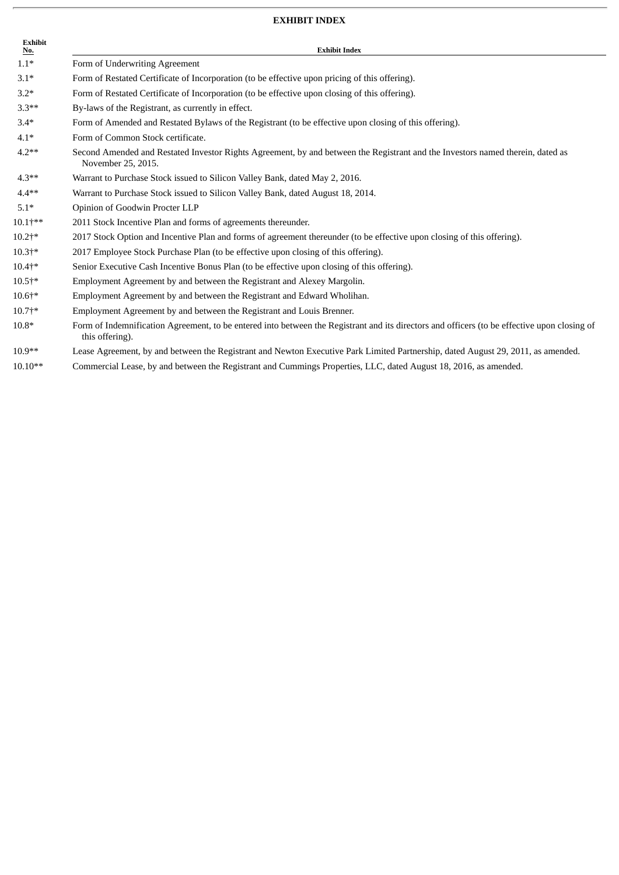#### **EXHIBIT INDEX**

| <b>Exhibit</b><br>No. | <b>Exhibit Index</b>                                                                                                                                            |
|-----------------------|-----------------------------------------------------------------------------------------------------------------------------------------------------------------|
| $1.1*$                | Form of Underwriting Agreement                                                                                                                                  |
| $3.1*$                | Form of Restated Certificate of Incorporation (to be effective upon pricing of this offering).                                                                  |
| $3.2*$                | Form of Restated Certificate of Incorporation (to be effective upon closing of this offering).                                                                  |
| $3.3**$               | By-laws of the Registrant, as currently in effect.                                                                                                              |
| $3.4*$                | Form of Amended and Restated Bylaws of the Registrant (to be effective upon closing of this offering).                                                          |
| $4.1*$                | Form of Common Stock certificate.                                                                                                                               |
| $4.2**$               | Second Amended and Restated Investor Rights Agreement, by and between the Registrant and the Investors named therein, dated as<br>November 25, 2015.            |
| $4.3**$               | Warrant to Purchase Stock issued to Silicon Valley Bank, dated May 2, 2016.                                                                                     |
| $4.4**$               | Warrant to Purchase Stock issued to Silicon Valley Bank, dated August 18, 2014.                                                                                 |
| $5.1*$                | Opinion of Goodwin Procter LLP                                                                                                                                  |
| $10.1$ †**            | 2011 Stock Incentive Plan and forms of agreements thereunder.                                                                                                   |
| $10.2 + *$            | 2017 Stock Option and Incentive Plan and forms of agreement thereunder (to be effective upon closing of this offering).                                         |
| $10.3 + *$            | 2017 Employee Stock Purchase Plan (to be effective upon closing of this offering).                                                                              |
| $10.4$ <sup>*</sup>   | Senior Executive Cash Incentive Bonus Plan (to be effective upon closing of this offering).                                                                     |
| $10.5$ †*             | Employment Agreement by and between the Registrant and Alexey Margolin.                                                                                         |
| $10.6 + *$            | Employment Agreement by and between the Registrant and Edward Wholihan.                                                                                         |
| $10.7 +$ *            | Employment Agreement by and between the Registrant and Louis Brenner.                                                                                           |
| $10.8*$               | Form of Indemnification Agreement, to be entered into between the Registrant and its directors and officers (to be effective upon closing of<br>this offering). |

- 10.9\*\* Lease Agreement, by and between the Registrant and Newton Executive Park Limited Partnership, dated August 29, 2011, as amended.
- 10.10\*\* Commercial Lease, by and between the Registrant and Cummings Properties, LLC, dated August 18, 2016, as amended.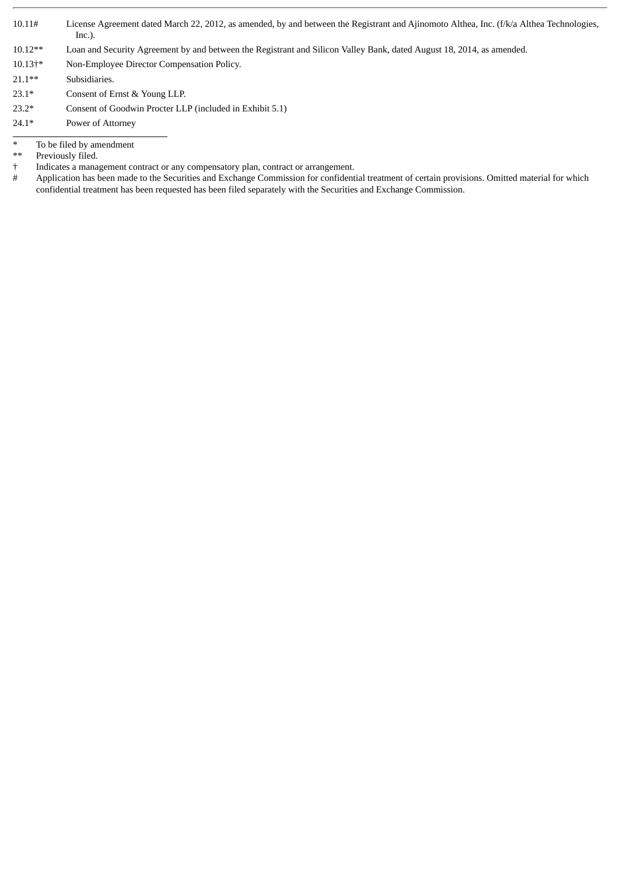- 10.11# License Agreement dated March 22, 2012, as amended, by and between the Registrant and Ajinomoto Althea, Inc. (f/k/a Althea Technologies, Inc.).
- 10.12\*\* Loan and Security Agreement by and between the Registrant and Silicon Valley Bank, dated August 18, 2014, as amended.
- 10.13†\* Non-Employee Director Compensation Policy.
- 21.1\*\* Subsidiaries.
- 23.1\* Consent of Ernst & Young LLP.
- 23.2\* Consent of Goodwin Procter LLP (included in Exhibit 5.1)
- 24.1\* Power of Attorney
- \* To be filed by amendment<br>\*\* Previously filed.
- \*\* Previously filed.<br>  $\dagger$  Indicates a mana
- Indicates a management contract or any compensatory plan, contract or arrangement.
- # Application has been made to the Securities and Exchange Commission for confidential treatment of certain provisions. Omitted material for which confidential treatment has been requested has been filed separately with the Securities and Exchange Commission.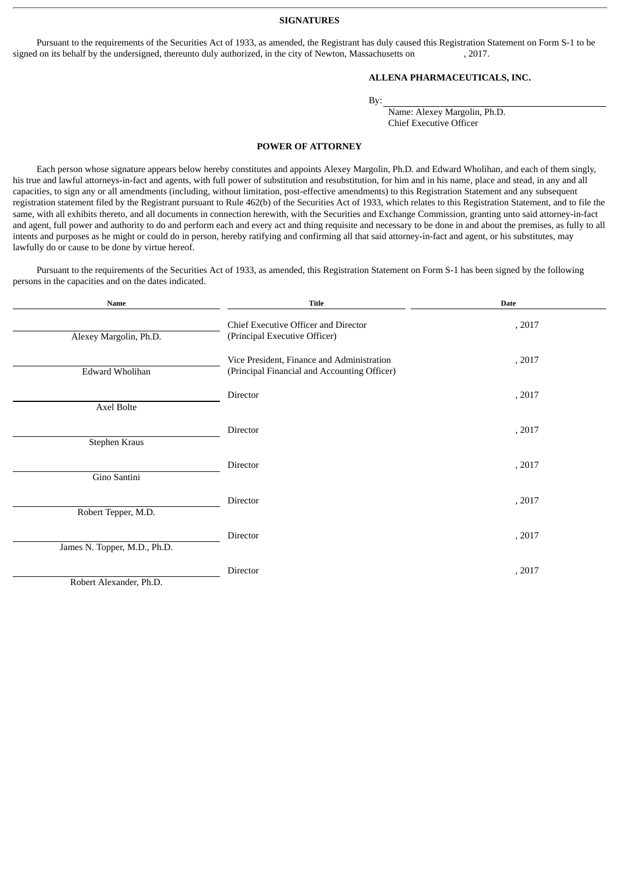**SIGNATURES**

Pursuant to the requirements of the Securities Act of 1933, as amended, the Registrant has duly caused this Registration Statement on Form S-1 to be signed on its behalf by the undersigned, thereunto duly authorized, in the city of Newton, Massachusetts on , 2017.

#### **ALLENA PHARMACEUTICALS, INC.**

By:

Name: Alexey Margolin, Ph.D. Chief Executive Officer

#### **POWER OF ATTORNEY**

Each person whose signature appears below hereby constitutes and appoints Alexey Margolin, Ph.D. and Edward Wholihan, and each of them singly, his true and lawful attorneys-in-fact and agents, with full power of substitution and resubstitution, for him and in his name, place and stead, in any and all capacities, to sign any or all amendments (including, without limitation, post-effective amendments) to this Registration Statement and any subsequent registration statement filed by the Registrant pursuant to Rule 462(b) of the Securities Act of 1933, which relates to this Registration Statement, and to file the same, with all exhibits thereto, and all documents in connection herewith, with the Securities and Exchange Commission, granting unto said attorney-in-fact and agent, full power and authority to do and perform each and every act and thing requisite and necessary to be done in and about the premises, as fully to all intents and purposes as he might or could do in person, hereby ratifying and confirming all that said attorney-in-fact and agent, or his substitutes, may lawfully do or cause to be done by virtue hereof.

Pursuant to the requirements of the Securities Act of 1933, as amended, this Registration Statement on Form S-1 has been signed by the following persons in the capacities and on the dates indicated.

| <b>Name</b>                  | <b>Title</b>                                                                               | <b>Date</b> |
|------------------------------|--------------------------------------------------------------------------------------------|-------------|
| Alexey Margolin, Ph.D.       | Chief Executive Officer and Director<br>(Principal Executive Officer)                      | , 2017      |
| Edward Wholihan              | Vice President, Finance and Administration<br>(Principal Financial and Accounting Officer) | , 2017      |
| Axel Bolte                   | Director                                                                                   | , 2017      |
| Stephen Kraus                | Director                                                                                   | , 2017      |
| Gino Santini                 | Director                                                                                   | , 2017      |
| Robert Tepper, M.D.          | Director                                                                                   | , 2017      |
| James N. Topper, M.D., Ph.D. | Director                                                                                   | , 2017      |
| Robert Alexander, Ph.D.      | Director                                                                                   | , 2017      |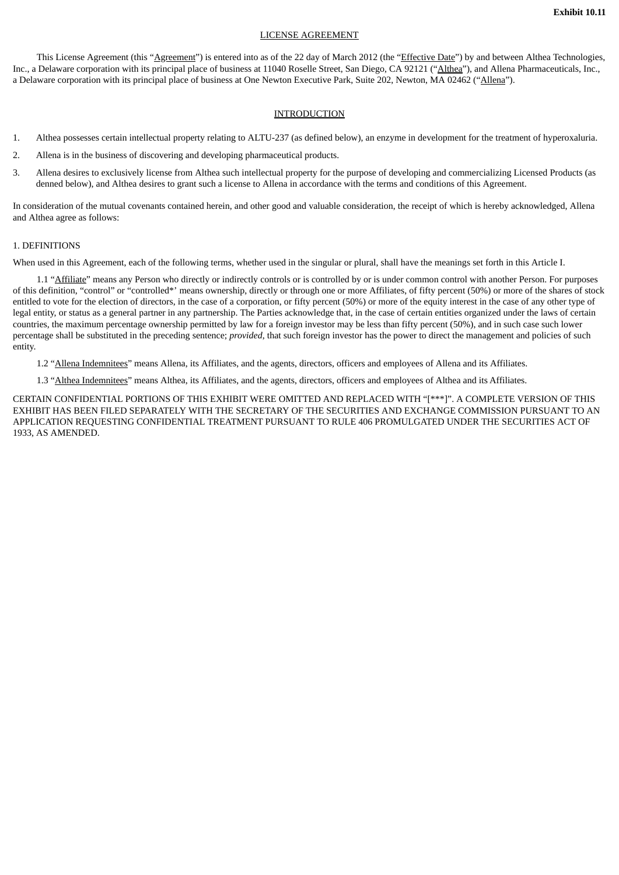#### LICENSE AGREEMENT

This License Agreement (this "Agreement") is entered into as of the 22 day of March 2012 (the "Effective Date") by and between Althea Technologies, Inc., a Delaware corporation with its principal place of business at 11040 Roselle Street, San Diego, CA 92121 ("Althea"), and Allena Pharmaceuticals, Inc., a Delaware corporation with its principal place of business at One Newton Executive Park, Suite 202, Newton, MA 02462 ("Allena").

#### INTRODUCTION

- 1. Althea possesses certain intellectual property relating to ALTU-237 (as defined below), an enzyme in development for the treatment of hyperoxaluria.
- 2. Allena is in the business of discovering and developing pharmaceutical products.
- 3. Allena desires to exclusively license from Althea such intellectual property for the purpose of developing and commercializing Licensed Products (as denned below), and Althea desires to grant such a license to Allena in accordance with the terms and conditions of this Agreement.

In consideration of the mutual covenants contained herein, and other good and valuable consideration, the receipt of which is hereby acknowledged, Allena and Althea agree as follows:

#### 1. DEFINITIONS

When used in this Agreement, each of the following terms, whether used in the singular or plural, shall have the meanings set forth in this Article I.

1.1 "Affiliate" means any Person who directly or indirectly controls or is controlled by or is under common control with another Person. For purposes of this definition, "control" or "controlled\*' means ownership, directly or through one or more Affiliates, of fifty percent (50%) or more of the shares of stock entitled to vote for the election of directors, in the case of a corporation, or fifty percent (50%) or more of the equity interest in the case of any other type of legal entity, or status as a general partner in any partnership. The Parties acknowledge that, in the case of certain entities organized under the laws of certain countries, the maximum percentage ownership permitted by law for a foreign investor may be less than fifty percent (50%), and in such case such lower percentage shall be substituted in the preceding sentence; *provided*, that such foreign investor has the power to direct the management and policies of such entity.

1.2 "Allena Indemnitees" means Allena, its Affiliates, and the agents, directors, officers and employees of Allena and its Affiliates.

1.3 "Althea Indemnitees" means Althea, its Affiliates, and the agents, directors, officers and employees of Althea and its Affiliates.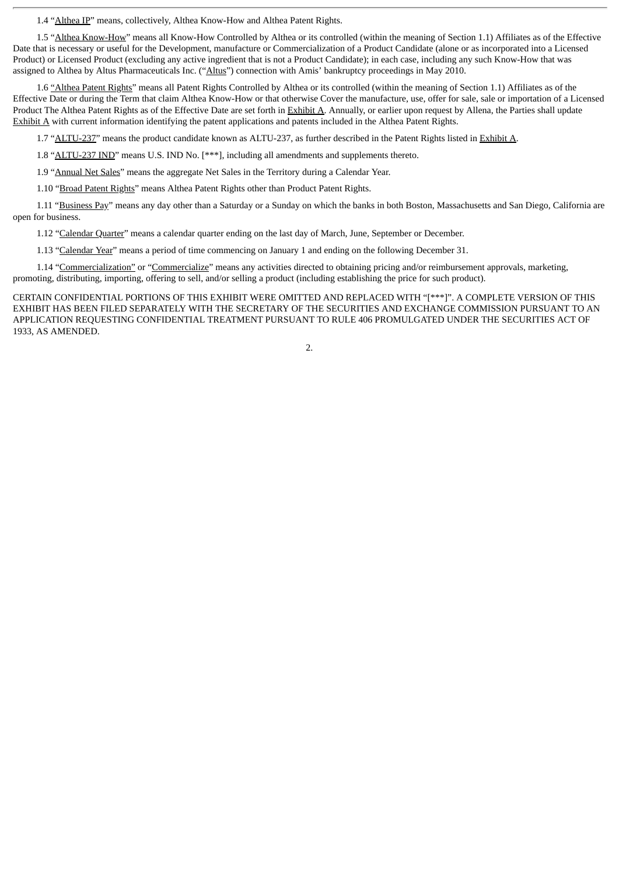1.4 "Althea IP" means, collectively, Althea Know-How and Althea Patent Rights.

1.5 "Althea Know-How" means all Know-How Controlled by Althea or its controlled (within the meaning of Section 1.1) Affiliates as of the Effective Date that is necessary or useful for the Development, manufacture or Commercialization of a Product Candidate (alone or as incorporated into a Licensed Product) or Licensed Product (excluding any active ingredient that is not a Product Candidate); in each case, including any such Know-How that was assigned to Althea by Altus Pharmaceuticals Inc. ("Altus") connection with Amis' bankruptcy proceedings in May 2010.

1.6 "Althea Patent Rights" means all Patent Rights Controlled by Althea or its controlled (within the meaning of Section 1.1) Affiliates as of the Effective Date or during the Term that claim Althea Know-How or that otherwise Cover the manufacture, use, offer for sale, sale or importation of a Licensed Product The Althea Patent Rights as of the Effective Date are set forth in Exhibit A. Annually, or earlier upon request by Allena, the Parties shall update Exhibit A with current information identifying the patent applications and patents included in the Althea Patent Rights.

1.7 "ALTU-237" means the product candidate known as ALTU-237, as further described in the Patent Rights listed in Exhibit A.

1.8 "ALTU-237 IND" means U.S. IND No. [\*\*\*], including all amendments and supplements thereto.

1.9 "Annual Net Sales" means the aggregate Net Sales in the Territory during a Calendar Year.

1.10 "Broad Patent Rights" means Althea Patent Rights other than Product Patent Rights.

1.11 "Business Pay" means any day other than a Saturday or a Sunday on which the banks in both Boston, Massachusetts and San Diego, California are open for business.

1.12 "Calendar Quarter" means a calendar quarter ending on the last day of March, June, September or December.

1.13 "Calendar Year" means a period of time commencing on January 1 and ending on the following December 31.

1.14 "Commercialization" or "Commercialize" means any activities directed to obtaining pricing and/or reimbursement approvals, marketing, promoting, distributing, importing, offering to sell, and/or selling a product (including establishing the price for such product).

CERTAIN CONFIDENTIAL PORTIONS OF THIS EXHIBIT WERE OMITTED AND REPLACED WITH "[\*\*\*]". A COMPLETE VERSION OF THIS EXHIBIT HAS BEEN FILED SEPARATELY WITH THE SECRETARY OF THE SECURITIES AND EXCHANGE COMMISSION PURSUANT TO AN APPLICATION REQUESTING CONFIDENTIAL TREATMENT PURSUANT TO RULE 406 PROMULGATED UNDER THE SECURITIES ACT OF 1933, AS AMENDED.

2.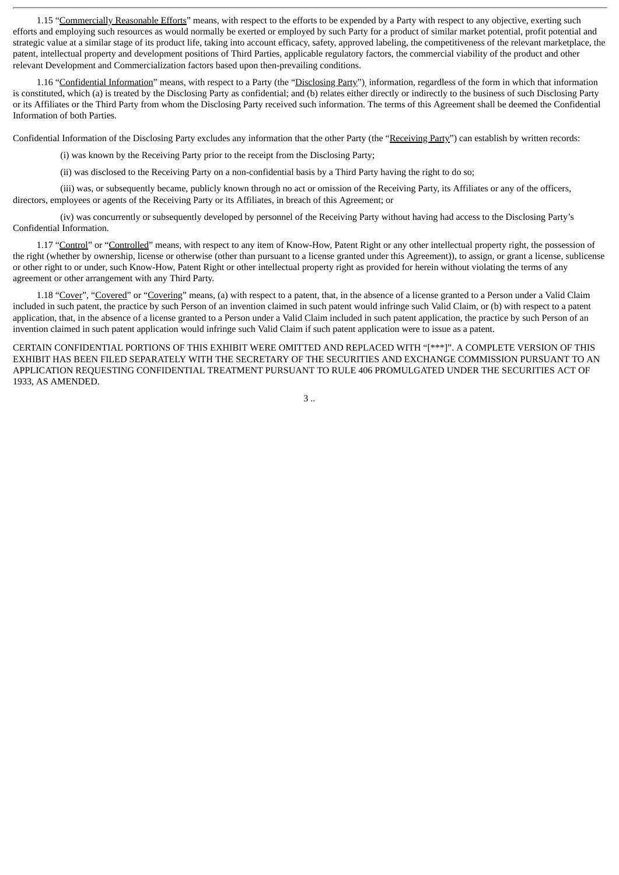1.15 "Commercially Reasonable Efforts" means, with respect to the efforts to be expended by a Party with respect to any objective, exerting such efforts and employing such resources as would normally be exerted or employed by such Party for a product of similar market potential, profit potential and strategic value at a similar stage of its product life, taking into account efficacy, safety, approved labeling, the competitiveness of the relevant marketplace, the patent, intellectual property and development positions of Third Parties, applicable regulatory factors, the commercial viability of the product and other relevant Development and Commercialization factors based upon then-prevailing conditions.

1.16 "Confidential Information" means, with respect to a Party (the "Disclosing Party"), information, regardless of the form in which that information is constituted, which (a) is treated by the Disclosing Party as confidential; and (b) relates either directly or indirectly to the business of such Disclosing Party or its Affiliates or the Third Party from whom the Disclosing Party received such information. The terms of this Agreement shall be deemed the Confidential Information of both Parties.

Confidential Information of the Disclosing Party excludes any information that the other Party (the "Receiving Party") can establish by written records:

(i) was known by the Receiving Party prior to the receipt from the Disclosing Party;

(ii) was disclosed to the Receiving Party on a non-confidential basis by a Third Party having the right to do so;

(iii) was, or subsequently became, publicly known through no act or omission of the Receiving Party, its Affiliates or any of the officers, directors, employees or agents of the Receiving Party or its Affiliates, in breach of this Agreement; or

(iv) was concurrently or subsequently developed by personnel of the Receiving Party without having had access to the Disclosing Party's Confidential Information.

1.17 "Control" or "Controlled" means, with respect to any item of Know-How, Patent Right or any other intellectual property right, the possession of the right (whether by ownership, license or otherwise (other than pursuant to a license granted under this Agreement)), to assign, or grant a license, sublicense or other right to or under, such Know-How, Patent Right or other intellectual property right as provided for herein without violating the terms of any agreement or other arrangement with any Third Party.

1.18 "Cover", "Covered" or "Covering" means, (a) with respect to a patent, that, in the absence of a license granted to a Person under a Valid Claim included in such patent, the practice by such Person of an invention claimed in such patent would infringe such Valid Claim, or (b) with respect to a patent application, that, in the absence of a license granted to a Person under a Valid Claim included in such patent application, the practice by such Person of an invention claimed in such patent application would infringe such Valid Claim if such patent application were to issue as a patent.

CERTAIN CONFIDENTIAL PORTIONS OF THIS EXHIBIT WERE OMITTED AND REPLACED WITH "[\*\*\*]". A COMPLETE VERSION OF THIS EXHIBIT HAS BEEN FILED SEPARATELY WITH THE SECRETARY OF THE SECURITIES AND EXCHANGE COMMISSION PURSUANT TO AN APPLICATION REQUESTING CONFIDENTIAL TREATMENT PURSUANT TO RULE 406 PROMULGATED UNDER THE SECURITIES ACT OF 1933, AS AMENDED.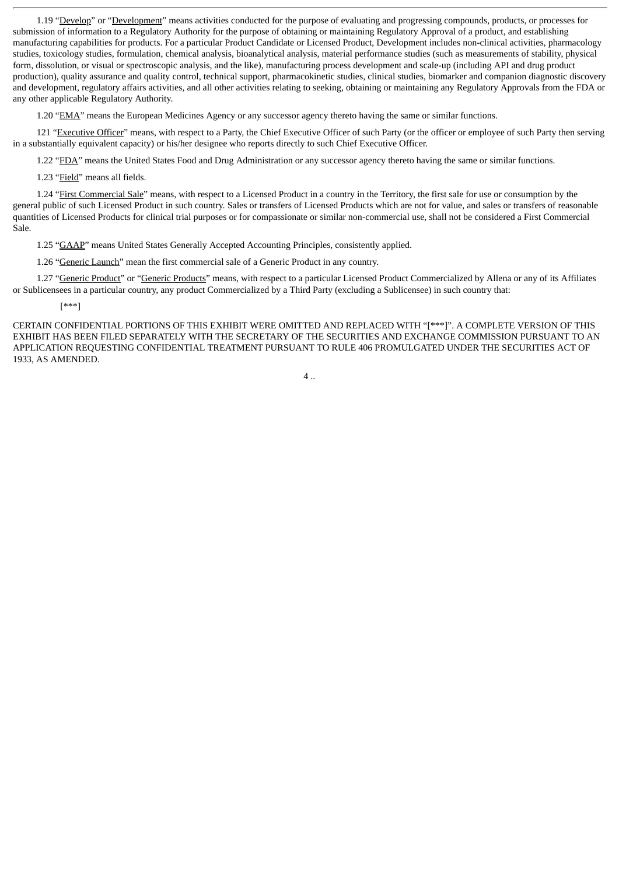1.19 "Develop" or "Development" means activities conducted for the purpose of evaluating and progressing compounds, products, or processes for submission of information to a Regulatory Authority for the purpose of obtaining or maintaining Regulatory Approval of a product, and establishing manufacturing capabilities for products. For a particular Product Candidate or Licensed Product, Development includes non-clinical activities, pharmacology studies, toxicology studies, formulation, chemical analysis, bioanalytical analysis, material performance studies (such as measurements of stability, physical form, dissolution, or visual or spectroscopic analysis, and the like), manufacturing process development and scale-up (including API and drug product production), quality assurance and quality control, technical support, pharmacokinetic studies, clinical studies, biomarker and companion diagnostic discovery and development, regulatory affairs activities, and all other activities relating to seeking, obtaining or maintaining any Regulatory Approvals from the FDA or any other applicable Regulatory Authority.

1.20 "EMA" means the European Medicines Agency or any successor agency thereto having the same or similar functions.

121 "Executive Officer" means, with respect to a Party, the Chief Executive Officer of such Party (or the officer or employee of such Party then serving in a substantially equivalent capacity) or his/her designee who reports directly to such Chief Executive Officer.

1.22 "FDA" means the United States Food and Drug Administration or any successor agency thereto having the same or similar functions.

1.23 "Field" means all fields.

1.24 "First Commercial Sale" means, with respect to a Licensed Product in a country in the Territory, the first sale for use or consumption by the general public of such Licensed Product in such country. Sales or transfers of Licensed Products which are not for value, and sales or transfers of reasonable quantities of Licensed Products for clinical trial purposes or for compassionate or similar non-commercial use, shall not be considered a First Commercial Sale.

1.25 "GAAP" means United States Generally Accepted Accounting Principles, consistently applied.

1.26 "Generic Launch" mean the first commercial sale of a Generic Product in any country.

1.27 "Generic Product" or "Generic Products" means, with respect to a particular Licensed Product Commercialized by Allena or any of its Affiliates or Sublicensees in a particular country, any product Commercialized by a Third Party (excluding a Sublicensee) in such country that:

[\*\*\*]

CERTAIN CONFIDENTIAL PORTIONS OF THIS EXHIBIT WERE OMITTED AND REPLACED WITH "[\*\*\*]". A COMPLETE VERSION OF THIS EXHIBIT HAS BEEN FILED SEPARATELY WITH THE SECRETARY OF THE SECURITIES AND EXCHANGE COMMISSION PURSUANT TO AN APPLICATION REQUESTING CONFIDENTIAL TREATMENT PURSUANT TO RULE 406 PROMULGATED UNDER THE SECURITIES ACT OF 1933, AS AMENDED.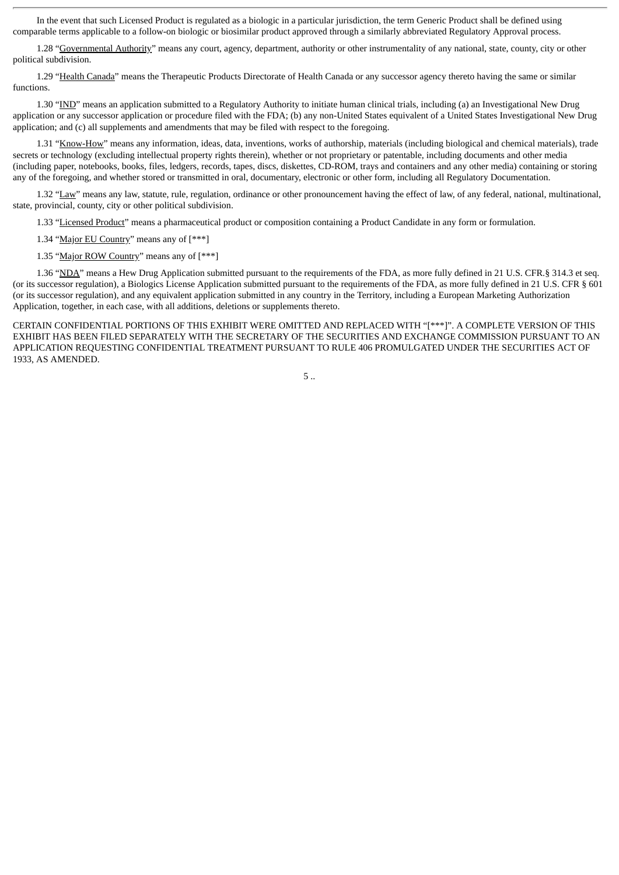In the event that such Licensed Product is regulated as a biologic in a particular jurisdiction, the term Generic Product shall be defined using comparable terms applicable to a follow-on biologic or biosimilar product approved through a similarly abbreviated Regulatory Approval process.

1.28 "Governmental Authority" means any court, agency, department, authority or other instrumentality of any national, state, county, city or other political subdivision.

1.29 "Health Canada" means the Therapeutic Products Directorate of Health Canada or any successor agency thereto having the same or similar functions.

1.30 "IND" means an application submitted to a Regulatory Authority to initiate human clinical trials, including (a) an Investigational New Drug application or any successor application or procedure filed with the FDA; (b) any non-United States equivalent of a United States Investigational New Drug application; and (c) all supplements and amendments that may be filed with respect to the foregoing.

1.31 "Know-How" means any information, ideas, data, inventions, works of authorship, materials (including biological and chemical materials), trade secrets or technology (excluding intellectual property rights therein), whether or not proprietary or patentable, including documents and other media (including paper, notebooks, books, files, ledgers, records, tapes, discs, diskettes, CD-ROM, trays and containers and any other media) containing or storing any of the foregoing, and whether stored or transmitted in oral, documentary, electronic or other form, including all Regulatory Documentation.

1.32 "Law" means any law, statute, rule, regulation, ordinance or other pronouncement having the effect of law, of any federal, national, multinational, state, provincial, county, city or other political subdivision.

1.33 "Licensed Product" means a pharmaceutical product or composition containing a Product Candidate in any form or formulation.

1.34 "Major EU Country" means any of [\*\*\*]

1.35 "Major ROW Country" means any of [\*\*\*]

1.36 "NDA" means a Hew Drug Application submitted pursuant to the requirements of the FDA, as more fully defined in 21 U.S. CFR.§ 314.3 et seq. (or its successor regulation), a Biologics License Application submitted pursuant to the requirements of the FDA, as more fully defined in 21 U.S. CFR § 601 (or its successor regulation), and any equivalent application submitted in any country in the Territory, including a European Marketing Authorization Application, together, in each case, with all additions, deletions or supplements thereto.

CERTAIN CONFIDENTIAL PORTIONS OF THIS EXHIBIT WERE OMITTED AND REPLACED WITH "[\*\*\*]". A COMPLETE VERSION OF THIS EXHIBIT HAS BEEN FILED SEPARATELY WITH THE SECRETARY OF THE SECURITIES AND EXCHANGE COMMISSION PURSUANT TO AN APPLICATION REQUESTING CONFIDENTIAL TREATMENT PURSUANT TO RULE 406 PROMULGATED UNDER THE SECURITIES ACT OF 1933, AS AMENDED.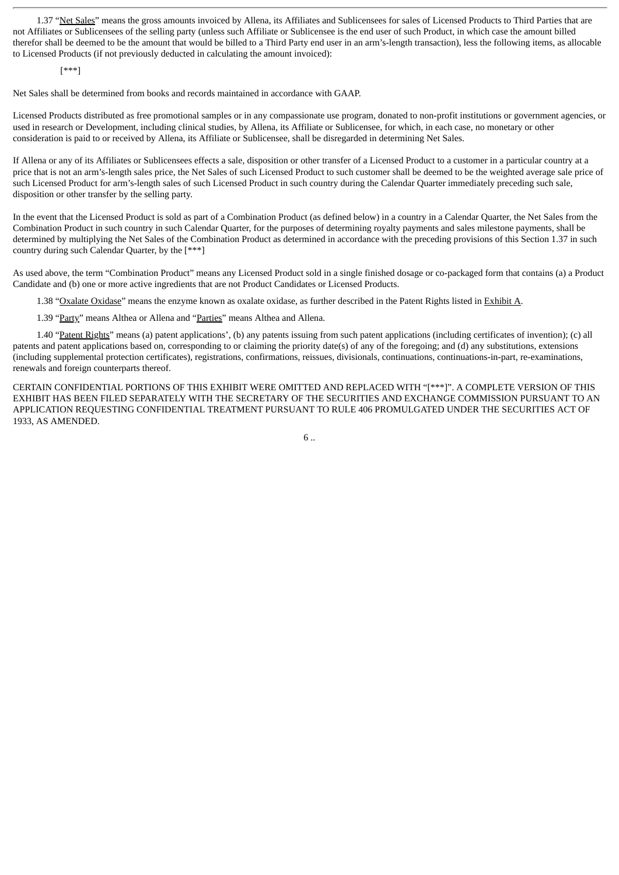1.37 "Net Sales" means the gross amounts invoiced by Allena, its Affiliates and Sublicensees for sales of Licensed Products to Third Parties that are not Affiliates or Sublicensees of the selling party (unless such Affiliate or Sublicensee is the end user of such Product, in which case the amount billed therefor shall be deemed to be the amount that would be billed to a Third Party end user in an arm's-length transaction), less the following items, as allocable to Licensed Products (if not previously deducted in calculating the amount invoiced):

[\*\*\*]

Net Sales shall be determined from books and records maintained in accordance with GAAP.

Licensed Products distributed as free promotional samples or in any compassionate use program, donated to non-profit institutions or government agencies, or used in research or Development, including clinical studies, by Allena, its Affiliate or Sublicensee, for which, in each case, no monetary or other consideration is paid to or received by Allena, its Affiliate or Sublicensee, shall be disregarded in determining Net Sales.

If Allena or any of its Affiliates or Sublicensees effects a sale, disposition or other transfer of a Licensed Product to a customer in a particular country at a price that is not an arm's-length sales price, the Net Sales of such Licensed Product to such customer shall be deemed to be the weighted average sale price of such Licensed Product for arm's-length sales of such Licensed Product in such country during the Calendar Quarter immediately preceding such sale, disposition or other transfer by the selling party.

In the event that the Licensed Product is sold as part of a Combination Product (as defined below) in a country in a Calendar Quarter, the Net Sales from the Combination Product in such country in such Calendar Quarter, for the purposes of determining royalty payments and sales milestone payments, shall be determined by multiplying the Net Sales of the Combination Product as determined in accordance with the preceding provisions of this Section 1.37 in such country during such Calendar Quarter, by the [\*\*\*]

As used above, the term "Combination Product" means any Licensed Product sold in a single finished dosage or co-packaged form that contains (a) a Product Candidate and (b) one or more active ingredients that are not Product Candidates or Licensed Products.

1.38 "Oxalate Oxidase" means the enzyme known as oxalate oxidase, as further described in the Patent Rights listed in Exhibit A.

1.39 "Party" means Althea or Allena and "Parties" means Althea and Allena.

1.40 "Patent Rights" means (a) patent applications', (b) any patents issuing from such patent applications (including certificates of invention); (c) all patents and patent applications based on, corresponding to or claiming the priority date(s) of any of the foregoing; and (d) any substitutions, extensions (including supplemental protection certificates), registrations, confirmations, reissues, divisionals, continuations, continuations-in-part, re-examinations, renewals and foreign counterparts thereof.

CERTAIN CONFIDENTIAL PORTIONS OF THIS EXHIBIT WERE OMITTED AND REPLACED WITH "[\*\*\*]". A COMPLETE VERSION OF THIS EXHIBIT HAS BEEN FILED SEPARATELY WITH THE SECRETARY OF THE SECURITIES AND EXCHANGE COMMISSION PURSUANT TO AN APPLICATION REQUESTING CONFIDENTIAL TREATMENT PURSUANT TO RULE 406 PROMULGATED UNDER THE SECURITIES ACT OF 1933, AS AMENDED.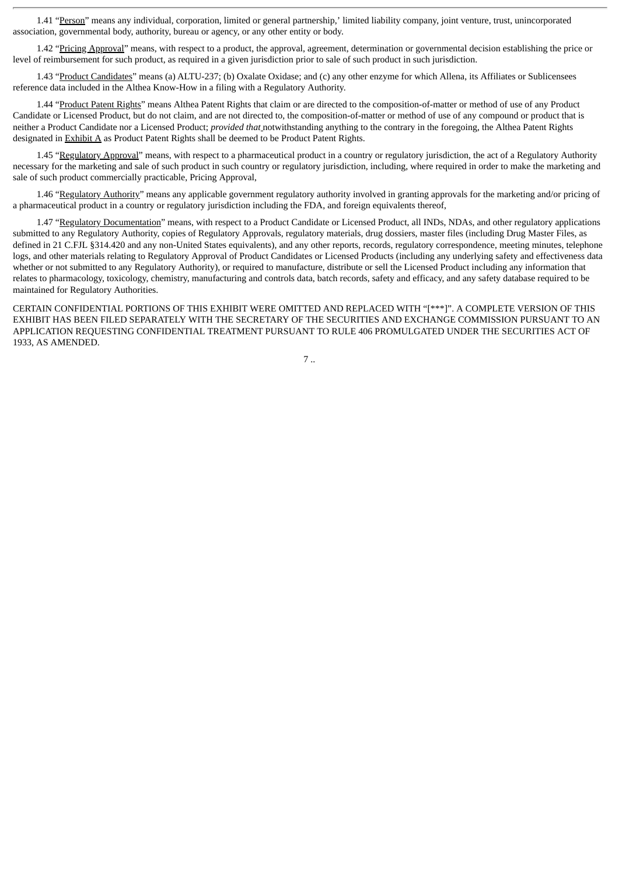1.41 "Person" means any individual, corporation, limited or general partnership,' limited liability company, joint venture, trust, unincorporated association, governmental body, authority, bureau or agency, or any other entity or body.

1.42 "Pricing Approval" means, with respect to a product, the approval, agreement, determination or governmental decision establishing the price or level of reimbursement for such product, as required in a given jurisdiction prior to sale of such product in such jurisdiction.

1.43 "Product Candidates" means (a) ALTU-237; (b) Oxalate Oxidase; and (c) any other enzyme for which Allena, its Affiliates or Sublicensees reference data included in the Althea Know-How in a filing with a Regulatory Authority.

1.44 "Product Patent Rights" means Althea Patent Rights that claim or are directed to the composition-of-matter or method of use of any Product Candidate or Licensed Product, but do not claim, and are not directed to, the composition-of-matter or method of use of any compound or product that is neither a Product Candidate nor a Licensed Product; *provided that* notwithstanding anything to the contrary in the foregoing, the Althea Patent Rights designated in Exhibit A as Product Patent Rights shall be deemed to be Product Patent Rights.

1.45 "Regulatory Approval" means, with respect to a pharmaceutical product in a country or regulatory jurisdiction, the act of a Regulatory Authority necessary for the marketing and sale of such product in such country or regulatory jurisdiction, including, where required in order to make the marketing and sale of such product commercially practicable, Pricing Approval,

1.46 "Regulatory Authority" means any applicable government regulatory authority involved in granting approvals for the marketing and/or pricing of a pharmaceutical product in a country or regulatory jurisdiction including the FDA, and foreign equivalents thereof,

1.47 "Regulatory Documentation" means, with respect to a Product Candidate or Licensed Product, all INDs, NDAs, and other regulatory applications submitted to any Regulatory Authority, copies of Regulatory Approvals, regulatory materials, drug dossiers, master files (including Drug Master Files, as defined in 21 C.FJL §314.420 and any non-United States equivalents), and any other reports, records, regulatory correspondence, meeting minutes, telephone logs, and other materials relating to Regulatory Approval of Product Candidates or Licensed Products (including any underlying safety and effectiveness data whether or not submitted to any Regulatory Authority), or required to manufacture, distribute or sell the Licensed Product including any information that relates to pharmacology, toxicology, chemistry, manufacturing and controls data, batch records, safety and efficacy, and any safety database required to be maintained for Regulatory Authorities.

CERTAIN CONFIDENTIAL PORTIONS OF THIS EXHIBIT WERE OMITTED AND REPLACED WITH "[\*\*\*]". A COMPLETE VERSION OF THIS EXHIBIT HAS BEEN FILED SEPARATELY WITH THE SECRETARY OF THE SECURITIES AND EXCHANGE COMMISSION PURSUANT TO AN APPLICATION REQUESTING CONFIDENTIAL TREATMENT PURSUANT TO RULE 406 PROMULGATED UNDER THE SECURITIES ACT OF 1933, AS AMENDED.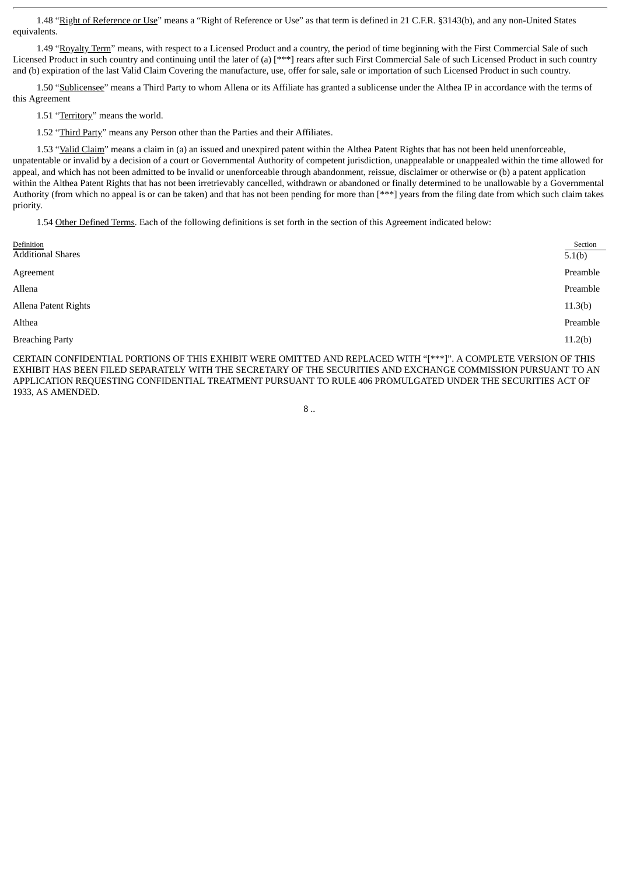1.48 "Right of Reference or Use" means a "Right of Reference or Use" as that term is defined in 21 C.F.R. §3143(b), and any non-United States equivalents.

1.49 "Royalty Term" means, with respect to a Licensed Product and a country, the period of time beginning with the First Commercial Sale of such Licensed Product in such country and continuing until the later of (a) [\*\*\*] rears after such First Commercial Sale of such Licensed Product in such country and (b) expiration of the last Valid Claim Covering the manufacture, use, offer for sale, sale or importation of such Licensed Product in such country.

1.50 "Sublicensee" means a Third Party to whom Allena or its Affiliate has granted a sublicense under the Althea IP in accordance with the terms of this Agreement

1.51 "Territory" means the world.

1.52 "Third Party" means any Person other than the Parties and their Affiliates.

1.53 "Valid Claim" means a claim in (a) an issued and unexpired patent within the Althea Patent Rights that has not been held unenforceable, unpatentable or invalid by a decision of a court or Governmental Authority of competent jurisdiction, unappealable or unappealed within the time allowed for appeal, and which has not been admitted to be invalid or unenforceable through abandonment, reissue, disclaimer or otherwise or (b) a patent application within the Althea Patent Rights that has not been irretrievably cancelled, withdrawn or abandoned or finally determined to be unallowable by a Governmental Authority (from which no appeal is or can be taken) and that has not been pending for more than [\*\*\*] years from the filing date from which such claim takes priority.

1.54 Other Defined Terms. Each of the following definitions is set forth in the section of this Agreement indicated below:

| Definition<br><b>Additional Shares</b> | Section<br>5.1(b) |
|----------------------------------------|-------------------|
| Agreement                              | Preamble          |
| Allena                                 | Preamble          |
| Allena Patent Rights                   | 11.3(b)           |
| Althea                                 | Preamble          |
| <b>Breaching Party</b>                 | 11.2(b)           |
|                                        |                   |

CERTAIN CONFIDENTIAL PORTIONS OF THIS EXHIBIT WERE OMITTED AND REPLACED WITH "[\*\*\*]". A COMPLETE VERSION OF THIS EXHIBIT HAS BEEN FILED SEPARATELY WITH THE SECRETARY OF THE SECURITIES AND EXCHANGE COMMISSION PURSUANT TO AN APPLICATION REQUESTING CONFIDENTIAL TREATMENT PURSUANT TO RULE 406 PROMULGATED UNDER THE SECURITIES ACT OF 1933, AS AMENDED.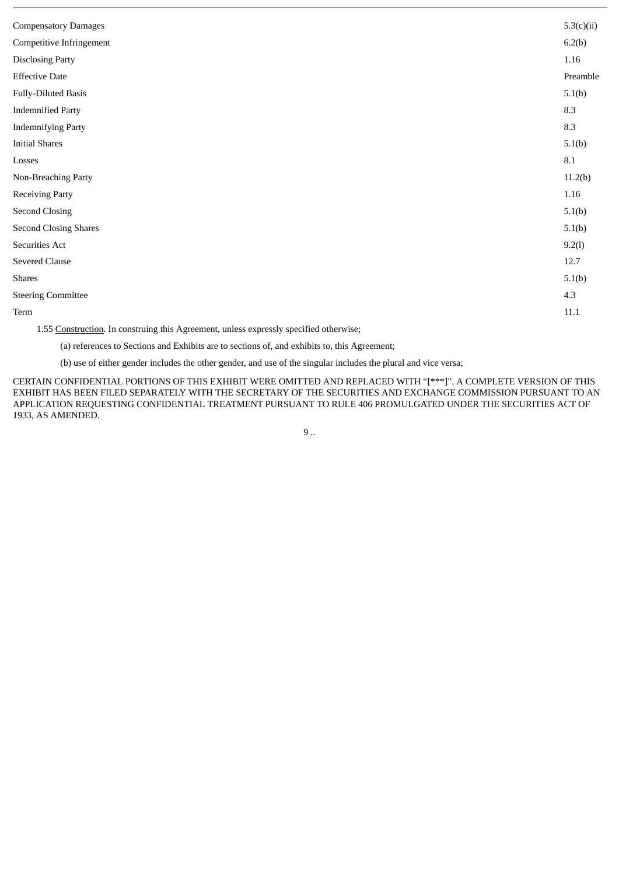| <b>Compensatory Damages</b>                                                                                                                                                                                                                                                                                                                                                                                                | 5.3(c)(ii) |
|----------------------------------------------------------------------------------------------------------------------------------------------------------------------------------------------------------------------------------------------------------------------------------------------------------------------------------------------------------------------------------------------------------------------------|------------|
| Competitive Infringement                                                                                                                                                                                                                                                                                                                                                                                                   | 6.2(b)     |
| <b>Disclosing Party</b>                                                                                                                                                                                                                                                                                                                                                                                                    | 1.16       |
| <b>Effective Date</b>                                                                                                                                                                                                                                                                                                                                                                                                      | Preamble   |
| <b>Fully-Diluted Basis</b>                                                                                                                                                                                                                                                                                                                                                                                                 | 5.1(b)     |
| <b>Indemnified Party</b>                                                                                                                                                                                                                                                                                                                                                                                                   | 8.3        |
| <b>Indemnifying Party</b>                                                                                                                                                                                                                                                                                                                                                                                                  | 8.3        |
| <b>Initial Shares</b>                                                                                                                                                                                                                                                                                                                                                                                                      | 5.1(b)     |
| Losses                                                                                                                                                                                                                                                                                                                                                                                                                     | $\rm 8.1$  |
| Non-Breaching Party                                                                                                                                                                                                                                                                                                                                                                                                        | 11.2(b)    |
| <b>Receiving Party</b>                                                                                                                                                                                                                                                                                                                                                                                                     | 1.16       |
| <b>Second Closing</b>                                                                                                                                                                                                                                                                                                                                                                                                      | 5.1(b)     |
| <b>Second Closing Shares</b>                                                                                                                                                                                                                                                                                                                                                                                               | 5.1(b)     |
| Securities Act                                                                                                                                                                                                                                                                                                                                                                                                             | 9.2(l)     |
| <b>Severed Clause</b>                                                                                                                                                                                                                                                                                                                                                                                                      | 12.7       |
| <b>Shares</b>                                                                                                                                                                                                                                                                                                                                                                                                              | 5.1(b)     |
| <b>Steering Committee</b>                                                                                                                                                                                                                                                                                                                                                                                                  | 4.3        |
| Term                                                                                                                                                                                                                                                                                                                                                                                                                       | $11.1\,$   |
| $\mathbf{A} = \mathbf{A} \mathbf{A} + \mathbf{A} \mathbf{A} + \mathbf{A} + \mathbf{A} + \mathbf{A} + \mathbf{A} + \mathbf{A} + \mathbf{A} + \mathbf{A} + \mathbf{A} + \mathbf{A} + \mathbf{A} + \mathbf{A} + \mathbf{A} + \mathbf{A} + \mathbf{A} + \mathbf{A} + \mathbf{A} + \mathbf{A} + \mathbf{A} + \mathbf{A} + \mathbf{A} + \mathbf{A} + \mathbf{A} + \mathbf{A} + \mathbf{A} + \mathbf{A} + \mathbf{A} + \mathbf{A$ |            |

1.55 Construction. In construing this Agreement, unless expressly specified otherwise;

(a) references to Sections and Exhibits are to sections of, and exhibits to, this Agreement;

(b) use of either gender includes the other gender, and use of the singular includes the plural and vice versa;

CERTAIN CONFIDENTIAL PORTIONS OF THIS EXHIBIT WERE OMITTED AND REPLACED WITH "[\*\*\*]". A COMPLETE VERSION OF THIS EXHIBIT HAS BEEN FILED SEPARATELY WITH THE SECRETARY OF THE SECURITIES AND EXCHANGE COMMISSION PURSUANT TO AN APPLICATION REQUESTING CONFIDENTIAL TREATMENT PURSUANT TO RULE 406 PROMULGATED UNDER THE SECURITIES ACT OF 1933, AS AMENDED.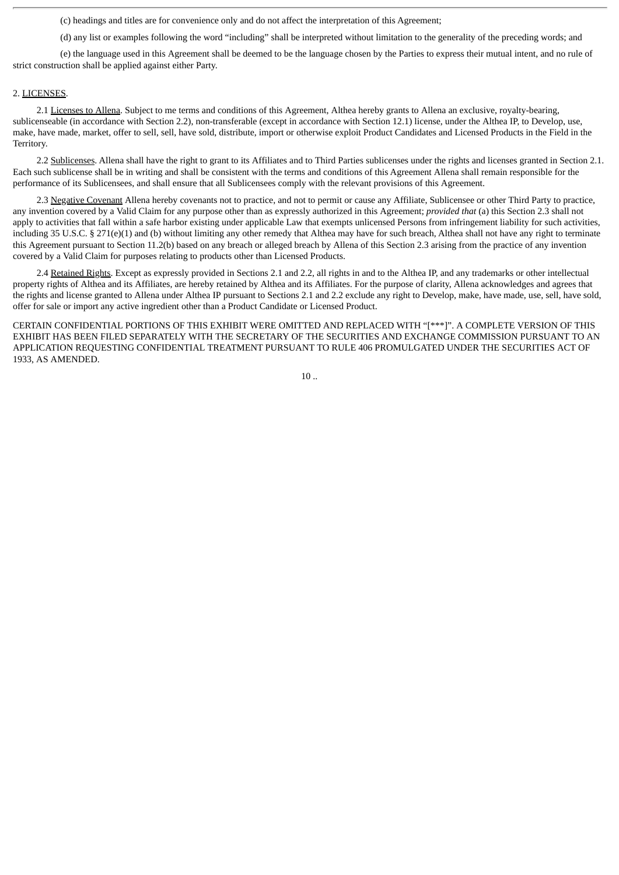(c) headings and titles are for convenience only and do not affect the interpretation of this Agreement;

(d) any list or examples following the word "including" shall be interpreted without limitation to the generality of the preceding words; and

(e) the language used in this Agreement shall be deemed to be the language chosen by the Parties to express their mutual intent, and no rule of strict construction shall be applied against either Party.

#### 2. LICENSES.

2.1 Licenses to Allena. Subject to me terms and conditions of this Agreement, Althea hereby grants to Allena an exclusive, royalty-bearing, sublicenseable (in accordance with Section 2.2), non-transferable (except in accordance with Section 12.1) license, under the Althea IP, to Develop, use, make, have made, market, offer to sell, sell, have sold, distribute, import or otherwise exploit Product Candidates and Licensed Products in the Field in the Territory.

2.2 Sublicenses. Allena shall have the right to grant to its Affiliates and to Third Parties sublicenses under the rights and licenses granted in Section 2.1. Each such sublicense shall be in writing and shall be consistent with the terms and conditions of this Agreement Allena shall remain responsible for the performance of its Sublicensees, and shall ensure that all Sublicensees comply with the relevant provisions of this Agreement.

2.3 Negative Covenant Allena hereby covenants not to practice, and not to permit or cause any Affiliate, Sublicensee or other Third Party to practice, any invention covered by a Valid Claim for any purpose other than as expressly authorized in this Agreement; *provided that* (a) this Section 2.3 shall not apply to activities that fall within a safe harbor existing under applicable Law that exempts unlicensed Persons from infringement liability for such activities, including 35 U.S.C. § 271(e)(1) and (b) without limiting any other remedy that Althea may have for such breach, Althea shall not have any right to terminate this Agreement pursuant to Section 11.2(b) based on any breach or alleged breach by Allena of this Section 2.3 arising from the practice of any invention covered by a Valid Claim for purposes relating to products other than Licensed Products.

2.4 Retained Rights. Except as expressly provided in Sections 2.1 and 2.2, all rights in and to the Althea IP, and any trademarks or other intellectual property rights of Althea and its Affiliates, are hereby retained by Althea and its Affiliates. For the purpose of clarity, Allena acknowledges and agrees that the rights and license granted to Allena under Althea IP pursuant to Sections 2.1 and 2.2 exclude any right to Develop, make, have made, use, sell, have sold, offer for sale or import any active ingredient other than a Product Candidate or Licensed Product.

CERTAIN CONFIDENTIAL PORTIONS OF THIS EXHIBIT WERE OMITTED AND REPLACED WITH "[\*\*\*]". A COMPLETE VERSION OF THIS EXHIBIT HAS BEEN FILED SEPARATELY WITH THE SECRETARY OF THE SECURITIES AND EXCHANGE COMMISSION PURSUANT TO AN APPLICATION REQUESTING CONFIDENTIAL TREATMENT PURSUANT TO RULE 406 PROMULGATED UNDER THE SECURITIES ACT OF 1933, AS AMENDED.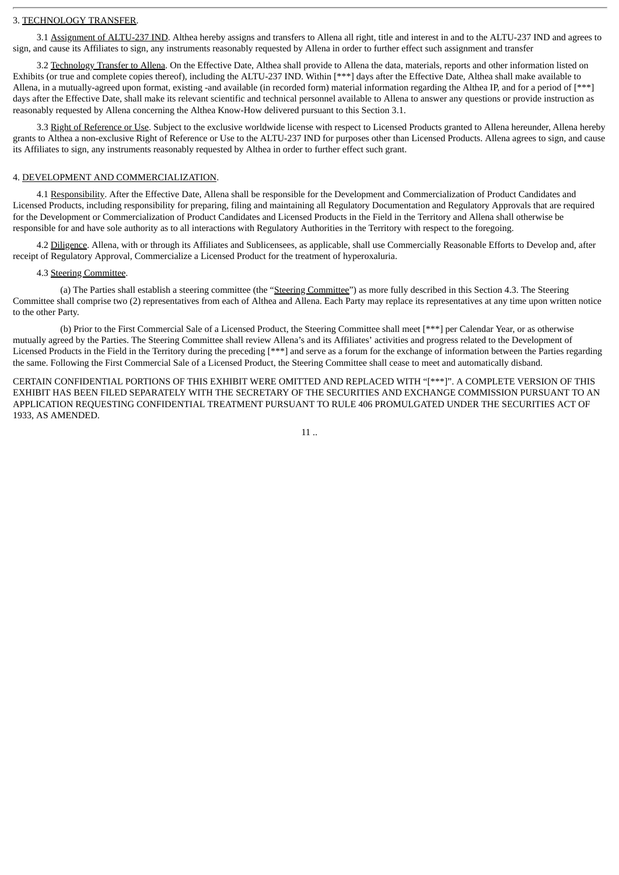#### 3. TECHNOLOGY TRANSFER.

3.1 Assignment of ALTU-237 IND. Althea hereby assigns and transfers to Allena all right, title and interest in and to the ALTU-237 IND and agrees to sign, and cause its Affiliates to sign, any instruments reasonably requested by Allena in order to further effect such assignment and transfer

3.2 Technology Transfer to Allena. On the Effective Date, Althea shall provide to Allena the data, materials, reports and other information listed on Exhibits (or true and complete copies thereof), including the ALTU-237 IND. Within [\*\*\*] days after the Effective Date, Althea shall make available to Allena, in a mutually-agreed upon format, existing -and available (in recorded form) material information regarding the Althea IP, and for a period of [\*\*\*] days after the Effective Date, shall make its relevant scientific and technical personnel available to Allena to answer any questions or provide instruction as reasonably requested by Allena concerning the Althea Know-How delivered pursuant to this Section 3.1.

3.3 Right of Reference or Use. Subject to the exclusive worldwide license with respect to Licensed Products granted to Allena hereunder, Allena hereby grants to Althea a non-exclusive Right of Reference or Use to the ALTU-237 IND for purposes other than Licensed Products. Allena agrees to sign, and cause its Affiliates to sign, any instruments reasonably requested by Althea in order to further effect such grant.

#### 4. DEVELOPMENT AND COMMERCIALIZATION.

4.1 Responsibility. After the Effective Date, Allena shall be responsible for the Development and Commercialization of Product Candidates and Licensed Products, including responsibility for preparing, filing and maintaining all Regulatory Documentation and Regulatory Approvals that are required for the Development or Commercialization of Product Candidates and Licensed Products in the Field in the Territory and Allena shall otherwise be responsible for and have sole authority as to all interactions with Regulatory Authorities in the Territory with respect to the foregoing.

4.2 Diligence. Allena, with or through its Affiliates and Sublicensees, as applicable, shall use Commercially Reasonable Efforts to Develop and, after receipt of Regulatory Approval, Commercialize a Licensed Product for the treatment of hyperoxaluria.

#### 4.3 Steering Committee.

(a) The Parties shall establish a steering committee (the "Steering Committee") as more fully described in this Section 4.3. The Steering Committee shall comprise two (2) representatives from each of Althea and Allena. Each Party may replace its representatives at any time upon written notice to the other Party.

(b) Prior to the First Commercial Sale of a Licensed Product, the Steering Committee shall meet [\*\*\*] per Calendar Year, or as otherwise mutually agreed by the Parties. The Steering Committee shall review Allena's and its Affiliates' activities and progress related to the Development of Licensed Products in the Field in the Territory during the preceding [\*\*\*] and serve as a forum for the exchange of information between the Parties regarding the same. Following the First Commercial Sale of a Licensed Product, the Steering Committee shall cease to meet and automatically disband.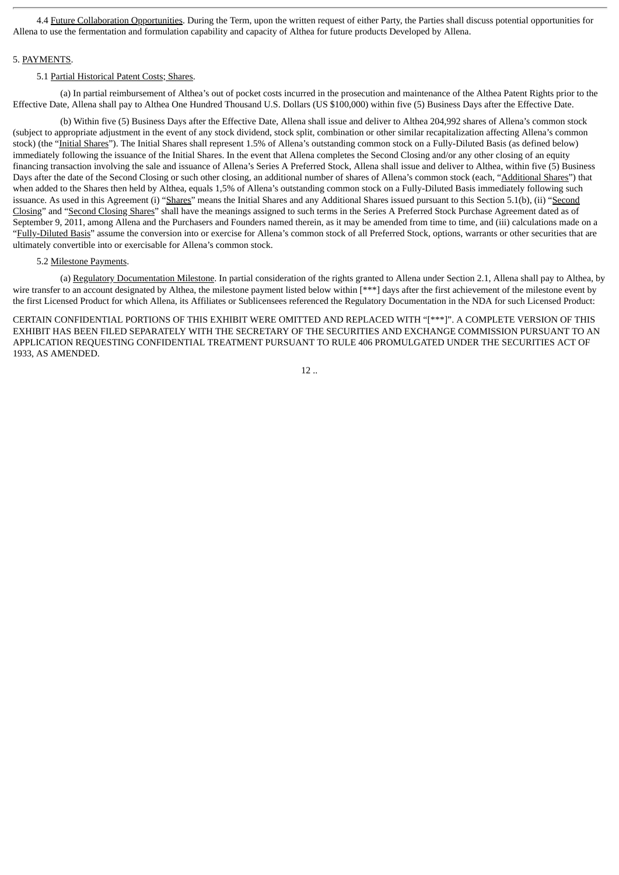4.4 Future Collaboration Opportunities. During the Term, upon the written request of either Party, the Parties shall discuss potential opportunities for Allena to use the fermentation and formulation capability and capacity of Althea for future products Developed by Allena.

#### 5. PAYMENTS.

#### 5.1 Partial Historical Patent Costs; Shares.

(a) In partial reimbursement of Althea's out of pocket costs incurred in the prosecution and maintenance of the Althea Patent Rights prior to the Effective Date, Allena shall pay to Althea One Hundred Thousand U.S. Dollars (US \$100,000) within five (5) Business Days after the Effective Date.

(b) Within five (5) Business Days after the Effective Date, Allena shall issue and deliver to Althea 204,992 shares of Allena's common stock (subject to appropriate adjustment in the event of any stock dividend, stock split, combination or other similar recapitalization affecting Allena's common stock) (the "Initial Shares"). The Initial Shares shall represent 1.5% of Allena's outstanding common stock on a Fully-Diluted Basis (as defined below) immediately following the issuance of the Initial Shares. In the event that Allena completes the Second Closing and/or any other closing of an equity financing transaction involving the sale and issuance of Allena's Series A Preferred Stock, Allena shall issue and deliver to Althea, within five (5) Business Days after the date of the Second Closing or such other closing, an additional number of shares of Allena's common stock (each, "Additional Shares") that when added to the Shares then held by Althea, equals 1,5% of Allena's outstanding common stock on a Fully-Diluted Basis immediately following such issuance. As used in this Agreement (i) "Shares" means the Initial Shares and any Additional Shares issued pursuant to this Section 5.1(b), (ii) "Second Closing" and "Second Closing Shares" shall have the meanings assigned to such terms in the Series A Preferred Stock Purchase Agreement dated as of September 9, 2011, among Allena and the Purchasers and Founders named therein, as it may be amended from time to time, and (iii) calculations made on a "Fully-Diluted Basis" assume the conversion into or exercise for Allena's common stock of all Preferred Stock, options, warrants or other securities that are ultimately convertible into or exercisable for Allena's common stock.

#### 5.2 Milestone Payments.

(a) Regulatory Documentation Milestone. In partial consideration of the rights granted to Allena under Section 2.1, Allena shall pay to Althea, by wire transfer to an account designated by Althea, the milestone payment listed below within [\*\*\*] days after the first achievement of the milestone event by the first Licensed Product for which Allena, its Affiliates or Sublicensees referenced the Regulatory Documentation in the NDA for such Licensed Product:

CERTAIN CONFIDENTIAL PORTIONS OF THIS EXHIBIT WERE OMITTED AND REPLACED WITH "[\*\*\*]". A COMPLETE VERSION OF THIS EXHIBIT HAS BEEN FILED SEPARATELY WITH THE SECRETARY OF THE SECURITIES AND EXCHANGE COMMISSION PURSUANT TO AN APPLICATION REQUESTING CONFIDENTIAL TREATMENT PURSUANT TO RULE 406 PROMULGATED UNDER THE SECURITIES ACT OF 1933, AS AMENDED.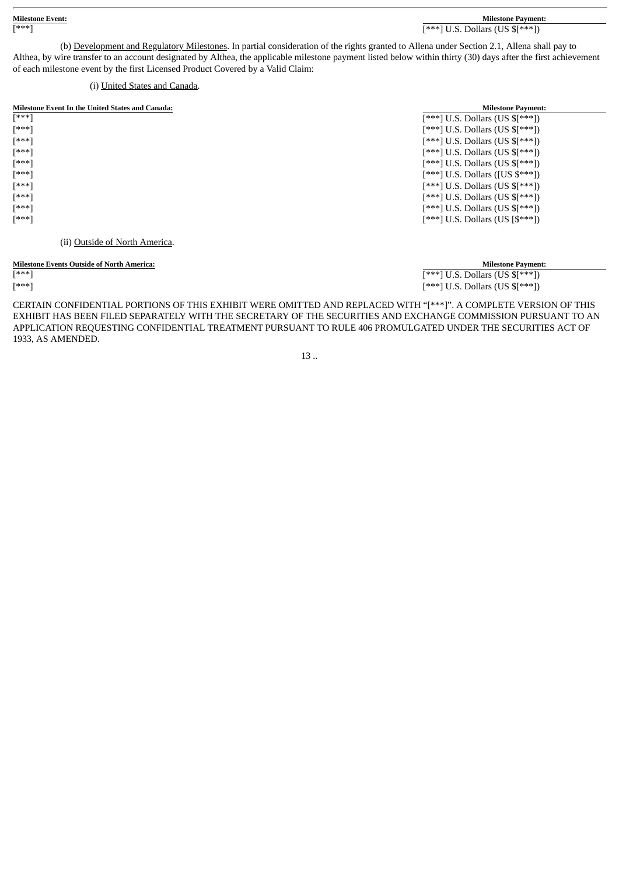(b) Development and Regulatory Milestones. In partial consideration of the rights granted to Allena under Section 2.1, Allena shall pay to Althea, by wire transfer to an account designated by Althea, the applicable milestone payment listed below within thirty (30) days after the first achievement of each milestone event by the first Licensed Product Covered by a Valid Claim:

#### (i) United States and Canada.

| <b>Milestone Event In the United States and Canada:</b> | <b>Milestone Payment:</b>            |
|---------------------------------------------------------|--------------------------------------|
| [***]                                                   | $[***]$ U.S. Dollars (US $[***])$    |
| [***]                                                   | $[***]$ U.S. Dollars (US $[***])$    |
| [***]                                                   | $[***]$ U.S. Dollars (US $[***])$    |
| [***]                                                   | $[***]$ U.S. Dollars (US $[***])$    |
| [***]                                                   | $[***]$ U.S. Dollars (US $[***])$    |
| [***]                                                   | $[***]$ U.S. Dollars ([US $\$***]$ ) |
| [***]                                                   | $[***]$ U.S. Dollars (US $[***])$    |
| [***]                                                   | $[***]$ U.S. Dollars (US $[***])$    |
| [***]                                                   | $[***]$ U.S. Dollars (US $[***])$    |
| [***]                                                   | $[***]$ U.S. Dollars (US $[$***]$ )  |
| (ii) Outside of North America.                          |                                      |

#### **Milestone Events Outside of North America: Milestone Payment:**

 $\overline{[****]}$  U.S. Dollars (US  $\overline{\mathbb{S}}^{(**)}$ )  $[***]$  [\*\*\*] U.S. Dollars (US \$[\*\*\*])

CERTAIN CONFIDENTIAL PORTIONS OF THIS EXHIBIT WERE OMITTED AND REPLACED WITH "[\*\*\*]". A COMPLETE VERSION OF THIS EXHIBIT HAS BEEN FILED SEPARATELY WITH THE SECRETARY OF THE SECURITIES AND EXCHANGE COMMISSION PURSUANT TO AN APPLICATION REQUESTING CONFIDENTIAL TREATMENT PURSUANT TO RULE 406 PROMULGATED UNDER THE SECURITIES ACT OF 1933, AS AMENDED.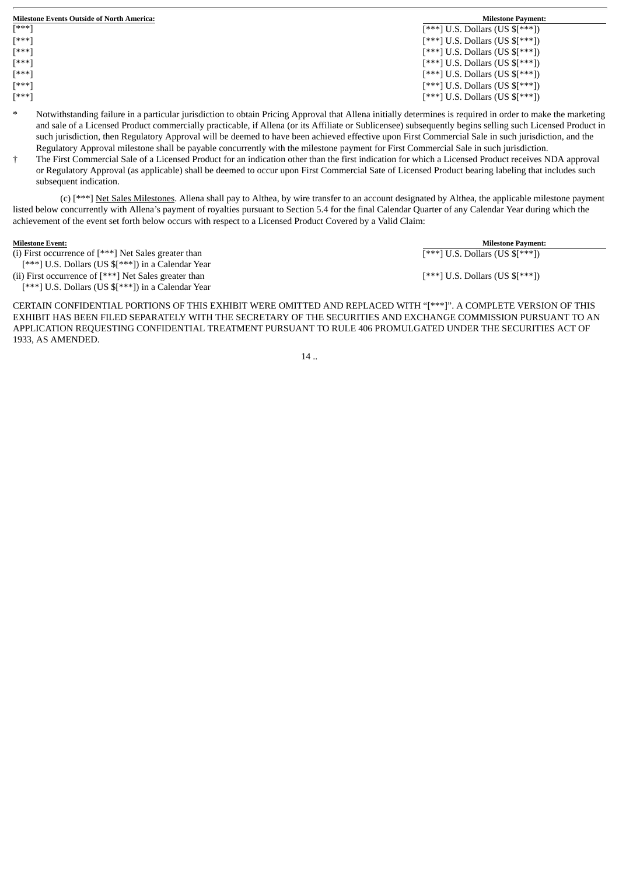| <b>Milestone Events Outside of North America:</b> | <b>Milestone Payment:</b>         |
|---------------------------------------------------|-----------------------------------|
| $[***]$                                           | $[***]$ U.S. Dollars (US $[***])$ |
| [***]                                             | $[***]$ U.S. Dollars (US $[***])$ |
| $[***]$                                           | $[***]$ U.S. Dollars (US $[***])$ |
| [***]                                             | $[***]$ U.S. Dollars (US $[***])$ |
| [***]                                             | $[***]$ U.S. Dollars (US $[***])$ |
| [***]                                             | $[***]$ U.S. Dollars (US $[***])$ |
| $[***]$                                           | $[***]$ U.S. Dollars (US $[***])$ |

- Notwithstanding failure in a particular jurisdiction to obtain Pricing Approval that Allena initially determines is required in order to make the marketing and sale of a Licensed Product commercially practicable, if Allena (or its Affiliate or Sublicensee) subsequently begins selling such Licensed Product in such jurisdiction, then Regulatory Approval will be deemed to have been achieved effective upon First Commercial Sale in such jurisdiction, and the Regulatory Approval milestone shall be payable concurrently with the milestone payment for First Commercial Sale in such jurisdiction.
- † The First Commercial Sale of a Licensed Product for an indication other than the first indication for which a Licensed Product receives NDA approval or Regulatory Approval (as applicable) shall be deemed to occur upon First Commercial Sate of Licensed Product bearing labeling that includes such subsequent indication.

(c) [\*\*\*] Net Sales Milestones. Allena shall pay to Althea, by wire transfer to an account designated by Althea, the applicable milestone payment listed below concurrently with Allena's payment of royalties pursuant to Section 5.4 for the final Calendar Quarter of any Calendar Year during which the achievement of the event set forth below occurs with respect to a Licensed Product Covered by a Valid Claim:

(i) First occurrence of [\*\*\*] Net Sales greater than [\*\*\*] U.S. Dollars (US \$[\*\*\*]) in a Calendar Year

**Milestone Event: Milestone Payment:**  $F^{***}$ ] U.S. Dollars (US  $F^{***}$ ]) [\*\*\*] U.S. Dollars (US \$[\*\*\*])

(ii) First occurrence of [\*\*\*] Net Sales greater than [\*\*\*] U.S. Dollars (US \$[\*\*\*]) in a Calendar Year

CERTAIN CONFIDENTIAL PORTIONS OF THIS EXHIBIT WERE OMITTED AND REPLACED WITH "[\*\*\*]". A COMPLETE VERSION OF THIS EXHIBIT HAS BEEN FILED SEPARATELY WITH THE SECRETARY OF THE SECURITIES AND EXCHANGE COMMISSION PURSUANT TO AN APPLICATION REQUESTING CONFIDENTIAL TREATMENT PURSUANT TO RULE 406 PROMULGATED UNDER THE SECURITIES ACT OF 1933, AS AMENDED.

 $14.$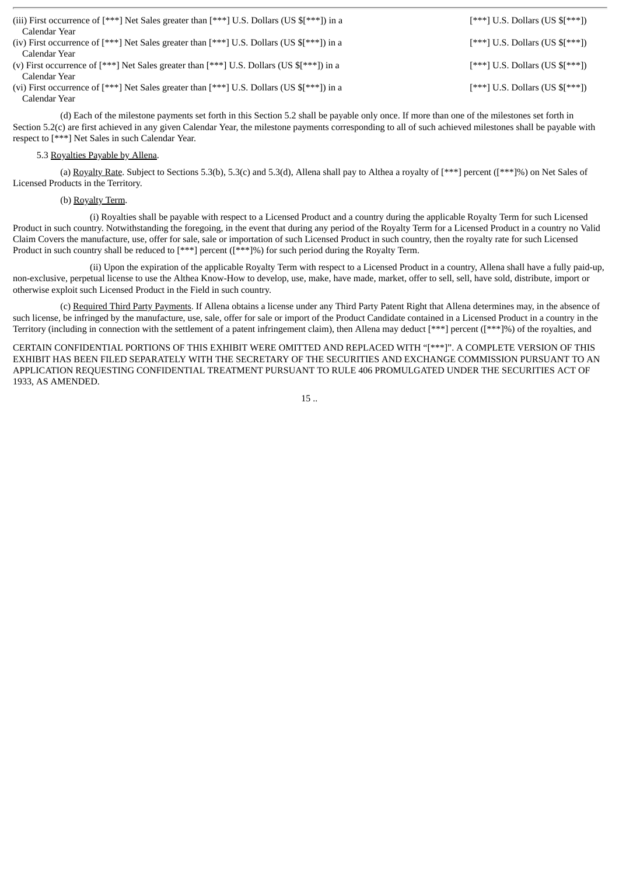| (iii) First occurrence of $[***]$ Net Sales greater than $[***]$ U.S. Dollars (US $[**]$ ) in a<br>Calendar Year | $[***]$ U.S. Dollars (US $[***])$ |
|------------------------------------------------------------------------------------------------------------------|-----------------------------------|
| (iv) First occurrence of $[***]$ Net Sales greater than $[***]$ U.S. Dollars (US $\{**\}]$ in a                  | $[***]$ U.S. Dollars (US $[***])$ |
| Calendar Year                                                                                                    |                                   |
| (v) First occurrence of $[***]$ Net Sales greater than $[***]$ U.S. Dollars (US $\{**\}]$ in a<br>Calendar Year  | $[***]$ U.S. Dollars (US $[***])$ |
| (vi) First occurrence of [***] Net Sales greater than [***] U.S. Dollars (US $\frac{1}{2}$ [***]) in a           | $[***]$ U.S. Dollars (US $[***])$ |
| Calendar Year                                                                                                    |                                   |

(d) Each of the milestone payments set forth in this Section 5.2 shall be payable only once. If more than one of the milestones set forth in Section 5.2(c) are first achieved in any given Calendar Year, the milestone payments corresponding to all of such achieved milestones shall be payable with respect to [\*\*\*] Net Sales in such Calendar Year.

#### 5.3 Royalties Payable by Allena.

(a) Royalty Rate. Subject to Sections 5.3(b), 5.3(c) and 5.3(d), Allena shall pay to Althea a royalty of [\*\*\*] percent ([\*\*\*]%) on Net Sales of Licensed Products in the Territory.

#### (b) Royalty Term.

(i) Royalties shall be payable with respect to a Licensed Product and a country during the applicable Royalty Term for such Licensed Product in such country. Notwithstanding the foregoing, in the event that during any period of the Royalty Term for a Licensed Product in a country no Valid Claim Covers the manufacture, use, offer for sale, sale or importation of such Licensed Product in such country, then the royalty rate for such Licensed Product in such country shall be reduced to [\*\*\*] percent ([\*\*\*]%) for such period during the Royalty Term.

(ii) Upon the expiration of the applicable Royalty Term with respect to a Licensed Product in a country, Allena shall have a fully paid-up, non-exclusive, perpetual license to use the Althea Know-How to develop, use, make, have made, market, offer to sell, sell, have sold, distribute, import or otherwise exploit such Licensed Product in the Field in such country.

(c) Required Third Party Payments. If Allena obtains a license under any Third Party Patent Right that Allena determines may, in the absence of such license, be infringed by the manufacture, use, sale, offer for sale or import of the Product Candidate contained in a Licensed Product in a country in the Territory (including in connection with the settlement of a patent infringement claim), then Allena may deduct [\*\*\*] percent ([\*\*\*]%) of the royalties, and

CERTAIN CONFIDENTIAL PORTIONS OF THIS EXHIBIT WERE OMITTED AND REPLACED WITH "[\*\*\*]". A COMPLETE VERSION OF THIS EXHIBIT HAS BEEN FILED SEPARATELY WITH THE SECRETARY OF THE SECURITIES AND EXCHANGE COMMISSION PURSUANT TO AN APPLICATION REQUESTING CONFIDENTIAL TREATMENT PURSUANT TO RULE 406 PROMULGATED UNDER THE SECURITIES ACT OF 1933, AS AMENDED.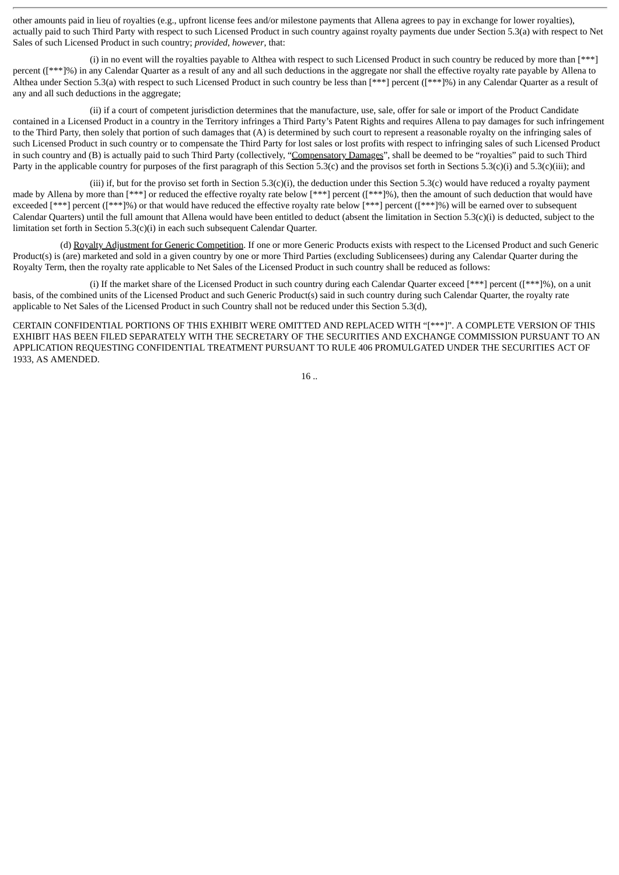other amounts paid in lieu of royalties (e.g., upfront license fees and/or milestone payments that Allena agrees to pay in exchange for lower royalties), actually paid to such Third Party with respect to such Licensed Product in such country against royalty payments due under Section 5.3(a) with respect to Net Sales of such Licensed Product in such country; *provided*, *however*, that:

(i) in no event will the royalties payable to Althea with respect to such Licensed Product in such country be reduced by more than [\*\*\*] percent ([\*\*\*]%) in any Calendar Quarter as a result of any and all such deductions in the aggregate nor shall the effective royalty rate payable by Allena to Althea under Section 5.3(a) with respect to such Licensed Product in such country be less than [\*\*\*] percent ([\*\*\*]%) in any Calendar Quarter as a result of any and all such deductions in the aggregate;

(ii) if a court of competent jurisdiction determines that the manufacture, use, sale, offer for sale or import of the Product Candidate contained in a Licensed Product in a country in the Territory infringes a Third Party's Patent Rights and requires Allena to pay damages for such infringement to the Third Party, then solely that portion of such damages that (A) is determined by such court to represent a reasonable royalty on the infringing sales of such Licensed Product in such country or to compensate the Third Party for lost sales or lost profits with respect to infringing sales of such Licensed Product in such country and (B) is actually paid to such Third Party (collectively, "Compensatory Damages", shall be deemed to be "royalties" paid to such Third Party in the applicable country for purposes of the first paragraph of this Section 5.3(c) and the provisos set forth in Sections 5.3(c)(i) and 5.3(c)(iii); and

(iii) if, but for the proviso set forth in Section 5.3(c)(i), the deduction under this Section 5.3(c) would have reduced a royalty payment made by Allena by more than [\*\*\*] or reduced the effective royalty rate below [\*\*\*] percent ([\*\*\*]%), then the amount of such deduction that would have exceeded [\*\*\*] percent ([\*\*\*]%) or that would have reduced the effective royalty rate below [\*\*\*] percent ([\*\*\*]%) will be earned over to subsequent Calendar Quarters) until the full amount that Allena would have been entitled to deduct (absent the limitation in Section 5.3(c)(i) is deducted, subject to the limitation set forth in Section 5.3(c)(i) in each such subsequent Calendar Quarter.

(d) Royalty Adjustment for Generic Competition. If one or more Generic Products exists with respect to the Licensed Product and such Generic Product(s) is (are) marketed and sold in a given country by one or more Third Parties (excluding Sublicensees) during any Calendar Quarter during the Royalty Term, then the royalty rate applicable to Net Sales of the Licensed Product in such country shall be reduced as follows:

(i) If the market share of the Licensed Product in such country during each Calendar Quarter exceed [\*\*\*] percent ([\*\*\*]%), on a unit basis, of the combined units of the Licensed Product and such Generic Product(s) said in such country during such Calendar Quarter, the royalty rate applicable to Net Sales of the Licensed Product in such Country shall not be reduced under this Section 5.3(d),

CERTAIN CONFIDENTIAL PORTIONS OF THIS EXHIBIT WERE OMITTED AND REPLACED WITH "[\*\*\*]". A COMPLETE VERSION OF THIS EXHIBIT HAS BEEN FILED SEPARATELY WITH THE SECRETARY OF THE SECURITIES AND EXCHANGE COMMISSION PURSUANT TO AN APPLICATION REQUESTING CONFIDENTIAL TREATMENT PURSUANT TO RULE 406 PROMULGATED UNDER THE SECURITIES ACT OF 1933, AS AMENDED.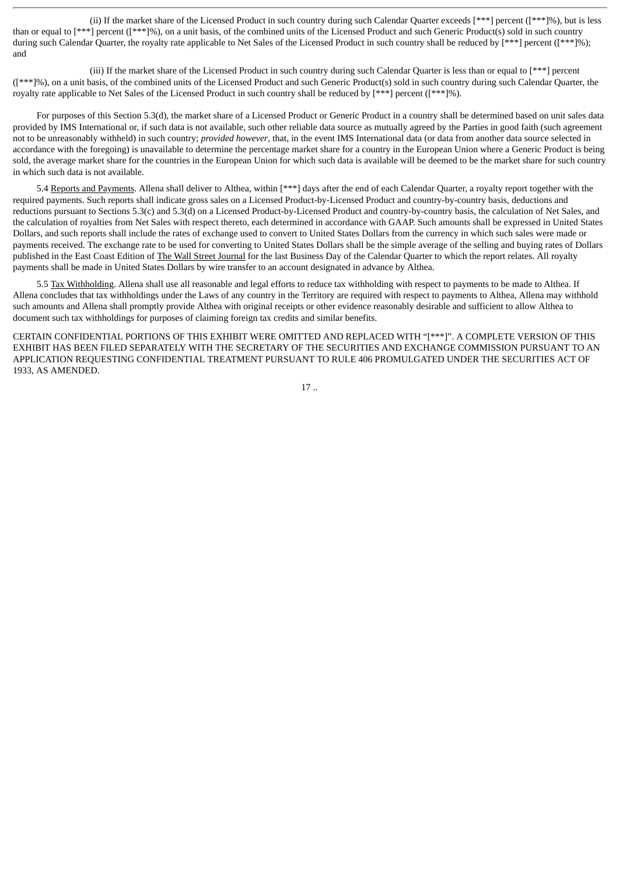(ii) If the market share of the Licensed Product in such country during such Calendar Quarter exceeds [\*\*\*] percent ([\*\*\*]%), but is less than or equal to [\*\*\*] percent ([\*\*\*]%), on a unit basis, of the combined units of the Licensed Product and such Generic Product(s) sold in such country during such Calendar Quarter, the royalty rate applicable to Net Sales of the Licensed Product in such country shall be reduced by [\*\*\*] percent ([\*\*\*]%); and

(iii) If the market share of the Licensed Product in such country during such Calendar Quarter is less than or equal to [\*\*\*] percent ([\*\*\*]%), on a unit basis, of the combined units of the Licensed Product and such Generic Product(s) sold in such country during such Calendar Quarter, the royalty rate applicable to Net Sales of the Licensed Product in such country shall be reduced by [\*\*\*] percent ([\*\*\*]%).

For purposes of this Section 5.3(d), the market share of a Licensed Product or Generic Product in a country shall be determined based on unit sales data provided by IMS International or, if such data is not available, such other reliable data source as mutually agreed by the Parties in good faith (such agreement not to be unreasonably withheld) in such country; *provided however*, that, in the event IMS International data (or data from another data source selected in accordance with the foregoing) is unavailable to determine the percentage market share for a country in the European Union where a Generic Product is being sold, the average market share for the countries in the European Union for which such data is available will be deemed to be the market share for such country in which such data is not available.

5.4 Reports and Payments. Allena shall deliver to Althea, within [\*\*\*] days after the end of each Calendar Quarter, a royalty report together with the required payments. Such reports shall indicate gross sales on a Licensed Product-by-Licensed Product and country-by-country basis, deductions and reductions pursuant to Sections 5.3(c) and 5.3(d) on a Licensed Product-by-Licensed Product and country-by-country basis, the calculation of Net Sales, and the calculation of royalties from Net Sales with respect thereto, each determined in accordance with GAAP. Such amounts shall be expressed in United States Dollars, and such reports shall include the rates of exchange used to convert to United States Dollars from the currency in which such sales were made or payments received. The exchange rate to be used for converting to United States Dollars shall be the simple average of the selling and buying rates of Dollars published in the East Coast Edition of The Wall Street Journal for the last Business Day of the Calendar Quarter to which the report relates. All royalty payments shall be made in United States Dollars by wire transfer to an account designated in advance by Althea.

5.5 Tax Withholding. Allena shall use all reasonable and legal efforts to reduce tax withholding with respect to payments to be made to Althea. If Allena concludes that tax withholdings under the Laws of any country in the Territory are required with respect to payments to Althea, Allena may withhold such amounts and Allena shall promptly provide Althea with original receipts or other evidence reasonably desirable and sufficient to allow Althea to document such tax withholdings for purposes of claiming foreign tax credits and similar benefits.

CERTAIN CONFIDENTIAL PORTIONS OF THIS EXHIBIT WERE OMITTED AND REPLACED WITH "[\*\*\*]". A COMPLETE VERSION OF THIS EXHIBIT HAS BEEN FILED SEPARATELY WITH THE SECRETARY OF THE SECURITIES AND EXCHANGE COMMISSION PURSUANT TO AN APPLICATION REQUESTING CONFIDENTIAL TREATMENT PURSUANT TO RULE 406 PROMULGATED UNDER THE SECURITIES ACT OF 1933, AS AMENDED.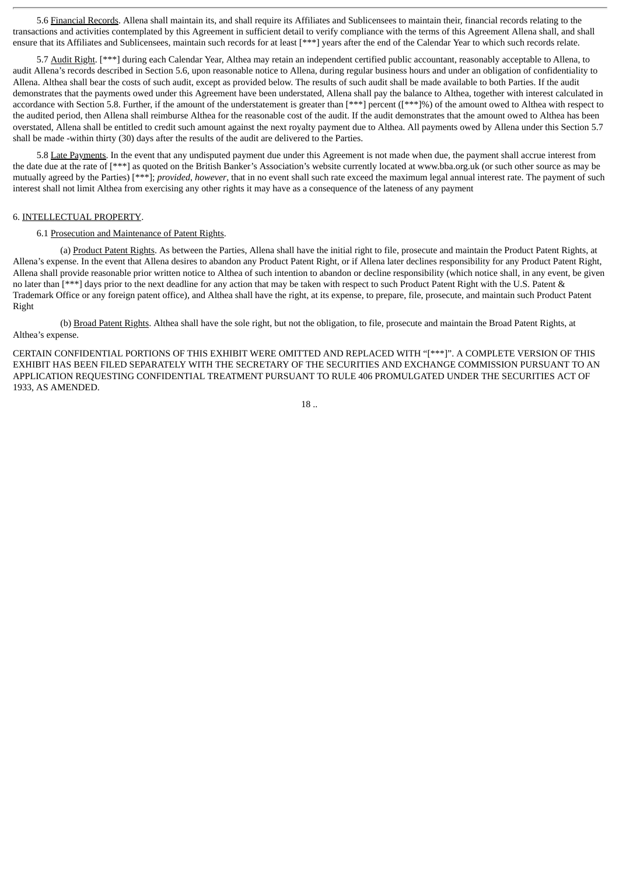5.6 Financial Records. Allena shall maintain its, and shall require its Affiliates and Sublicensees to maintain their, financial records relating to the transactions and activities contemplated by this Agreement in sufficient detail to verify compliance with the terms of this Agreement Allena shall, and shall ensure that its Affiliates and Sublicensees, maintain such records for at least [\*\*\*] years after the end of the Calendar Year to which such records relate.

5.7 Audit Right. [\*\*\*] during each Calendar Year, Althea may retain an independent certified public accountant, reasonably acceptable to Allena, to audit Allena's records described in Section 5.6, upon reasonable notice to Allena, during regular business hours and under an obligation of confidentiality to Allena. Althea shall bear the costs of such audit, except as provided below. The results of such audit shall be made available to both Parties. If the audit demonstrates that the payments owed under this Agreement have been understated, Allena shall pay the balance to Althea, together with interest calculated in accordance with Section 5.8. Further, if the amount of the understatement is greater than [\*\*\*] percent ([\*\*\*]%) of the amount owed to Althea with respect to the audited period, then Allena shall reimburse Althea for the reasonable cost of the audit. If the audit demonstrates that the amount owed to Althea has been overstated, Allena shall be entitled to credit such amount against the next royalty payment due to Althea. All payments owed by Allena under this Section 5.7 shall be made -within thirty (30) days after the results of the audit are delivered to the Parties.

5.8 Late Payments. In the event that any undisputed payment due under this Agreement is not made when due, the payment shall accrue interest from the date due at the rate of [\*\*\*] as quoted on the British Banker's Association's website currently located at www.bba.org.uk (or such other source as may be mutually agreed by the Parties) [\*\*\*]; *provided*, *however*, that in no event shall such rate exceed the maximum legal annual interest rate. The payment of such interest shall not limit Althea from exercising any other rights it may have as a consequence of the lateness of any payment

#### 6. INTELLECTUAL PROPERTY.

#### 6.1 Prosecution and Maintenance of Patent Rights.

(a) Product Patent Rights. As between the Parties, Allena shall have the initial right to file, prosecute and maintain the Product Patent Rights, at Allena's expense. In the event that Allena desires to abandon any Product Patent Right, or if Allena later declines responsibility for any Product Patent Right, Allena shall provide reasonable prior written notice to Althea of such intention to abandon or decline responsibility (which notice shall, in any event, be given no later than [\*\*\*] days prior to the next deadline for any action that may be taken with respect to such Product Patent Right with the U.S. Patent & Trademark Office or any foreign patent office), and Althea shall have the right, at its expense, to prepare, file, prosecute, and maintain such Product Patent Right

(b) Broad Patent Rights. Althea shall have the sole right, but not the obligation, to file, prosecute and maintain the Broad Patent Rights, at Althea's expense.

CERTAIN CONFIDENTIAL PORTIONS OF THIS EXHIBIT WERE OMITTED AND REPLACED WITH "[\*\*\*]". A COMPLETE VERSION OF THIS EXHIBIT HAS BEEN FILED SEPARATELY WITH THE SECRETARY OF THE SECURITIES AND EXCHANGE COMMISSION PURSUANT TO AN APPLICATION REQUESTING CONFIDENTIAL TREATMENT PURSUANT TO RULE 406 PROMULGATED UNDER THE SECURITIES ACT OF 1933, AS AMENDED.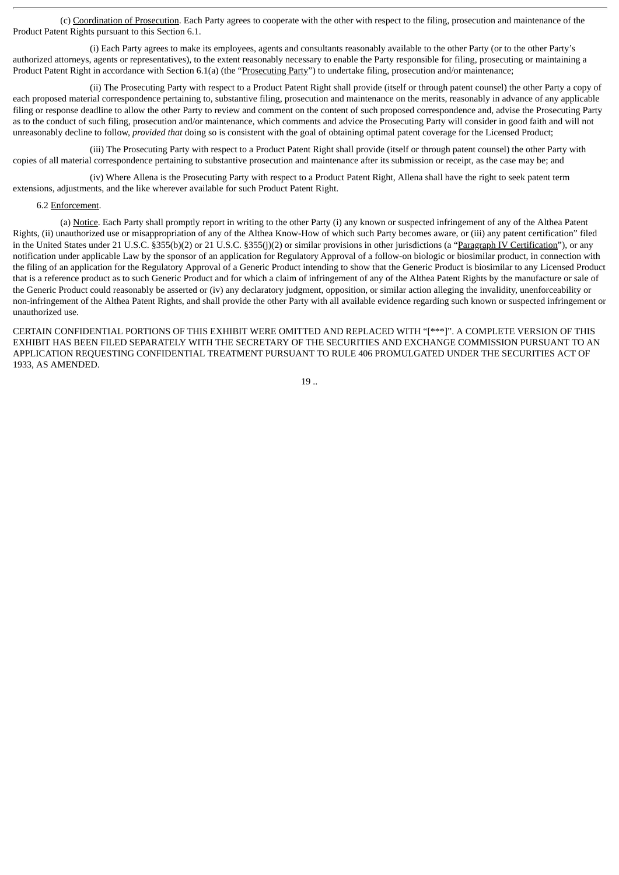(c) Coordination of Prosecution. Each Party agrees to cooperate with the other with respect to the filing, prosecution and maintenance of the Product Patent Rights pursuant to this Section 6.1.

(i) Each Party agrees to make its employees, agents and consultants reasonably available to the other Party (or to the other Party's authorized attorneys, agents or representatives), to the extent reasonably necessary to enable the Party responsible for filing, prosecuting or maintaining a Product Patent Right in accordance with Section 6.1(a) (the "Prosecuting Party") to undertake filing, prosecution and/or maintenance;

(ii) The Prosecuting Party with respect to a Product Patent Right shall provide (itself or through patent counsel) the other Party a copy of each proposed material correspondence pertaining to, substantive filing, prosecution and maintenance on the merits, reasonably in advance of any applicable filing or response deadline to allow the other Party to review and comment on the content of such proposed correspondence and, advise the Prosecuting Party as to the conduct of such filing, prosecution and/or maintenance, which comments and advice the Prosecuting Party will consider in good faith and will not unreasonably decline to follow, *provided that* doing so is consistent with the goal of obtaining optimal patent coverage for the Licensed Product;

(iii) The Prosecuting Party with respect to a Product Patent Right shall provide (itself or through patent counsel) the other Party with copies of all material correspondence pertaining to substantive prosecution and maintenance after its submission or receipt, as the case may be; and

(iv) Where Allena is the Prosecuting Party with respect to a Product Patent Right, Allena shall have the right to seek patent term extensions, adjustments, and the like wherever available for such Product Patent Right.

#### 6.2 Enforcement.

(a) Notice. Each Party shall promptly report in writing to the other Party (i) any known or suspected infringement of any of the Althea Patent Rights, (ii) unauthorized use or misappropriation of any of the Althea Know-How of which such Party becomes aware, or (iii) any patent certification" filed in the United States under 21 U.S.C. §355(b)(2) or 21 U.S.C. §355(j)(2) or similar provisions in other jurisdictions (a "Paragraph IV Certification"), or any notification under applicable Law by the sponsor of an application for Regulatory Approval of a follow-on biologic or biosimilar product, in connection with the filing of an application for the Regulatory Approval of a Generic Product intending to show that the Generic Product is biosimilar to any Licensed Product that is a reference product as to such Generic Product and for which a claim of infringement of any of the Althea Patent Rights by the manufacture or sale of the Generic Product could reasonably be asserted or (iv) any declaratory judgment, opposition, or similar action alleging the invalidity, unenforceability or non-infringement of the Althea Patent Rights, and shall provide the other Party with all available evidence regarding such known or suspected infringement or unauthorized use.

$$
19\;.
$$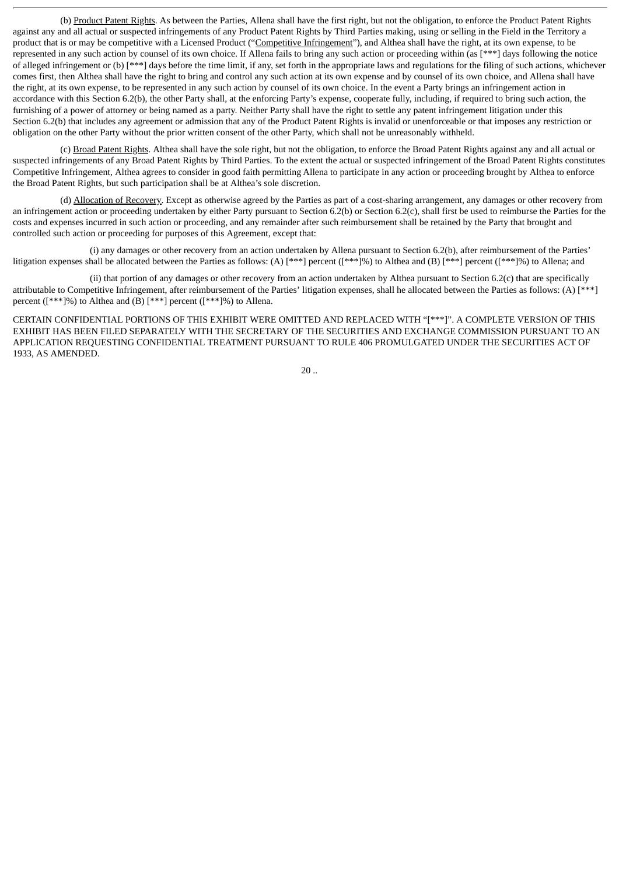(b) Product Patent Rights. As between the Parties, Allena shall have the first right, but not the obligation, to enforce the Product Patent Rights against any and all actual or suspected infringements of any Product Patent Rights by Third Parties making, using or selling in the Field in the Territory a product that is or may be competitive with a Licensed Product ("Competitive Infringement"), and Althea shall have the right, at its own expense, to be represented in any such action by counsel of its own choice. If Allena fails to bring any such action or proceeding within (as [\*\*\*] days following the notice of alleged infringement or (b) [\*\*\*] days before the time limit, if any, set forth in the appropriate laws and regulations for the filing of such actions, whichever comes first, then Althea shall have the right to bring and control any such action at its own expense and by counsel of its own choice, and Allena shall have the right, at its own expense, to be represented in any such action by counsel of its own choice. In the event a Party brings an infringement action in accordance with this Section 6.2(b), the other Party shall, at the enforcing Party's expense, cooperate fully, including, if required to bring such action, the furnishing of a power of attorney or being named as a party. Neither Party shall have the right to settle any patent infringement litigation under this Section 6.2(b) that includes any agreement or admission that any of the Product Patent Rights is invalid or unenforceable or that imposes any restriction or obligation on the other Party without the prior written consent of the other Party, which shall not be unreasonably withheld.

(c) Broad Patent Rights. Althea shall have the sole right, but not the obligation, to enforce the Broad Patent Rights against any and all actual or suspected infringements of any Broad Patent Rights by Third Parties. To the extent the actual or suspected infringement of the Broad Patent Rights constitutes Competitive Infringement, Althea agrees to consider in good faith permitting Allena to participate in any action or proceeding brought by Althea to enforce the Broad Patent Rights, but such participation shall be at Althea's sole discretion.

(d) Allocation of Recovery. Except as otherwise agreed by the Parties as part of a cost-sharing arrangement, any damages or other recovery from an infringement action or proceeding undertaken by either Party pursuant to Section 6.2(b) or Section 6.2(c), shall first be used to reimburse the Parties for the costs and expenses incurred in such action or proceeding, and any remainder after such reimbursement shall be retained by the Party that brought and controlled such action or proceeding for purposes of this Agreement, except that:

(i) any damages or other recovery from an action undertaken by Allena pursuant to Section 6.2(b), after reimbursement of the Parties' litigation expenses shall be allocated between the Parties as follows: (A) [\*\*\*] percent ([\*\*\*]%) to Althea and (B) [\*\*\*] percent ([\*\*\*]%) to Allena; and

(ii) that portion of any damages or other recovery from an action undertaken by Althea pursuant to Section 6.2(c) that are specifically attributable to Competitive Infringement, after reimbursement of the Parties' litigation expenses, shall he allocated between the Parties as follows: (A) [\*\*\*] percent ([\*\*\*]%) to Althea and (B) [\*\*\*] percent ([\*\*\*]%) to Allena.

CERTAIN CONFIDENTIAL PORTIONS OF THIS EXHIBIT WERE OMITTED AND REPLACED WITH "[\*\*\*]". A COMPLETE VERSION OF THIS EXHIBIT HAS BEEN FILED SEPARATELY WITH THE SECRETARY OF THE SECURITIES AND EXCHANGE COMMISSION PURSUANT TO AN APPLICATION REQUESTING CONFIDENTIAL TREATMENT PURSUANT TO RULE 406 PROMULGATED UNDER THE SECURITIES ACT OF 1933, AS AMENDED.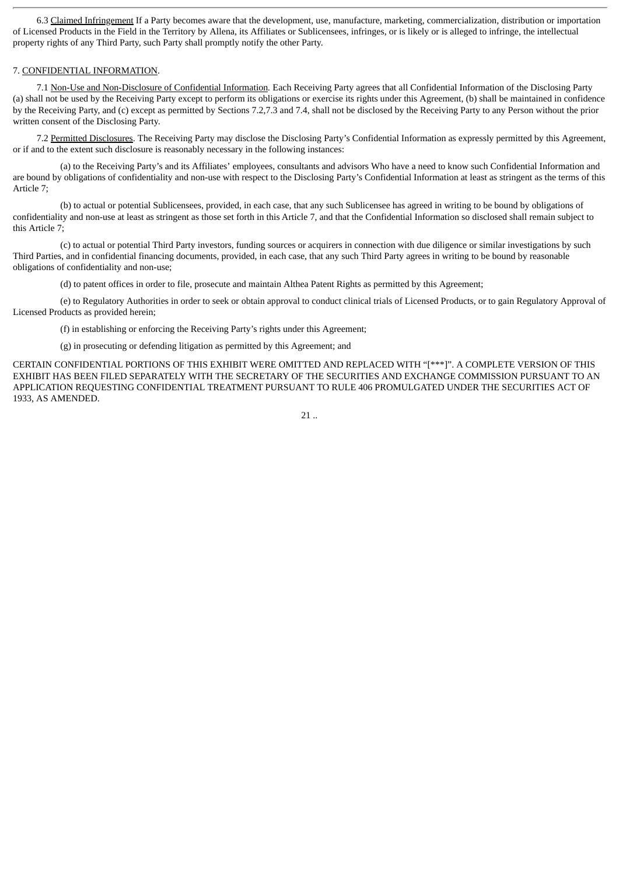6.3 Claimed Infringement If a Party becomes aware that the development, use, manufacture, marketing, commercialization, distribution or importation of Licensed Products in the Field in the Territory by Allena, its Affiliates or Sublicensees, infringes, or is likely or is alleged to infringe, the intellectual property rights of any Third Party, such Party shall promptly notify the other Party.

#### 7. CONFIDENTIAL INFORMATION.

7.1 Non-Use and Non-Disclosure of Confidential Information*.* Each Receiving Party agrees that all Confidential Information of the Disclosing Party (a) shall not be used by the Receiving Party except to perform its obligations or exercise its rights under this Agreement, (b) shall be maintained in confidence by the Receiving Party, and (c) except as permitted by Sections 7.2,7.3 and 7.4, shall not be disclosed by the Receiving Party to any Person without the prior written consent of the Disclosing Party.

7.2 Permitted Disclosures. The Receiving Party may disclose the Disclosing Party's Confidential Information as expressly permitted by this Agreement, or if and to the extent such disclosure is reasonably necessary in the following instances:

(a) to the Receiving Party's and its Affiliates' employees, consultants and advisors Who have a need to know such Confidential Information and are bound by obligations of confidentiality and non-use with respect to the Disclosing Party's Confidential Information at least as stringent as the terms of this Article 7;

(b) to actual or potential Sublicensees, provided, in each case, that any such Sublicensee has agreed in writing to be bound by obligations of confidentiality and non-use at least as stringent as those set forth in this Article 7, and that the Confidential Information so disclosed shall remain subject to this Article 7;

(c) to actual or potential Third Party investors, funding sources or acquirers in connection with due diligence or similar investigations by such Third Parties, and in confidential financing documents, provided, in each case, that any such Third Party agrees in writing to be bound by reasonable obligations of confidentiality and non-use;

(d) to patent offices in order to file, prosecute and maintain Althea Patent Rights as permitted by this Agreement;

(e) to Regulatory Authorities in order to seek or obtain approval to conduct clinical trials of Licensed Products, or to gain Regulatory Approval of Licensed Products as provided herein;

(f) in establishing or enforcing the Receiving Party's rights under this Agreement;

(g) in prosecuting or defending litigation as permitted by this Agreement; and

CERTAIN CONFIDENTIAL PORTIONS OF THIS EXHIBIT WERE OMITTED AND REPLACED WITH "[\*\*\*]". A COMPLETE VERSION OF THIS EXHIBIT HAS BEEN FILED SEPARATELY WITH THE SECRETARY OF THE SECURITIES AND EXCHANGE COMMISSION PURSUANT TO AN APPLICATION REQUESTING CONFIDENTIAL TREATMENT PURSUANT TO RULE 406 PROMULGATED UNDER THE SECURITIES ACT OF 1933, AS AMENDED.

 $21.$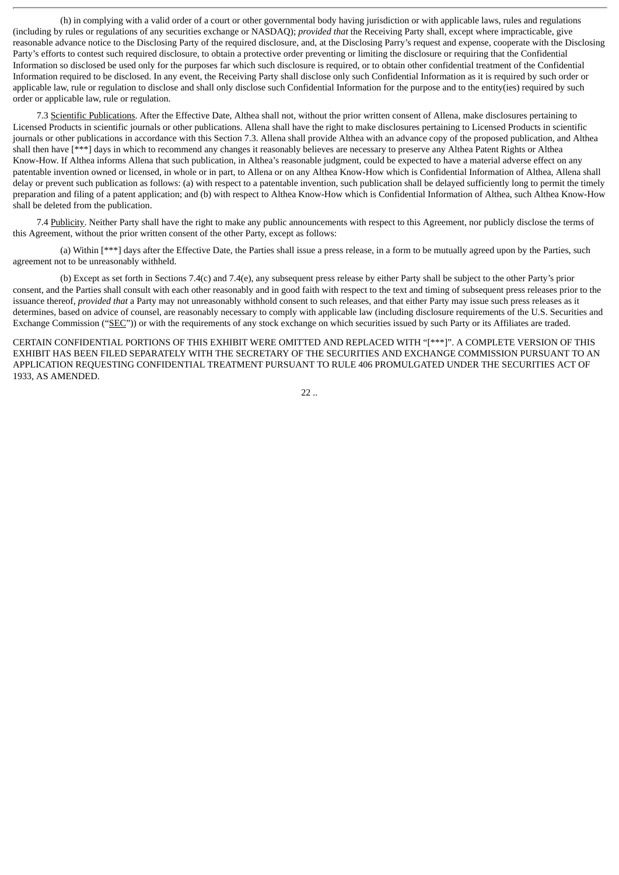(h) in complying with a valid order of a court or other governmental body having jurisdiction or with applicable laws, rules and regulations (including by rules or regulations of any securities exchange or NASDAQ); *provided that* the Receiving Party shall, except where impracticable, give reasonable advance notice to the Disclosing Party of the required disclosure, and, at the Disclosing Parry's request and expense, cooperate with the Disclosing Party's efforts to contest such required disclosure, to obtain a protective order preventing or limiting the disclosure or requiring that the Confidential Information so disclosed be used only for the purposes far which such disclosure is required, or to obtain other confidential treatment of the Confidential Information required to be disclosed. In any event, the Receiving Party shall disclose only such Confidential Information as it is required by such order or applicable law, rule or regulation to disclose and shall only disclose such Confidential Information for the purpose and to the entity(ies) required by such order or applicable law, rule or regulation.

7.3 Scientific Publications. After the Effective Date, Althea shall not, without the prior written consent of Allena, make disclosures pertaining to Licensed Products in scientific journals or other publications. Allena shall have the right to make disclosures pertaining to Licensed Products in scientific journals or other publications in accordance with this Section 7.3. Allena shall provide Althea with an advance copy of the proposed publication, and Althea shall then have [\*\*\*] days in which to recommend any changes it reasonably believes are necessary to preserve any Althea Patent Rights or Althea Know-How. If Althea informs Allena that such publication, in Althea's reasonable judgment, could be expected to have a material adverse effect on any patentable invention owned or licensed, in whole or in part, to Allena or on any Althea Know-How which is Confidential Information of Althea, Allena shall delay or prevent such publication as follows: (a) with respect to a patentable invention, such publication shall be delayed sufficiently long to permit the timely preparation and filing of a patent application; and (b) with respect to Althea Know-How which is Confidential Information of Althea, such Althea Know-How shall be deleted from the publication.

7.4 Publicity. Neither Party shall have the right to make any public announcements with respect to this Agreement, nor publicly disclose the terms of this Agreement, without the prior written consent of the other Party, except as follows:

(a) Within [\*\*\*] days after the Effective Date, the Parties shall issue a press release, in a form to be mutually agreed upon by the Parties, such agreement not to be unreasonably withheld.

(b) Except as set forth in Sections 7.4(c) and 7.4(e), any subsequent press release by either Party shall be subject to the other Party's prior consent, and the Parties shall consult with each other reasonably and in good faith with respect to the text and timing of subsequent press releases prior to the issuance thereof, *provided that* a Party may not unreasonably withhold consent to such releases, and that either Party may issue such press releases as it determines, based on advice of counsel, are reasonably necessary to comply with applicable law (including disclosure requirements of the U.S. Securities and Exchange Commission ("SEC")) or with the requirements of any stock exchange on which securities issued by such Party or its Affiliates are traded.

CERTAIN CONFIDENTIAL PORTIONS OF THIS EXHIBIT WERE OMITTED AND REPLACED WITH "[\*\*\*]". A COMPLETE VERSION OF THIS EXHIBIT HAS BEEN FILED SEPARATELY WITH THE SECRETARY OF THE SECURITIES AND EXCHANGE COMMISSION PURSUANT TO AN APPLICATION REQUESTING CONFIDENTIAL TREATMENT PURSUANT TO RULE 406 PROMULGATED UNDER THE SECURITIES ACT OF 1933, AS AMENDED.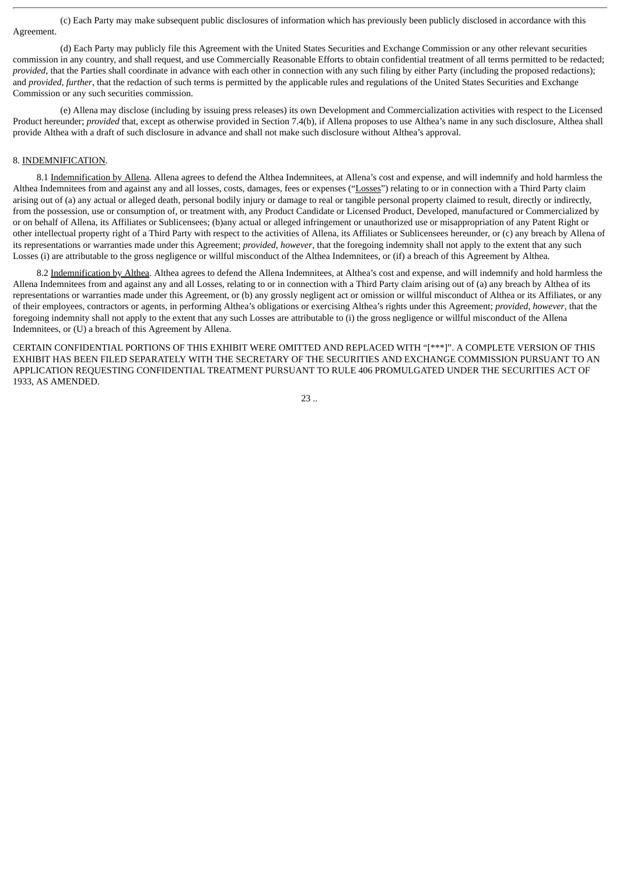(c) Each Party may make subsequent public disclosures of information which has previously been publicly disclosed in accordance with this Agreement.

(d) Each Party may publicly file this Agreement with the United States Securities and Exchange Commission or any other relevant securities commission in any country, and shall request, and use Commercially Reasonable Efforts to obtain confidential treatment of all terms permitted to be redacted; *provided*, that the Parties shall coordinate in advance with each other in connection with any such filing by either Party (including the proposed redactions); and *provided*, *further*, that the redaction of such terms is permitted by the applicable rules and regulations of the United States Securities and Exchange Commission or any such securities commission.

(e) Allena may disclose (including by issuing press releases) its own Development and Commercialization activities with respect to the Licensed Product hereunder; *provided* that, except as otherwise provided in Section 7.4(b), if Allena proposes to use Althea's name in any such disclosure, Althea shall provide Althea with a draft of such disclosure in advance and shall not make such disclosure without Althea's approval.

#### 8. INDEMNIFICATION.

8.1 Indemnification by Allena. Allena agrees to defend the Althea Indemnitees, at Allena's cost and expense, and will indemnify and hold harmless the Althea Indemnitees from and against any and all losses, costs, damages, fees or expenses ("Losses") relating to or in connection with a Third Party claim arising out of (a) any actual or alleged death, personal bodily injury or damage to real or tangible personal property claimed to result, directly or indirectly, from the possession, use or consumption of, or treatment with, any Product Candidate or Licensed Product, Developed, manufactured or Commercialized by or on behalf of Allena, its Affiliates or Sublicensees; (b)any actual or alleged infringement or unauthorized use or misappropriation of any Patent Right or other intellectual property right of a Third Party with respect to the activities of Allena, its Affiliates or Sublicensees hereunder, or (c) any breach by Allena of its representations or warranties made under this Agreement; *provided*, *however*, that the foregoing indemnity shall not apply to the extent that any such Losses (i) are attributable to the gross negligence or willful misconduct of the Althea Indemnitees, or (if) a breach of this Agreement by Althea.

8.2 Indemnification by Althea. Althea agrees to defend the Allena Indemnitees, at Althea's cost and expense, and will indemnify and hold harmless the Allena Indemnitees from and against any and all Losses, relating to or in connection with a Third Party claim arising out of (a) any breach by Althea of its representations or warranties made under this Agreement, or (b) any grossly negligent act or omission or willful misconduct of Althea or its Affiliates, or any of their employees, contractors or agents, in performing Althea's obligations or exercising Althea's rights under this Agreement; *provided*, *however*, that the foregoing indemnity shall not apply to the extent that any such Losses are attributable to (i) the gross negligence or willful misconduct of the Allena Indemnitees, or (U) a breach of this Agreement by Allena.

CERTAIN CONFIDENTIAL PORTIONS OF THIS EXHIBIT WERE OMITTED AND REPLACED WITH "[\*\*\*]". A COMPLETE VERSION OF THIS EXHIBIT HAS BEEN FILED SEPARATELY WITH THE SECRETARY OF THE SECURITIES AND EXCHANGE COMMISSION PURSUANT TO AN APPLICATION REQUESTING CONFIDENTIAL TREATMENT PURSUANT TO RULE 406 PROMULGATED UNDER THE SECURITIES ACT OF 1933, AS AMENDED.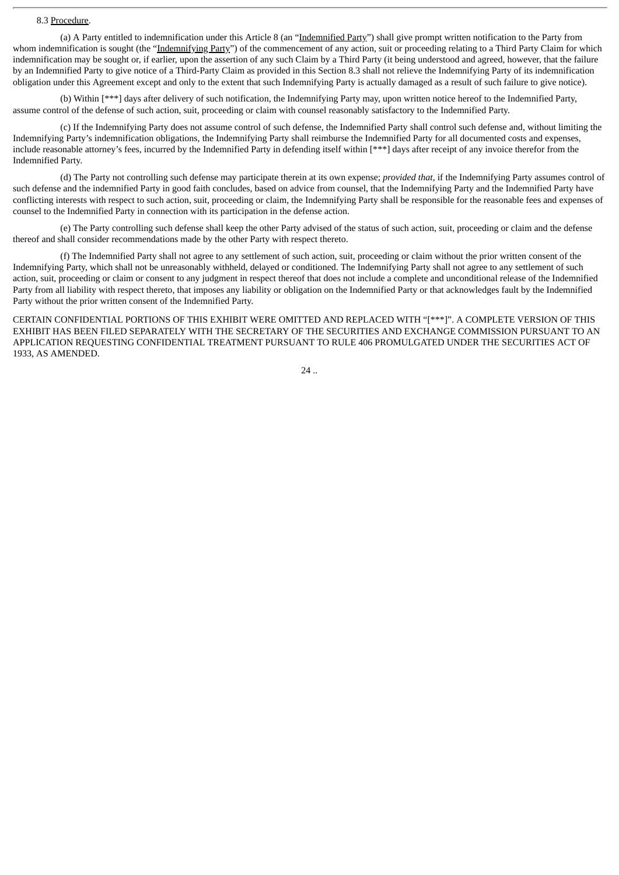#### 8.3 Procedure.

(a) A Party entitled to indemnification under this Article 8 (an "Indemnified Party") shall give prompt written notification to the Party from whom indemnification is sought (the "Indemnifying Party") of the commencement of any action, suit or proceeding relating to a Third Party Claim for which indemnification may be sought or, if earlier, upon the assertion of any such Claim by a Third Party (it being understood and agreed, however, that the failure by an Indemnified Party to give notice of a Third-Party Claim as provided in this Section 8.3 shall not relieve the Indemnifying Party of its indemnification obligation under this Agreement except and only to the extent that such Indemnifying Party is actually damaged as a result of such failure to give notice).

(b) Within [\*\*\*] days after delivery of such notification, the Indemnifying Party may, upon written notice hereof to the Indemnified Party, assume control of the defense of such action, suit, proceeding or claim with counsel reasonably satisfactory to the Indemnified Party.

(c) If the Indemnifying Party does not assume control of such defense, the Indemnified Party shall control such defense and, without limiting the Indemnifying Party's indemnification obligations, the Indemnifying Party shall reimburse the Indemnified Party for all documented costs and expenses, include reasonable attorney's fees, incurred by the Indemnified Party in defending itself within [\*\*\*] days after receipt of any invoice therefor from the Indemnified Party.

(d) The Party not controlling such defense may participate therein at its own expense; *provided that*, if the Indemnifying Party assumes control of such defense and the indemnified Party in good faith concludes, based on advice from counsel, that the Indemnifying Party and the Indemnified Party have conflicting interests with respect to such action, suit, proceeding or claim, the Indemnifying Party shall be responsible for the reasonable fees and expenses of counsel to the Indemnified Party in connection with its participation in the defense action.

(e) The Party controlling such defense shall keep the other Party advised of the status of such action, suit, proceeding or claim and the defense thereof and shall consider recommendations made by the other Party with respect thereto.

(f) The Indemnified Party shall not agree to any settlement of such action, suit, proceeding or claim without the prior written consent of the Indemnifying Party, which shall not be unreasonably withheld, delayed or conditioned. The Indemnifying Party shall not agree to any settlement of such action, suit, proceeding or claim or consent to any judgment in respect thereof that does not include a complete and unconditional release of the Indemnified Party from all liability with respect thereto, that imposes any liability or obligation on the Indemnified Party or that acknowledges fault by the Indemnified Party without the prior written consent of the Indemnified Party.

CERTAIN CONFIDENTIAL PORTIONS OF THIS EXHIBIT WERE OMITTED AND REPLACED WITH "[\*\*\*]". A COMPLETE VERSION OF THIS EXHIBIT HAS BEEN FILED SEPARATELY WITH THE SECRETARY OF THE SECURITIES AND EXCHANGE COMMISSION PURSUANT TO AN APPLICATION REQUESTING CONFIDENTIAL TREATMENT PURSUANT TO RULE 406 PROMULGATED UNDER THE SECURITIES ACT OF 1933, AS AMENDED.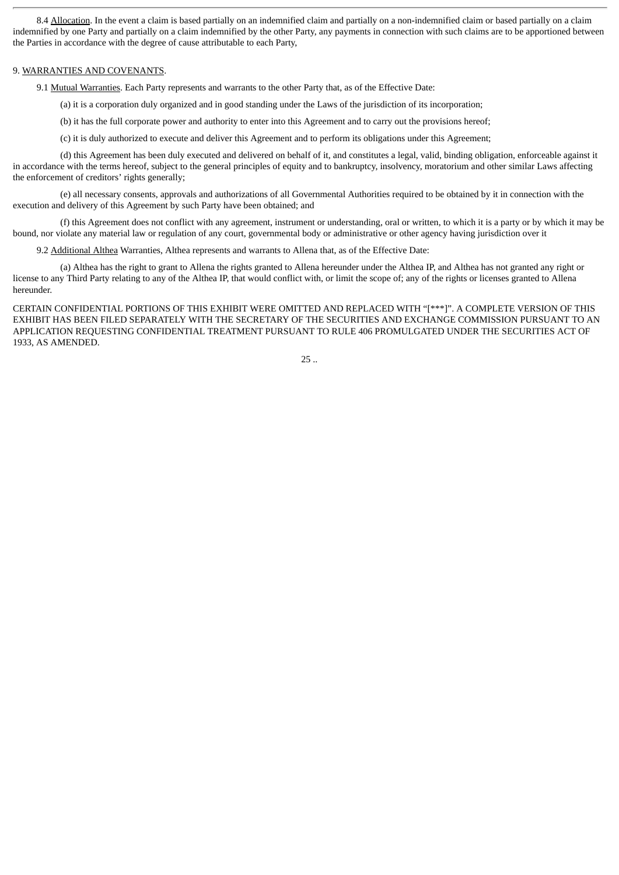8.4 Allocation. In the event a claim is based partially on an indemnified claim and partially on a non-indemnified claim or based partially on a claim indemnified by one Party and partially on a claim indemnified by the other Party, any payments in connection with such claims are to be apportioned between the Parties in accordance with the degree of cause attributable to each Party,

#### 9. WARRANTIES AND COVENANTS.

9.1 Mutual Warranties. Each Party represents and warrants to the other Party that, as of the Effective Date:

(a) it is a corporation duly organized and in good standing under the Laws of the jurisdiction of its incorporation;

(b) it has the full corporate power and authority to enter into this Agreement and to carry out the provisions hereof;

(c) it is duly authorized to execute and deliver this Agreement and to perform its obligations under this Agreement;

(d) this Agreement has been duly executed and delivered on behalf of it, and constitutes a legal, valid, binding obligation, enforceable against it in accordance with the terms hereof, subject to the general principles of equity and to bankruptcy, insolvency, moratorium and other similar Laws affecting the enforcement of creditors' rights generally;

(e) all necessary consents, approvals and authorizations of all Governmental Authorities required to be obtained by it in connection with the execution and delivery of this Agreement by such Party have been obtained; and

(f) this Agreement does not conflict with any agreement, instrument or understanding, oral or written, to which it is a party or by which it may be bound, nor violate any material law or regulation of any court, governmental body or administrative or other agency having jurisdiction over it

9.2 Additional Althea Warranties, Althea represents and warrants to Allena that, as of the Effective Date:

(a) Althea has the right to grant to Allena the rights granted to Allena hereunder under the Althea IP, and Althea has not granted any right or license to any Third Party relating to any of the Althea IP, that would conflict with, or limit the scope of; any of the rights or licenses granted to Allena hereunder.

CERTAIN CONFIDENTIAL PORTIONS OF THIS EXHIBIT WERE OMITTED AND REPLACED WITH "[\*\*\*]". A COMPLETE VERSION OF THIS EXHIBIT HAS BEEN FILED SEPARATELY WITH THE SECRETARY OF THE SECURITIES AND EXCHANGE COMMISSION PURSUANT TO AN APPLICATION REQUESTING CONFIDENTIAL TREATMENT PURSUANT TO RULE 406 PROMULGATED UNDER THE SECURITIES ACT OF 1933, AS AMENDED.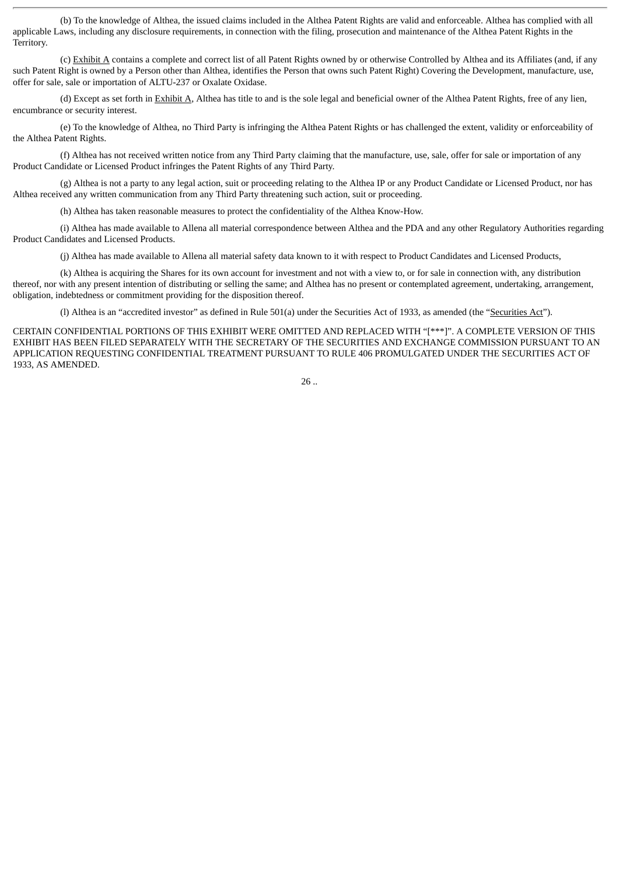(b) To the knowledge of Althea, the issued claims included in the Althea Patent Rights are valid and enforceable. Althea has complied with all applicable Laws, including any disclosure requirements, in connection with the filing, prosecution and maintenance of the Althea Patent Rights in the Territory.

(c) Exhibit A contains a complete and correct list of all Patent Rights owned by or otherwise Controlled by Althea and its Affiliates (and, if any such Patent Right is owned by a Person other than Althea, identifies the Person that owns such Patent Right) Covering the Development, manufacture, use, offer for sale, sale or importation of ALTU-237 or Oxalate Oxidase.

(d) Except as set forth in Exhibit A, Althea has title to and is the sole legal and beneficial owner of the Althea Patent Rights, free of any lien, encumbrance or security interest.

(e) To the knowledge of Althea, no Third Party is infringing the Althea Patent Rights or has challenged the extent, validity or enforceability of the Althea Patent Rights.

(f) Althea has not received written notice from any Third Party claiming that the manufacture, use, sale, offer for sale or importation of any Product Candidate or Licensed Product infringes the Patent Rights of any Third Party.

(g) Althea is not a party to any legal action, suit or proceeding relating to the Althea IP or any Product Candidate or Licensed Product, nor has Althea received any written communication from any Third Party threatening such action, suit or proceeding.

(h) Althea has taken reasonable measures to protect the confidentiality of the Althea Know-How.

(i) Althea has made available to Allena all material correspondence between Althea and the PDA and any other Regulatory Authorities regarding Product Candidates and Licensed Products.

(j) Althea has made available to Allena all material safety data known to it with respect to Product Candidates and Licensed Products,

(k) Althea is acquiring the Shares for its own account for investment and not with a view to, or for sale in connection with, any distribution thereof, nor with any present intention of distributing or selling the same; and Althea has no present or contemplated agreement, undertaking, arrangement, obligation, indebtedness or commitment providing for the disposition thereof.

(l) Althea is an "accredited investor" as defined in Rule 501(a) under the Securities Act of 1933, as amended (the "Securities Act").

CERTAIN CONFIDENTIAL PORTIONS OF THIS EXHIBIT WERE OMITTED AND REPLACED WITH "[\*\*\*]". A COMPLETE VERSION OF THIS EXHIBIT HAS BEEN FILED SEPARATELY WITH THE SECRETARY OF THE SECURITIES AND EXCHANGE COMMISSION PURSUANT TO AN APPLICATION REQUESTING CONFIDENTIAL TREATMENT PURSUANT TO RULE 406 PROMULGATED UNDER THE SECURITIES ACT OF 1933, AS AMENDED.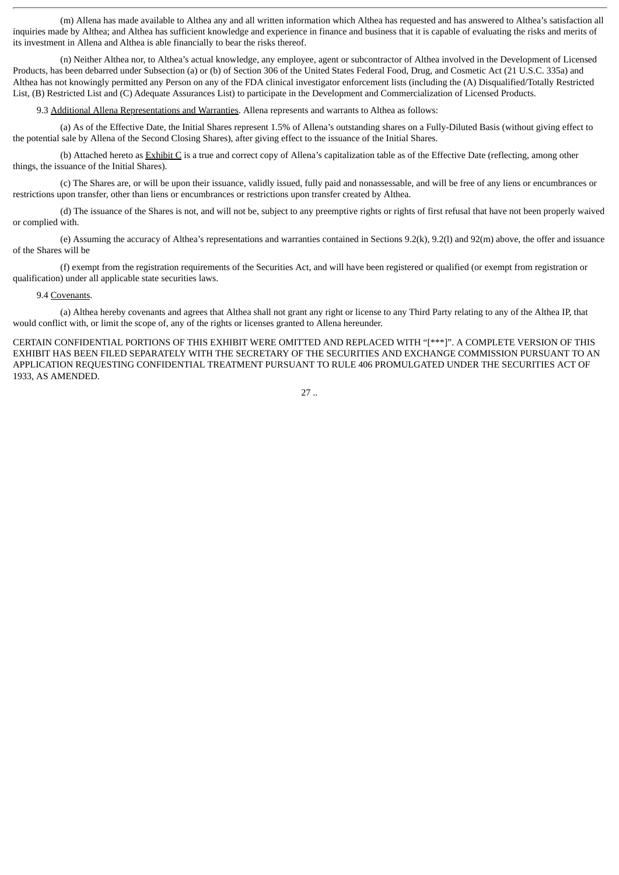(m) Allena has made available to Althea any and all written information which Althea has requested and has answered to Althea's satisfaction all inquiries made by Althea; and Althea has sufficient knowledge and experience in finance and business that it is capable of evaluating the risks and merits of its investment in Allena and Althea is able financially to bear the risks thereof.

(n) Neither Althea nor, to Althea's actual knowledge, any employee, agent or subcontractor of Althea involved in the Development of Licensed Products, has been debarred under Subsection (a) or (b) of Section 306 of the United States Federal Food, Drug, and Cosmetic Act (21 U.S.C. 335a) and Althea has not knowingly permitted any Person on any of the FDA clinical investigator enforcement lists (including the (A) Disqualified/Totally Restricted List, (B) Restricted List and (C) Adequate Assurances List) to participate in the Development and Commercialization of Licensed Products.

9.3 Additional Allena Representations and Warranties. Allena represents and warrants to Althea as follows:

(a) As of the Effective Date, the Initial Shares represent 1.5% of Allena's outstanding shares on a Fully-Diluted Basis (without giving effect to the potential sale by Allena of the Second Closing Shares), after giving effect to the issuance of the Initial Shares.

(b) Attached hereto as Exhibit C is a true and correct copy of Allena's capitalization table as of the Effective Date (reflecting, among other things, the issuance of the Initial Shares).

(c) The Shares are, or will be upon their issuance, validly issued, fully paid and nonassessable, and will be free of any liens or encumbrances or restrictions upon transfer, other than liens or encumbrances or restrictions upon transfer created by Althea.

(d) The issuance of the Shares is not, and will not be, subject to any preemptive rights or rights of first refusal that have not been properly waived or complied with.

(e) Assuming the accuracy of Althea's representations and warranties contained in Sections 9.2(k), 9.2(l) and 92(m) above, the offer and issuance of the Shares will be

(f) exempt from the registration requirements of the Securities Act, and will have been registered or qualified (or exempt from registration or qualification) under all applicable state securities laws.

#### 9.4 Covenants.

(a) Althea hereby covenants and agrees that Althea shall not grant any right or license to any Third Party relating to any of the Althea IP, that would conflict with, or limit the scope of, any of the rights or licenses granted to Allena hereunder.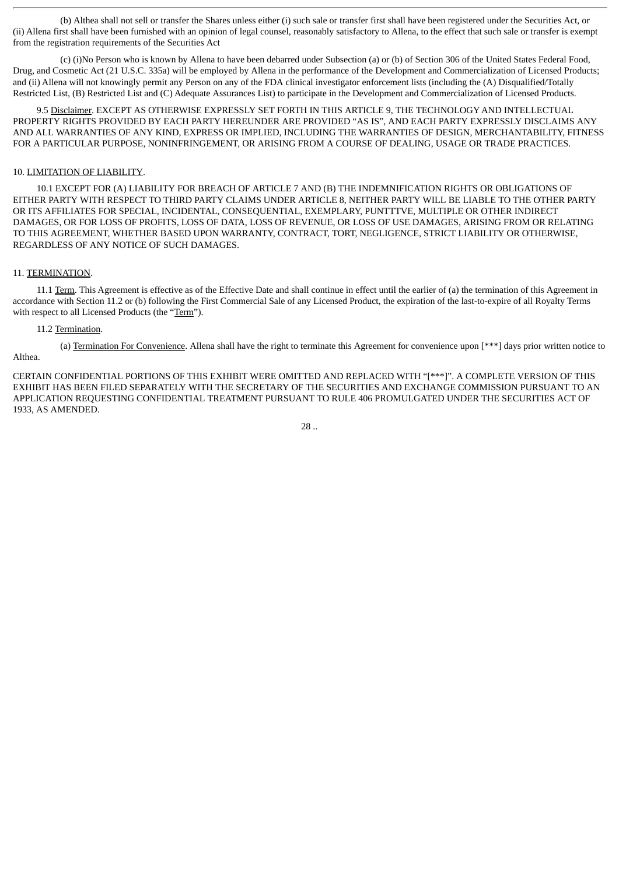(b) Althea shall not sell or transfer the Shares unless either (i) such sale or transfer first shall have been registered under the Securities Act, or (ii) Allena first shall have been furnished with an opinion of legal counsel, reasonably satisfactory to Allena, to the effect that such sale or transfer is exempt from the registration requirements of the Securities Act

(c) (i)No Person who is known by Allena to have been debarred under Subsection (a) or (b) of Section 306 of the United States Federal Food, Drug, and Cosmetic Act (21 U.S.C. 335a) will be employed by Allena in the performance of the Development and Commercialization of Licensed Products; and (ii) Allena will not knowingly permit any Person on any of the FDA clinical investigator enforcement lists (including the (A) Disqualified/Totally Restricted List, (B) Restricted List and (C) Adequate Assurances List) to participate in the Development and Commercialization of Licensed Products.

9.5 Disclaimer. EXCEPT AS OTHERWISE EXPRESSLY SET FORTH IN THIS ARTICLE 9, THE TECHNOLOGY AND INTELLECTUAL PROPERTY RIGHTS PROVIDED BY EACH PARTY HEREUNDER ARE PROVIDED "AS IS", AND EACH PARTY EXPRESSLY DISCLAIMS ANY AND ALL WARRANTIES OF ANY KIND, EXPRESS OR IMPLIED, INCLUDING THE WARRANTIES OF DESIGN, MERCHANTABILITY, FITNESS FOR A PARTICULAR PURPOSE, NONINFRINGEMENT, OR ARISING FROM A COURSE OF DEALING, USAGE OR TRADE PRACTICES.

#### 10. LIMITATION OF LIABILITY.

10.1 EXCEPT FOR (A) LIABILITY FOR BREACH OF ARTICLE 7 AND (B) THE INDEMNIFICATION RIGHTS OR OBLIGATIONS OF EITHER PARTY WITH RESPECT TO THIRD PARTY CLAIMS UNDER ARTICLE 8, NEITHER PARTY WILL BE LIABLE TO THE OTHER PARTY OR ITS AFFILIATES FOR SPECIAL, INCIDENTAL, CONSEQUENTIAL, EXEMPLARY, PUNTTTVE, MULTIPLE OR OTHER INDIRECT DAMAGES, OR FOR LOSS OF PROFITS, LOSS OF DATA, LOSS OF REVENUE, OR LOSS OF USE DAMAGES, ARISING FROM OR RELATING TO THIS AGREEMENT, WHETHER BASED UPON WARRANTY, CONTRACT, TORT, NEGLIGENCE, STRICT LIABILITY OR OTHERWISE, REGARDLESS OF ANY NOTICE OF SUCH DAMAGES.

#### 11. TERMINATION.

11.1 Term. This Agreement is effective as of the Effective Date and shall continue in effect until the earlier of (a) the termination of this Agreement in accordance with Section 11.2 or (b) following the First Commercial Sale of any Licensed Product, the expiration of the last-to-expire of all Royalty Terms with respect to all Licensed Products (the "Term").

#### 11.2 Termination.

(a) Termination For Convenience. Allena shall have the right to terminate this Agreement for convenience upon [\*\*\*] days prior written notice to Althea.

$$
28\; ..
$$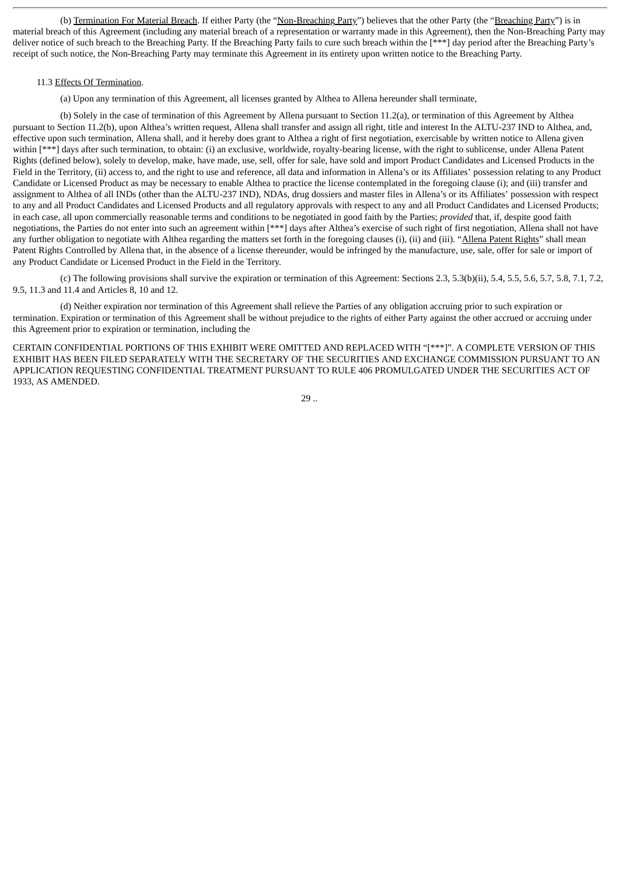(b) Termination For Material Breach. If either Party (the "Non-Breaching Party") believes that the other Party (the "Breaching Party") is in material breach of this Agreement (including any material breach of a representation or warranty made in this Agreement), then the Non-Breaching Party may deliver notice of such breach to the Breaching Party. If the Breaching Party fails to cure such breach within the [\*\*\*] day period after the Breaching Party's receipt of such notice, the Non-Breaching Party may terminate this Agreement in its entirety upon written notice to the Breaching Party.

#### 11.3 Effects Of Termination.

(a) Upon any termination of this Agreement, all licenses granted by Althea to Allena hereunder shall terminate,

(b) Solely in the case of termination of this Agreement by Allena pursuant to Section 11.2(a), or termination of this Agreement by Althea pursuant to Section 11.2(b), upon Althea's written request, Allena shall transfer and assign all right, title and interest In the ALTU-237 IND to Althea, and, effective upon such termination, Allena shall, and it hereby does grant to Althea a right of first negotiation, exercisable by written notice to Allena given within [\*\*\*] days after such termination, to obtain: (i) an exclusive, worldwide, royalty-bearing license, with the right to sublicense, under Allena Patent Rights (defined below), solely to develop, make, have made, use, sell, offer for sale, have sold and import Product Candidates and Licensed Products in the Field in the Territory, (ii) access to, and the right to use and reference, all data and information in Allena's or its Affiliates' possession relating to any Product Candidate or Licensed Product as may be necessary to enable Althea to practice the license contemplated in the foregoing clause (i); and (iii) transfer and assignment to Althea of all INDs (other than the ALTU-237 IND), NDAs, drug dossiers and master files in Allena's or its Affiliates' possession with respect to any and all Product Candidates and Licensed Products and all regulatory approvals with respect to any and all Product Candidates and Licensed Products; in each case, all upon commercially reasonable terms and conditions to be negotiated in good faith by the Parties; *provided* that, if, despite good faith negotiations, the Parties do not enter into such an agreement within [\*\*\*] days after Althea's exercise of such right of first negotiation, Allena shall not have any further obligation to negotiate with Althea regarding the matters set forth in the foregoing clauses (i), (ii) and (iii). "Allena Patent Rights" shall mean Patent Rights Controlled by Allena that, in the absence of a license thereunder, would be infringed by the manufacture, use, sale, offer for sale or import of any Product Candidate or Licensed Product in the Field in the Territory.

(c) The following provisions shall survive the expiration or termination of this Agreement: Sections 2.3, 5.3(b)(ii), 5.4, 5.5, 5.6, 5.7, 5.8, 7.1, 7.2, 9.5, 11.3 and 11.4 and Articles 8, 10 and 12.

(d) Neither expiration nor termination of this Agreement shall relieve the Parties of any obligation accruing prior to such expiration or termination. Expiration or termination of this Agreement shall be without prejudice to the rights of either Party against the other accrued or accruing under this Agreement prior to expiration or termination, including the

CERTAIN CONFIDENTIAL PORTIONS OF THIS EXHIBIT WERE OMITTED AND REPLACED WITH "[\*\*\*]". A COMPLETE VERSION OF THIS EXHIBIT HAS BEEN FILED SEPARATELY WITH THE SECRETARY OF THE SECURITIES AND EXCHANGE COMMISSION PURSUANT TO AN APPLICATION REQUESTING CONFIDENTIAL TREATMENT PURSUANT TO RULE 406 PROMULGATED UNDER THE SECURITIES ACT OF 1933, AS AMENDED.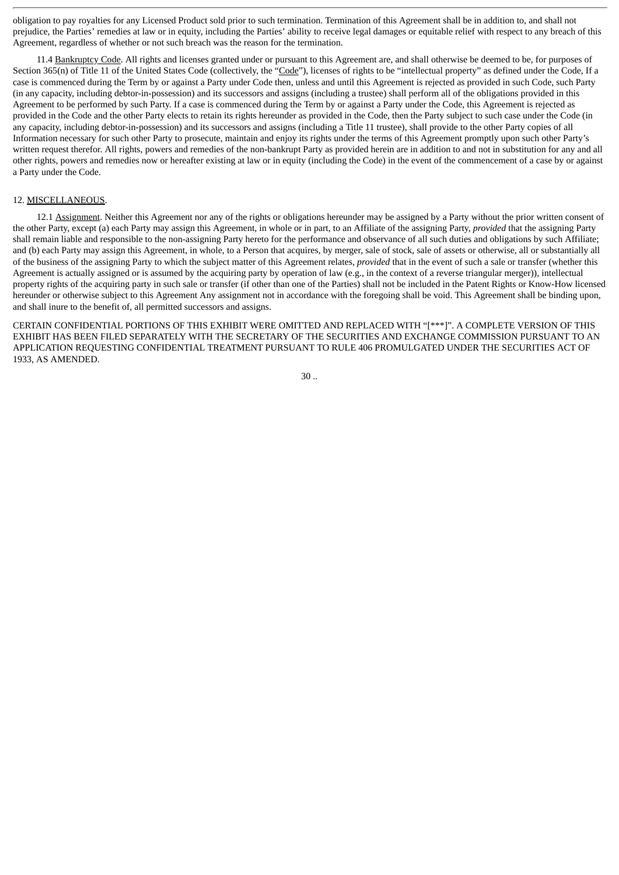obligation to pay royalties for any Licensed Product sold prior to such termination. Termination of this Agreement shall be in addition to, and shall not prejudice, the Parties' remedies at law or in equity, including the Parties' ability to receive legal damages or equitable relief with respect to any breach of this Agreement, regardless of whether or not such breach was the reason for the termination.

11.4 Bankruptcy Code. All rights and licenses granted under or pursuant to this Agreement are, and shall otherwise be deemed to be, for purposes of Section 365(n) of Title 11 of the United States Code (collectively, the "Code"), licenses of rights to be "intellectual property" as defined under the Code, If a case is commenced during the Term by or against a Party under Code then, unless and until this Agreement is rejected as provided in such Code, such Party (in any capacity, including debtor-in-possession) and its successors and assigns (including a trustee) shall perform all of the obligations provided in this Agreement to be performed by such Party. If a case is commenced during the Term by or against a Party under the Code, this Agreement is rejected as provided in the Code and the other Party elects to retain its rights hereunder as provided in the Code, then the Party subject to such case under the Code (in any capacity, including debtor-in-possession) and its successors and assigns (including a Title 11 trustee), shall provide to the other Party copies of all Information necessary for such other Party to prosecute, maintain and enjoy its rights under the terms of this Agreement promptly upon such other Party's written request therefor. All rights, powers and remedies of the non-bankrupt Party as provided herein are in addition to and not in substitution for any and all other rights, powers and remedies now or hereafter existing at law or in equity (including the Code) in the event of the commencement of a case by or against a Party under the Code.

#### 12. MISCELLANEOUS.

12.1 Assignment. Neither this Agreement nor any of the rights or obligations hereunder may be assigned by a Party without the prior written consent of the other Party, except (a) each Party may assign this Agreement, in whole or in part, to an Affiliate of the assigning Party, *provided* that the assigning Party shall remain liable and responsible to the non-assigning Party hereto for the performance and observance of all such duties and obligations by such Affiliate; and (b) each Party may assign this Agreement, in whole, to a Person that acquires, by merger, sale of stock, sale of assets or otherwise, all or substantially all of the business of the assigning Party to which the subject matter of this Agreement relates, *provided* that in the event of such a sale or transfer (whether this Agreement is actually assigned or is assumed by the acquiring party by operation of law (e.g., in the context of a reverse triangular merger)), intellectual property rights of the acquiring party in such sale or transfer (if other than one of the Parties) shall not be included in the Patent Rights or Know-How licensed hereunder or otherwise subject to this Agreement Any assignment not in accordance with the foregoing shall be void. This Agreement shall be binding upon, and shall inure to the benefit of, all permitted successors and assigns.

CERTAIN CONFIDENTIAL PORTIONS OF THIS EXHIBIT WERE OMITTED AND REPLACED WITH "[\*\*\*]". A COMPLETE VERSION OF THIS EXHIBIT HAS BEEN FILED SEPARATELY WITH THE SECRETARY OF THE SECURITIES AND EXCHANGE COMMISSION PURSUANT TO AN APPLICATION REQUESTING CONFIDENTIAL TREATMENT PURSUANT TO RULE 406 PROMULGATED UNDER THE SECURITIES ACT OF 1933, AS AMENDED.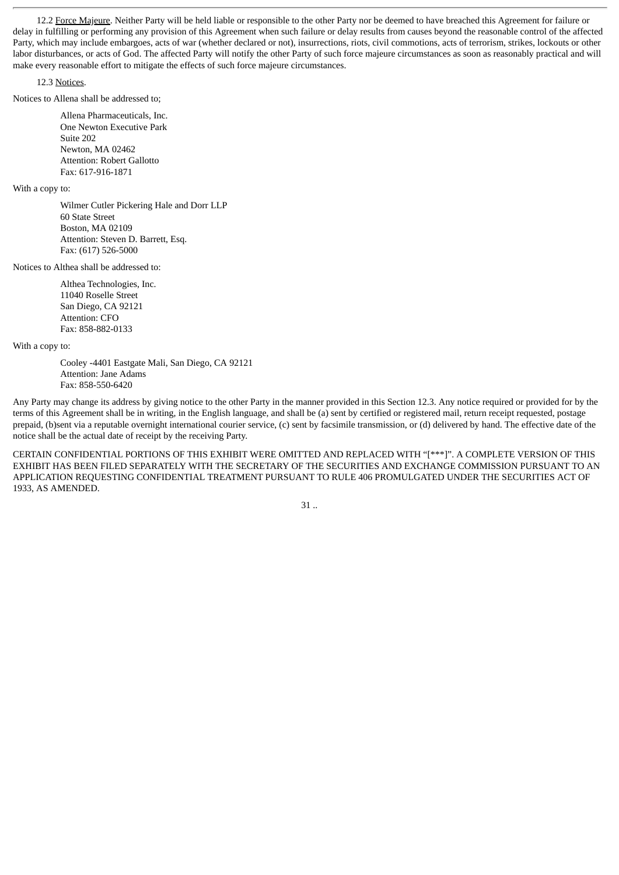12.2 Force Majeure. Neither Party will be held liable or responsible to the other Party nor be deemed to have breached this Agreement for failure or delay in fulfilling or performing any provision of this Agreement when such failure or delay results from causes beyond the reasonable control of the affected Party, which may include embargoes, acts of war (whether declared or not), insurrections, riots, civil commotions, acts of terrorism, strikes, lockouts or other labor disturbances, or acts of God. The affected Party will notify the other Party of such force majeure circumstances as soon as reasonably practical and will make every reasonable effort to mitigate the effects of such force majeure circumstances.

#### 12.3 Notices.

Notices to Allena shall be addressed to;

Allena Pharmaceuticals, Inc. One Newton Executive Park Suite 202 Newton, MA 02462 Attention: Robert Gallotto Fax: 617-916-1871

With a copy to:

Wilmer Cutler Pickering Hale and Dorr LLP 60 State Street Boston, MA 02109 Attention: Steven D. Barrett, Esq. Fax: (617) 526-5000

Notices to Althea shall be addressed to:

Althea Technologies, Inc. 11040 Roselle Street San Diego, CA 92121 Attention: CFO Fax: 858-882-0133

With a copy to:

Cooley -4401 Eastgate Mali, San Diego, CA 92121 Attention: Jane Adams Fax: 858-550-6420

Any Party may change its address by giving notice to the other Party in the manner provided in this Section 12.3. Any notice required or provided for by the terms of this Agreement shall be in writing, in the English language, and shall be (a) sent by certified or registered mail, return receipt requested, postage prepaid, (b)sent via a reputable overnight international courier service, (c) sent by facsimile transmission, or (d) delivered by hand. The effective date of the notice shall be the actual date of receipt by the receiving Party.

CERTAIN CONFIDENTIAL PORTIONS OF THIS EXHIBIT WERE OMITTED AND REPLACED WITH "[\*\*\*]". A COMPLETE VERSION OF THIS EXHIBIT HAS BEEN FILED SEPARATELY WITH THE SECRETARY OF THE SECURITIES AND EXCHANGE COMMISSION PURSUANT TO AN APPLICATION REQUESTING CONFIDENTIAL TREATMENT PURSUANT TO RULE 406 PROMULGATED UNDER THE SECURITIES ACT OF 1933, AS AMENDED.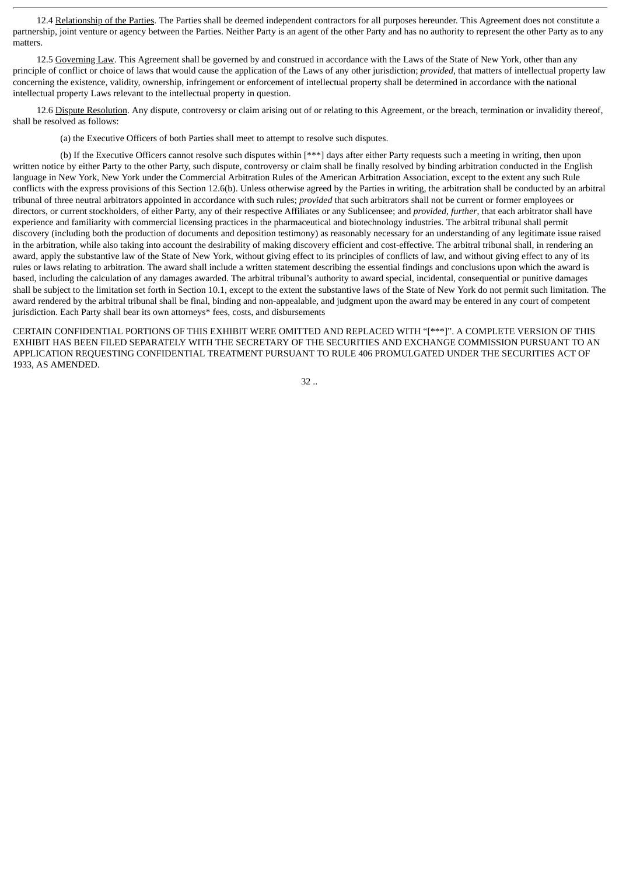12.4 Relationship of the Parties. The Parties shall be deemed independent contractors for all purposes hereunder. This Agreement does not constitute a partnership, joint venture or agency between the Parties. Neither Party is an agent of the other Party and has no authority to represent the other Party as to any matters.

12.5 Governing Law. This Agreement shall be governed by and construed in accordance with the Laws of the State of New York, other than any principle of conflict or choice of laws that would cause the application of the Laws of any other jurisdiction; *provided*, that matters of intellectual property law concerning the existence, validity, ownership, infringement or enforcement of intellectual property shall be determined in accordance with the national intellectual property Laws relevant to the intellectual property in question.

12.6 Dispute Resolution. Any dispute, controversy or claim arising out of or relating to this Agreement, or the breach, termination or invalidity thereof, shall be resolved as follows:

(a) the Executive Officers of both Parties shall meet to attempt to resolve such disputes.

(b) If the Executive Officers cannot resolve such disputes within [\*\*\*] days after either Party requests such a meeting in writing, then upon written notice by either Party to the other Party, such dispute, controversy or claim shall be finally resolved by binding arbitration conducted in the English language in New York, New York under the Commercial Arbitration Rules of the American Arbitration Association, except to the extent any such Rule conflicts with the express provisions of this Section 12.6(b). Unless otherwise agreed by the Parties in writing, the arbitration shall be conducted by an arbitral tribunal of three neutral arbitrators appointed in accordance with such rules; *provided* that such arbitrators shall not be current or former employees or directors, or current stockholders, of either Party, any of their respective Affiliates or any Sublicensee; and *provided*, *further*, that each arbitrator shall have experience and familiarity with commercial licensing practices in the pharmaceutical and biotechnology industries. The arbitral tribunal shall permit discovery (including both the production of documents and deposition testimony) as reasonably necessary for an understanding of any legitimate issue raised in the arbitration, while also taking into account the desirability of making discovery efficient and cost-effective. The arbitral tribunal shall, in rendering an award, apply the substantive law of the State of New York, without giving effect to its principles of conflicts of law, and without giving effect to any of its rules or laws relating to arbitration. The award shall include a written statement describing the essential findings and conclusions upon which the award is based, including the calculation of any damages awarded. The arbitral tribunal's authority to award special, incidental, consequential or punitive damages shall be subject to the limitation set forth in Section 10.1, except to the extent the substantive laws of the State of New York do not permit such limitation. The award rendered by the arbitral tribunal shall be final, binding and non-appealable, and judgment upon the award may be entered in any court of competent jurisdiction. Each Party shall bear its own attorneys\* fees, costs, and disbursements

CERTAIN CONFIDENTIAL PORTIONS OF THIS EXHIBIT WERE OMITTED AND REPLACED WITH "[\*\*\*]". A COMPLETE VERSION OF THIS EXHIBIT HAS BEEN FILED SEPARATELY WITH THE SECRETARY OF THE SECURITIES AND EXCHANGE COMMISSION PURSUANT TO AN APPLICATION REQUESTING CONFIDENTIAL TREATMENT PURSUANT TO RULE 406 PROMULGATED UNDER THE SECURITIES ACT OF 1933, AS AMENDED.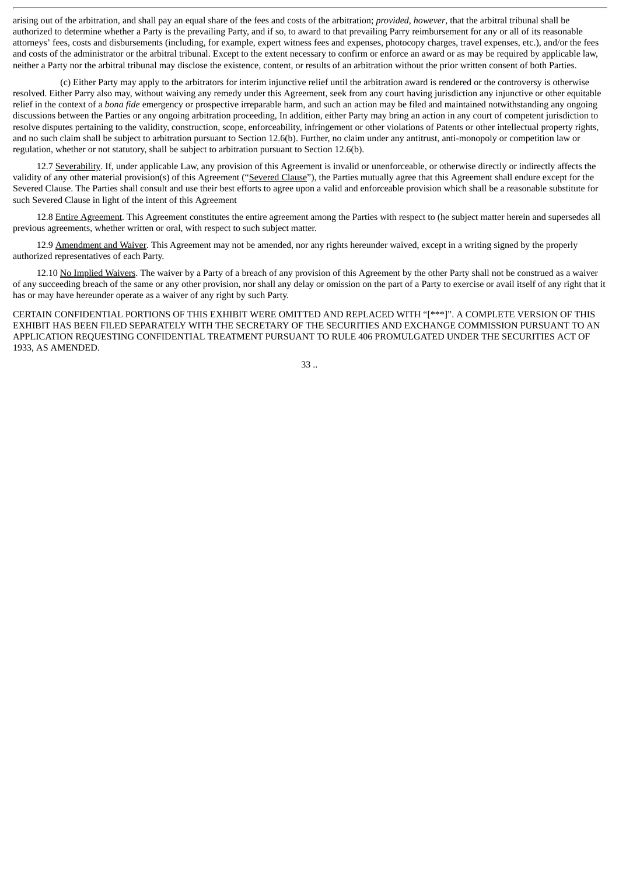arising out of the arbitration, and shall pay an equal share of the fees and costs of the arbitration; *provided*, *however*, that the arbitral tribunal shall be authorized to determine whether a Party is the prevailing Party, and if so, to award to that prevailing Parry reimbursement for any or all of its reasonable attorneys' fees, costs and disbursements (including, for example, expert witness fees and expenses, photocopy charges, travel expenses, etc.), and/or the fees and costs of the administrator or the arbitral tribunal. Except to the extent necessary to confirm or enforce an award or as may be required by applicable law, neither a Party nor the arbitral tribunal may disclose the existence, content, or results of an arbitration without the prior written consent of both Parties.

(c) Either Party may apply to the arbitrators for interim injunctive relief until the arbitration award is rendered or the controversy is otherwise resolved. Either Parry also may, without waiving any remedy under this Agreement, seek from any court having jurisdiction any injunctive or other equitable relief in the context of a *bona fide* emergency or prospective irreparable harm, and such an action may be filed and maintained notwithstanding any ongoing discussions between the Parties or any ongoing arbitration proceeding, In addition, either Party may bring an action in any court of competent jurisdiction to resolve disputes pertaining to the validity, construction, scope, enforceability, infringement or other violations of Patents or other intellectual property rights, and no such claim shall be subject to arbitration pursuant to Section 12.6(b). Further, no claim under any antitrust, anti-monopoly or competition law or regulation, whether or not statutory, shall be subject to arbitration pursuant to Section 12.6(b).

12.7 Severability. If, under applicable Law, any provision of this Agreement is invalid or unenforceable, or otherwise directly or indirectly affects the validity of any other material provision(s) of this Agreement ("Severed Clause"), the Parties mutually agree that this Agreement shall endure except for the Severed Clause. The Parties shall consult and use their best efforts to agree upon a valid and enforceable provision which shall be a reasonable substitute for such Severed Clause in light of the intent of this Agreement

12.8 Entire Agreement. This Agreement constitutes the entire agreement among the Parties with respect to (he subject matter herein and supersedes all previous agreements, whether written or oral, with respect to such subject matter.

12.9 Amendment and Waiver. This Agreement may not be amended, nor any rights hereunder waived, except in a writing signed by the properly authorized representatives of each Party.

12.10 No Implied Waivers. The waiver by a Party of a breach of any provision of this Agreement by the other Party shall not be construed as a waiver of any succeeding breach of the same or any other provision, nor shall any delay or omission on the part of a Party to exercise or avail itself of any right that it has or may have hereunder operate as a waiver of any right by such Party.

CERTAIN CONFIDENTIAL PORTIONS OF THIS EXHIBIT WERE OMITTED AND REPLACED WITH "[\*\*\*]". A COMPLETE VERSION OF THIS EXHIBIT HAS BEEN FILED SEPARATELY WITH THE SECRETARY OF THE SECURITIES AND EXCHANGE COMMISSION PURSUANT TO AN APPLICATION REQUESTING CONFIDENTIAL TREATMENT PURSUANT TO RULE 406 PROMULGATED UNDER THE SECURITIES ACT OF 1933, AS AMENDED.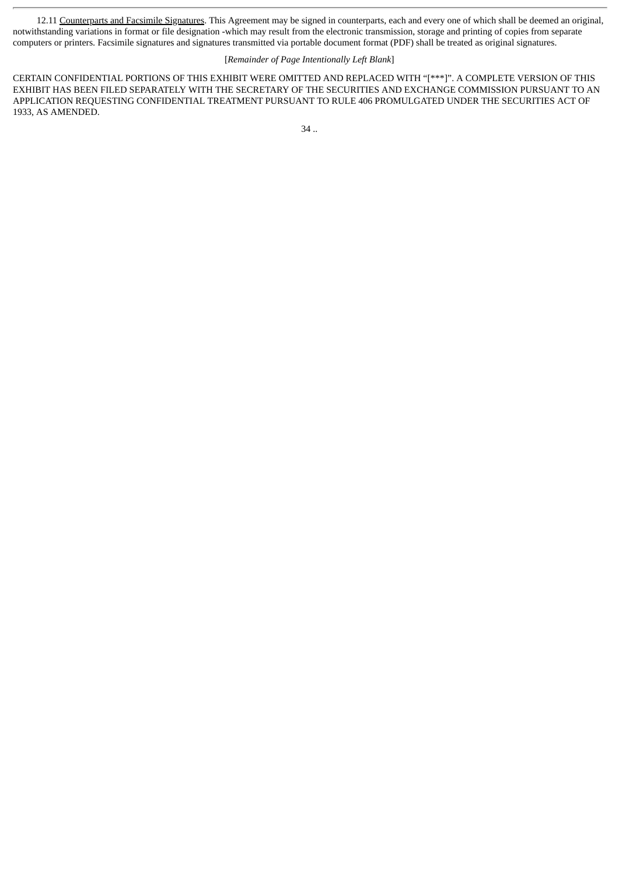12.11 Counterparts and Facsimile Signatures. This Agreement may be signed in counterparts, each and every one of which shall be deemed an original, notwithstanding variations in format or file designation -which may result from the electronic transmission, storage and printing of copies from separate computers or printers. Facsimile signatures and signatures transmitted via portable document format (PDF) shall be treated as original signatures.

#### [*Remainder of Page Intentionally Left Blank*]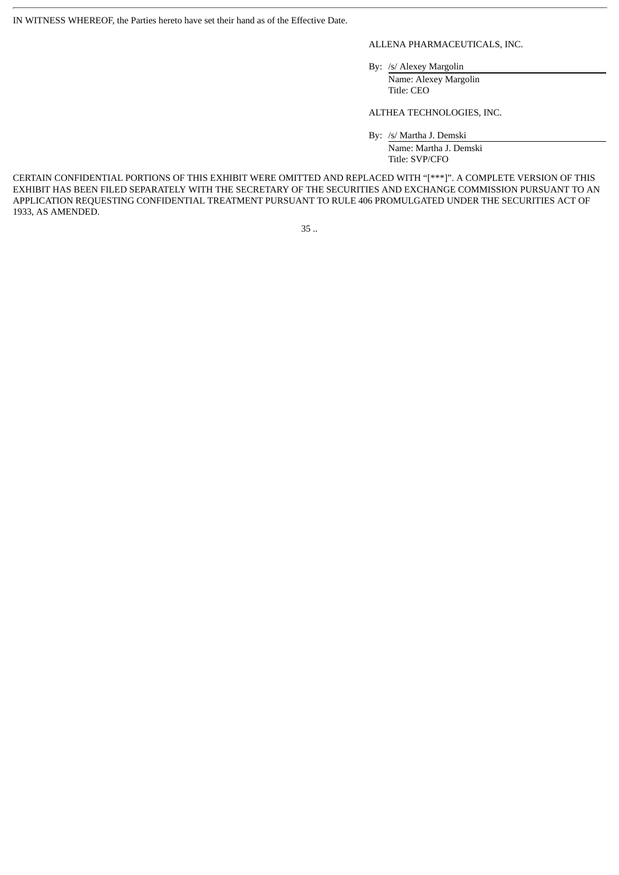IN WITNESS WHEREOF, the Parties hereto have set their hand as of the Effective Date.

#### ALLENA PHARMACEUTICALS, INC.

By: /s/ Alexey Margolin

Name: Alexey Margolin Title: CEO

ALTHEA TECHNOLOGIES, INC.

By: /s/ Martha J. Demski

Name: Martha J. Demski Title: SVP/CFO

CERTAIN CONFIDENTIAL PORTIONS OF THIS EXHIBIT WERE OMITTED AND REPLACED WITH "[\*\*\*]". A COMPLETE VERSION OF THIS EXHIBIT HAS BEEN FILED SEPARATELY WITH THE SECRETARY OF THE SECURITIES AND EXCHANGE COMMISSION PURSUANT TO AN APPLICATION REQUESTING CONFIDENTIAL TREATMENT PURSUANT TO RULE 406 PROMULGATED UNDER THE SECURITIES ACT OF 1933, AS AMENDED.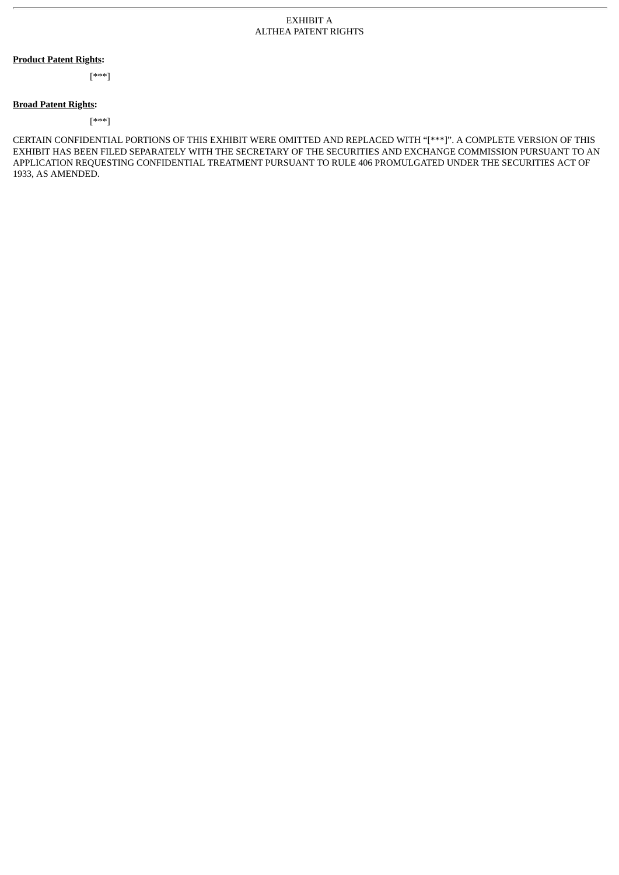#### **Product Patent Rights:**

[\*\*\*]

#### **Broad Patent Rights:**

[\*\*\*]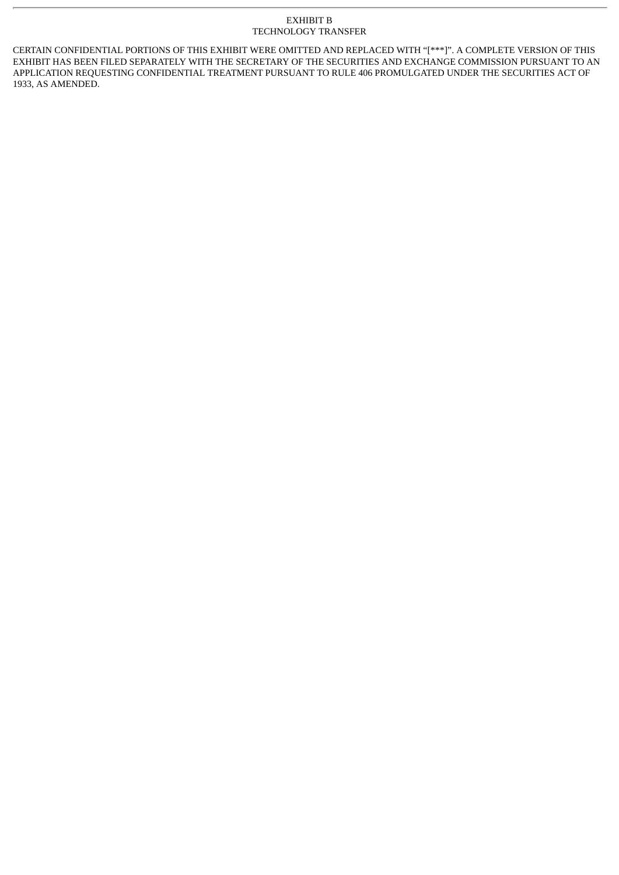#### EXHIBIT B TECHNOLOGY TRANSFER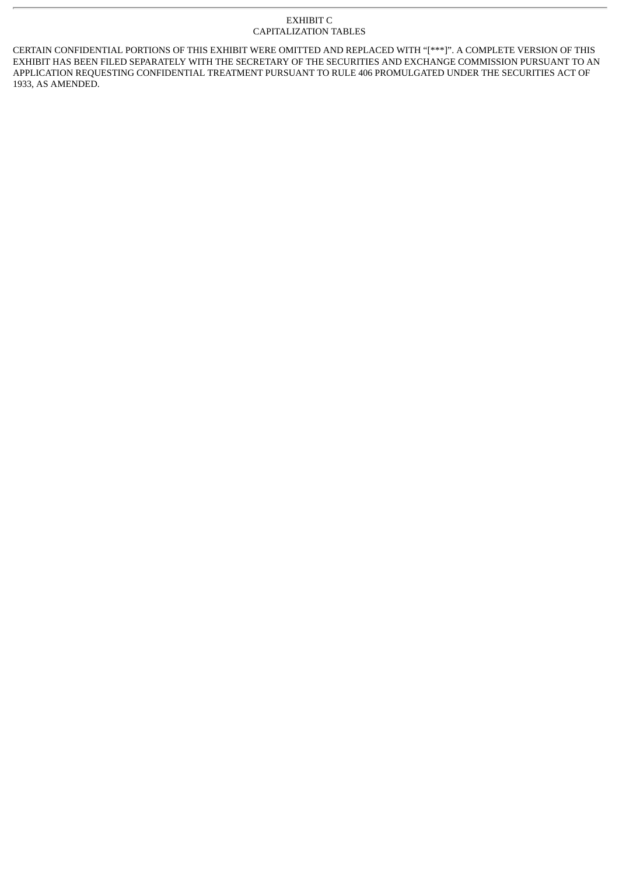#### EXHIBIT C CAPITALIZATION TABLES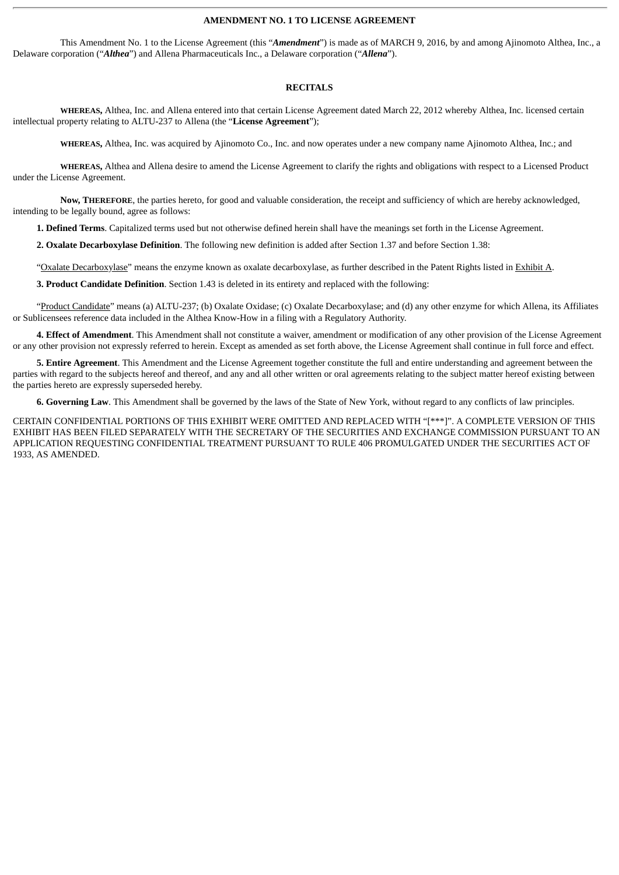#### **AMENDMENT NO. 1 TO LICENSE AGREEMENT**

This Amendment No. 1 to the License Agreement (this "*Amendment*") is made as of MARCH 9, 2016, by and among Ajinomoto Althea, Inc., a Delaware corporation ("*Althea*") and Allena Pharmaceuticals Inc., a Delaware corporation ("*Allena*").

#### **RECITALS**

**WHEREAS,** Althea, Inc. and Allena entered into that certain License Agreement dated March 22, 2012 whereby Althea, Inc. licensed certain intellectual property relating to ALTU-237 to Allena (the "**License Agreement**");

**WHEREAS,** Althea, Inc. was acquired by Ajinomoto Co., Inc. and now operates under a new company name Ajinomoto Althea, Inc.; and

**WHEREAS,** Althea and Allena desire to amend the License Agreement to clarify the rights and obligations with respect to a Licensed Product under the License Agreement.

**Now, THEREFORE**, the parties hereto, for good and valuable consideration, the receipt and sufficiency of which are hereby acknowledged, intending to be legally bound, agree as follows:

**1. Defined Terms**. Capitalized terms used but not otherwise defined herein shall have the meanings set forth in the License Agreement.

**2. Oxalate Decarboxylase Definition**. The following new definition is added after Section 1.37 and before Section 1.38:

"Oxalate Decarboxylase" means the enzyme known as oxalate decarboxylase, as further described in the Patent Rights listed in Exhibit A.

**3. Product Candidate Definition**. Section 1.43 is deleted in its entirety and replaced with the following:

"Product Candidate" means (a) ALTU-237; (b) Oxalate Oxidase; (c) Oxalate Decarboxylase; and (d) any other enzyme for which Allena, its Affiliates or Sublicensees reference data included in the Althea Know-How in a filing with a Regulatory Authority.

**4. Effect of Amendment**. This Amendment shall not constitute a waiver, amendment or modification of any other provision of the License Agreement or any other provision not expressly referred to herein. Except as amended as set forth above, the License Agreement shall continue in full force and effect.

**5. Entire Agreement**. This Amendment and the License Agreement together constitute the full and entire understanding and agreement between the parties with regard to the subjects hereof and thereof, and any and all other written or oral agreements relating to the subject matter hereof existing between the parties hereto are expressly superseded hereby.

**6. Governing Law**. This Amendment shall be governed by the laws of the State of New York, without regard to any conflicts of law principles.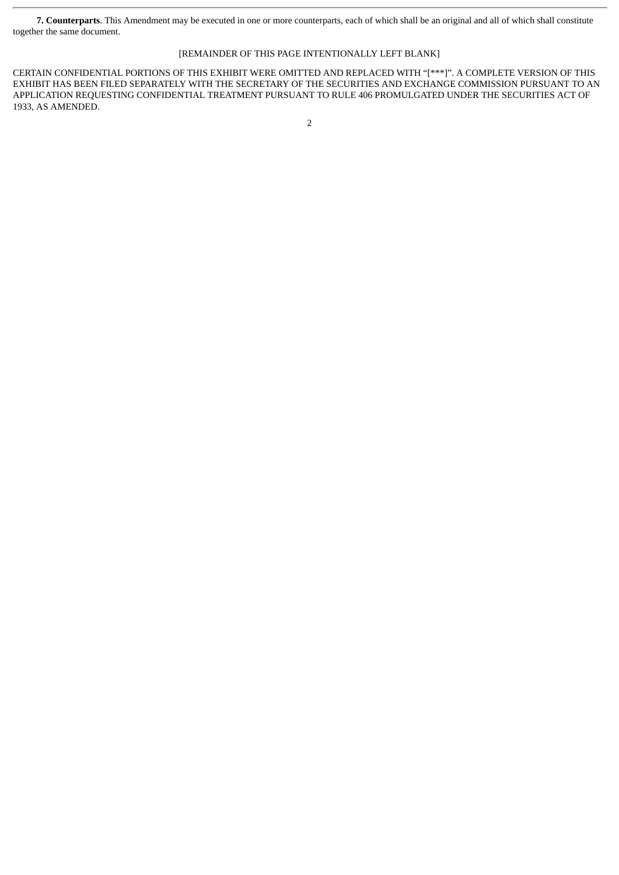**7. Counterparts**. This Amendment may be executed in one or more counterparts, each of which shall be an original and all of which shall constitute together the same document.

### [REMAINDER OF THIS PAGE INTENTIONALLY LEFT BLANK]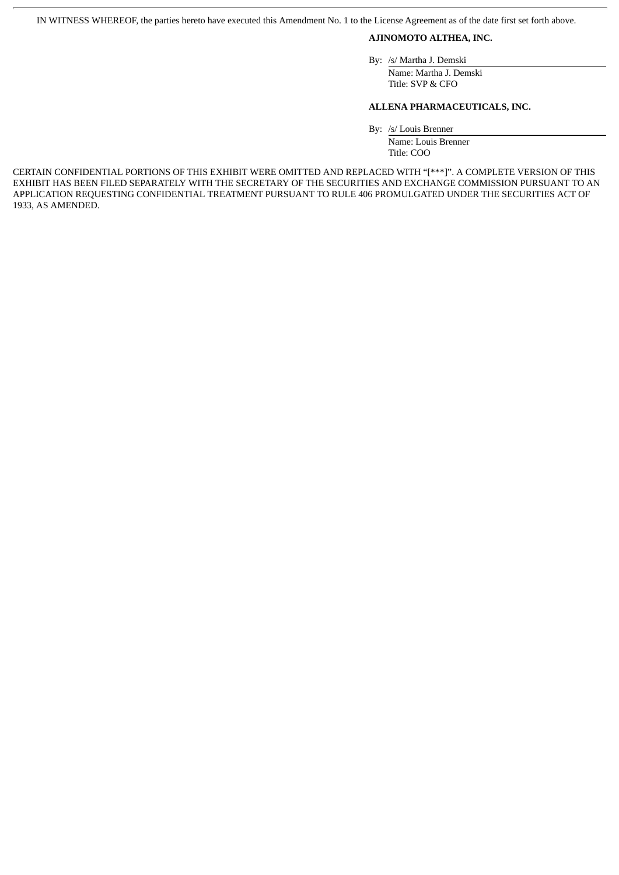IN WITNESS WHEREOF, the parties hereto have executed this Amendment No. 1 to the License Agreement as of the date first set forth above.

#### **AJINOMOTO ALTHEA, INC.**

By: /s/ Martha J. Demski

Name: Martha J. Demski Title: SVP & CFO

#### **ALLENA PHARMACEUTICALS, INC.**

By: /s/ Louis Brenner

Name: Louis Brenner Title: COO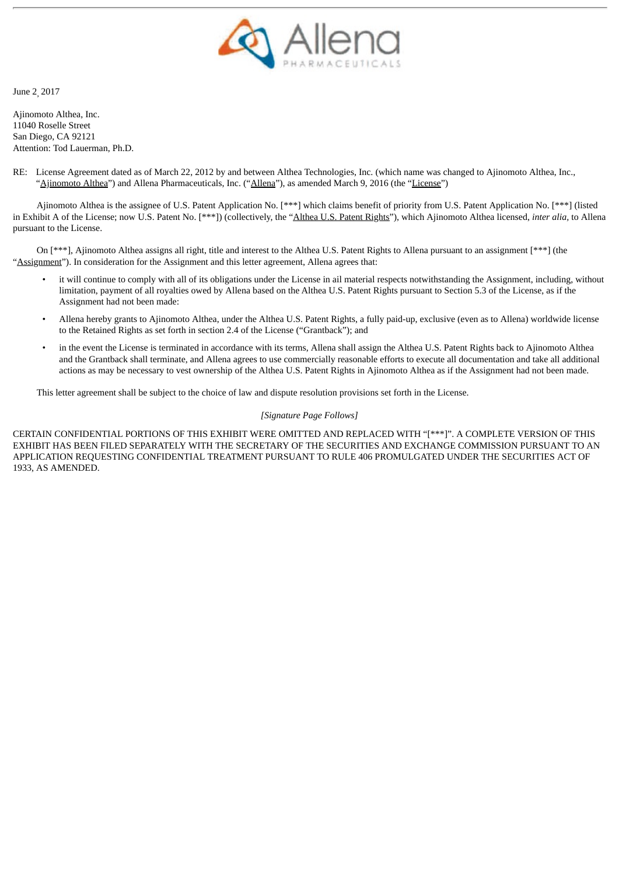

June 2, 2017

Ajinomoto Althea, Inc. 11040 Roselle Street San Diego, CA 92121 Attention: Tod Lauerman, Ph.D.

RE: License Agreement dated as of March 22, 2012 by and between Althea Technologies, Inc. (which name was changed to Ajinomoto Althea, Inc., "Ajinomoto Althea") and Allena Pharmaceuticals, Inc. ("Allena"), as amended March 9, 2016 (the "License")

Ajinomoto Althea is the assignee of U.S. Patent Application No. [\*\*\*] which claims benefit of priority from U.S. Patent Application No. [\*\*\*] (listed in Exhibit A of the License; now U.S. Patent No. [\*\*\*]) (collectively, the "Althea U.S. Patent Rights"), which Ajinomoto Althea licensed, *inter alia,* to Allena pursuant to the License.

On [\*\*\*], Ajinomoto Althea assigns all right, title and interest to the Althea U.S. Patent Rights to Allena pursuant to an assignment [\*\*\*] (the "Assignment"). In consideration for the Assignment and this letter agreement, Allena agrees that:

- it will continue to comply with all of its obligations under the License in ail material respects notwithstanding the Assignment, including, without limitation, payment of all royalties owed by Allena based on the Althea U.S. Patent Rights pursuant to Section 5.3 of the License, as if the Assignment had not been made:
- Allena hereby grants to Ajinomoto Althea, under the Althea U.S. Patent Rights, a fully paid-up, exclusive (even as to Allena) worldwide license to the Retained Rights as set forth in section 2.4 of the License ("Grantback"); and
- in the event the License is terminated in accordance with its terms, Allena shall assign the Althea U.S. Patent Rights back to Ajinomoto Althea and the Grantback shall terminate, and Allena agrees to use commercially reasonable efforts to execute all documentation and take all additional actions as may be necessary to vest ownership of the Althea U.S. Patent Rights in Ajinomoto Althea as if the Assignment had not been made.

This letter agreement shall be subject to the choice of law and dispute resolution provisions set forth in the License.

#### *[Signature Page Follows]*